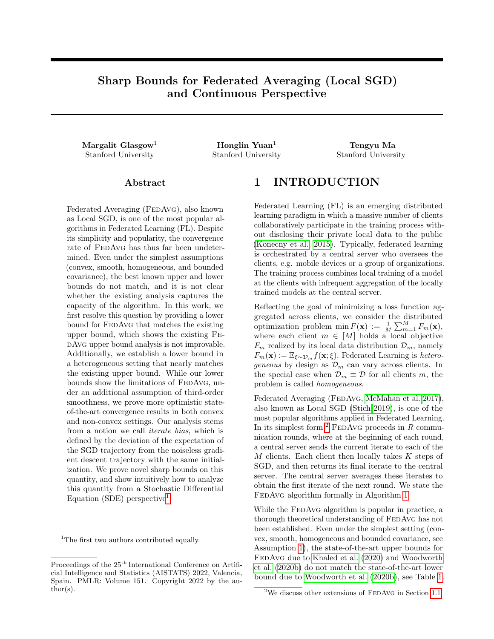# Sharp Bounds for Federated Averaging (Local SGD) and Continuous Perspective

Stanford University Stanford University Stanford University

 $\rm{Margalit~Glassow^1} \hspace{2cm} \rm{Honglin~Yuan^1} \hspace{2cm} \rm{Tengyu~Ma}$ 

#### ${\rm Abstract}$

Federated Averaging (FEDAvG), also known as Local SGD, is one of the most popular algorithms in Federated Learning (FL). Despite its simplicity and popularity, the convergence rate of FEDAvG has thus far been undetermined. Even under the simplest assumptions (convex, smooth, homogeneous, and bounded covariance), the best known upper and lower bounds do not match, and it is not clear whether the existing analysis captures the capacity of the algorithm. In this work, we first resolve this question by providing a lower bound for FEDAVG that matches the existing upper bound, which shows the existing FedAvg upper bound analysis is not improvable. Additionally, we establish a lower bound in a heterogeneous setting that nearly matches the existing upper bound. While our lower bounds show the limitations of FEDAVG, under an additional assumption of third-order smoothness, we prove more optimistic stateof-the-art convergence results in both convex and non-convex settings. Our analysis stems from a notion we call iterate bias, which is defined by the deviation of the expectation of the SGD trajectory from the noiseless gradient descent trajectory with the same initialization. We prove novel sharp bounds on this quantity, and show intuitively how to analyze this quantity from a Stochastic Differential Equation (SDE) perspective<sup>[1](#page-0-0)</sup>.

## 1 INTRODUCTION

Federated Learning (FL) is an emerging distributed learning paradigm in which a massive number of clients collaboratively participate in the training process without disclosing their private local data to the public [\(Konecny et al., 2015\)](#page-10-0). Typically, federated learning is orchestrated by a central server who oversees the clients, e.g. mobile devices or a group of organizations. The training process combines local training of a model at the clients with infrequent aggregation of the locally trained models at the central server.

Reflecting the goal of minimizing a loss function aggregated across clients, we consider the distributed optimization problem min  $F(\mathbf{x}) := \frac{1}{M} \sum_{m=1}^{M} F_m(\mathbf{x}),$ where each client  $m \in [M]$  holds a local objective  $F_m$  realized by its local data distribution  $\mathcal{D}_m$ , namely  $F_m(\mathbf{x}) := \mathbb{E}_{\xi \sim \mathcal{D}_m} f(\mathbf{x}; \xi)$ . Federated Learning is *hetero*geneous by design as  $\mathcal{D}_m$  can vary across clients. In the special case when  $\mathcal{D}_m \equiv \mathcal{D}$  for all clients m, the problem is called homogeneous.

Federated Averaging (FEDAvG, [McMahan et al. 2017\)](#page-10-1), also known as Local SGD [\(Stich 2019\)](#page-11-0), is one of the most popular algorithms applied in Federated Learning. In its simplest form,<sup>[2](#page-0-1)</sup> FEDAVG proceeds in  $R$  communication rounds, where at the beginning of each round, a central server sends the current iterate to each of the  $M$  clients. Each client then locally takes  $K$  steps of SGD, and then returns its final iterate to the central server. The central server averages these iterates to obtain the first iterate of the next round. We state the FEDAVG algorithm formally in Algorithm [1.](#page-1-0)

While the FEDAVG algorithm is popular in practice, a thorough theoretical understanding of FEDAvG has not been established. Even under the simplest setting (convex, smooth, homogeneous and bounded covariance, see Assumption [1\)](#page-4-0), the state-of-the-art upper bounds for FEDAVG due to [Khaled et al.](#page-10-2) [\(2020\)](#page-10-2) and [Woodworth](#page-11-1) [et al.](#page-11-1) [\(2020b\)](#page-11-1) do not match the state-of-the-art lower bound due to [Woodworth et al.](#page-11-1) [\(2020b\)](#page-11-1), see Table [1.](#page-1-1)

<span id="page-0-0"></span><sup>&</sup>lt;sup>1</sup>The first two authors contributed equally.

Proceedings of the  $25<sup>th</sup>$  International Conference on Artificial Intelligence and Statistics (AISTATS) 2022, Valencia, Spain. PMLR: Volume 151. Copyright 2022 by the author(s).

<span id="page-0-1"></span><sup>&</sup>lt;sup>2</sup>We discuss other extensions of FEDAvG in Section [1.1.](#page-2-0)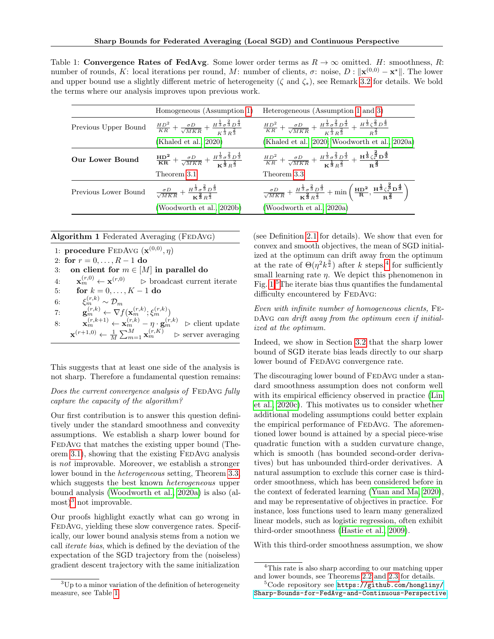<span id="page-1-1"></span>Table 1: Convergence Rates of FedAvg. Some lower order terms as  $R \to \infty$  omitted. H: smoothness, R: number of rounds, K: local iterations per round, M: number of clients,  $\sigma$ : noise,  $D: \|\mathbf{x}^{(0,0)} - \mathbf{x}^*\|$ . The lower and upper bound use a slightly different metric of heterogeneity ( $\zeta$  and  $\zeta_*$ ), see Remark [3.2](#page-6-0) for details. We bold the terms where our analysis improves upon previous work.

|                      | Homogeneous (Assumption 1)                                                                                                                                           | Heterogeneous (Assumption 1 and 3)                                                                                                                                                                                                                                 |
|----------------------|----------------------------------------------------------------------------------------------------------------------------------------------------------------------|--------------------------------------------------------------------------------------------------------------------------------------------------------------------------------------------------------------------------------------------------------------------|
| Previous Upper Bound | $\frac{HD^2}{KR}+\frac{\sigma D}{\sqrt{MKR}}+\frac{H^{\frac{1}{3}}\sigma^{\frac{2}{3}}D^{\frac{4}{3}}}{\frac{L^{\frac{1}{3}}}{\sigma^{\frac{2}{3}}D^{\frac{2}{3}}}}$ | $\frac{HD^2}{KR}+\frac{\sigma D}{\sqrt{MKR}}+\frac{H^{\frac{1}{3}}\sigma^{\frac{2}{3}}D^{\frac{4}{3}}}{\frac{L^{\frac{1}{3}}\sigma^{\frac{2}{3}}}{\sigma^{\frac{2}{3}}}}+\frac{H^{\frac{1}{3}}\zeta^{\frac{2}{3}}D^{\frac{4}{3}}}{\frac{2}{\sigma^{\frac{2}{3}}}}$ |
|                      | (Khaled et al., 2020)                                                                                                                                                | (Khaled et al., 2020; Woodworth et al., 2020a)                                                                                                                                                                                                                     |
| Our Lower Bound      | $\frac{HD^2}{KR} + \frac{\sigma D}{\sqrt{MKR}} + \frac{H^{\frac{1}{3}}\sigma^{\frac{2}{3}}D^{\frac{3}{3}}}{\nu^{\frac{1}{3}}\Gamma^{\frac{2}{3}}}$                   | $\frac{HD^2}{KR}+\frac{\sigma D}{\sqrt{MKR}}+\frac{H^{\frac{1}{3}}\sigma^{\frac{2}{3}}D^{\frac{4}{3}}}{\nu^{\frac{1}{3}}\Omega^{\frac{2}{3}}}+\frac{H^{\frac{1}{3}}\zeta^{\frac{2}{3}}D^{\frac{4}{3}}}{\Omega^{\frac{2}{3}}}$                                      |
|                      | Theorem 3.1                                                                                                                                                          | Theorem 3.3                                                                                                                                                                                                                                                        |
| Previous Lower Bound | $\frac{\sigma D}{\sqrt{MKR}} + \frac{H^{\frac{1}{3}} \sigma^{\frac{2}{3}} D^{\frac{3}{3}}}{\kappa^{\frac{2}{3}} n^{\frac{2}{3}}}$                                    | $\frac{\sigma D}{\sqrt{MKR}} + \frac{H^{\frac{1}{3}} \sigma^{\frac{2}{3}} D^{\frac{4}{3}}}{\kappa^{\frac{2}{3}} \kappa^{\frac{2}{3}}} + \min\left(\frac{HD^2}{R}, \frac{H^{\frac{1}{3}} \zeta_*^{\frac{2}{3}} D^{\frac{4}{3}}}{R^{\frac{2}{3}}}\right)$            |
|                      | (Woodworth et al., 2020b)                                                                                                                                            | (Woodworth et al., 2020a)                                                                                                                                                                                                                                          |

#### <span id="page-1-0"></span>Algorithm 1 Federated Averaging (FEDAvG)

1: procedure FEDAVG  $(\mathbf{x}^{(0,0)}, \eta)$ 2: for  $r = 0, \ldots, R - 1$  do 3: on client for  $m \in [M]$  in parallel do 4:  $\mathbf{x}_m^{(r,0)} \leftarrow \mathbf{x}^{(r,0)}$   $\triangleright$  broadcast current iterate 5: for  $k = 0, ..., K - 1$  do 6:  $\xi_m^{(r,k)} \sim \mathcal{D}_m$ 7:  $\mathbf{g}_m^{(r,k)} \leftarrow \nabla f(\mathbf{x}_m^{(r,k)}; \xi_m^{(r,k)})$ 8:  $\mathbf{x}_m^{(r,k+1)} \leftarrow \mathbf{x}_m^{(r,k)} - \eta \cdot \mathbf{g}_m^{(r,k)} \geq \text{client update}$  $\mathbf{x}^{(r+1,0)} \leftarrow \frac{1}{M} \sum_{m=1}^{M} \mathbf{x}_{m}^{(r,K)}$   $\triangleright$  server averaging

This suggests that at least one side of the analysis is not sharp. Therefore a fundamental question remains:

#### Does the current convergence analysis of FEDAVG fully capture the capacity of the algorithm?

Our first contribution is to answer this question definitively under the standard smoothness and convexity assumptions. We establish a sharp lower bound for FEDAVG that matches the existing upper bound (Theorem  $3.1$ ), showing that the existing FEDAvG analysis is not improvable. Moreover, we establish a stronger lower bound in the heterogeneous setting, Theorem [3.3,](#page-6-3) which suggests the best known *heterogeneous* upper bound analysis [\(Woodworth et al., 2020a\)](#page-11-2) is also (al- $\text{most}^3$  $\text{most}^3$  not improvable.

Our proofs highlight exactly what can go wrong in FEDAVG, yielding these slow convergence rates. Specifically, our lower bound analysis stems from a notion we call iterate bias, which is defined by the deviation of the expectation of the SGD trajectory from the (noiseless) gradient descent trajectory with the same initialization (see Definition [2.1](#page-4-1) for details). We show that even for convex and smooth objectives, the mean of SGD initialized at the optimum can drift away from the optimum at the rate of  $\Theta(\eta^2 k^{\frac{3}{2}})$  after k steps,<sup>[4](#page-1-3)</sup> for sufficiently small learning rate  $\eta$ . We depict this phenomenon in Fig. [1.](#page-2-1)[5](#page-1-4)The iterate bias thus quantifies the fundamental difficulty encountered by FEDAVG:

Even with infinite number of homogeneous clients, Fe-DAvG can drift away from the optimum even if initialized at the optimum.

Indeed, we show in Section [3.2](#page-7-0) that the sharp lower bound of SGD iterate bias leads directly to our sharp lower bound of FEDAVG convergence rate.

The discouraging lower bound of FEDAVG under a standard smoothness assumption does not conform well with its empirical efficiency observed in practice [\(Lin](#page-10-3) [et al., 2020c\)](#page-10-3). This motivates us to consider whether additional modeling assumptions could better explain the empirical performance of FEDAvG. The aforementioned lower bound is attained by a special piece-wise quadratic function with a sudden curvature change, which is smooth (has bounded second-order derivatives) but has unbounded third-order derivatives. A natural assumption to exclude this corner case is thirdorder smoothness, which has been considered before in the context of federated learning [\(Yuan and Ma, 2020\)](#page-11-3), and may be representative of objectives in practice. For instance, loss functions used to learn many generalized linear models, such as logistic regression, often exhibit third-order smoothness [\(Hastie et al., 2009\)](#page-9-0).

With this third-order smoothness assumption, we show

<span id="page-1-2"></span><sup>3</sup>Up to a minor variation of the definition of heterogeneity measure, see Table [1.](#page-1-1)

<span id="page-1-3"></span><sup>4</sup>This rate is also sharp according to our matching upper and lower bounds, see Theorems [2.2](#page-4-2) and [2.3](#page-4-3) for details.

<span id="page-1-4"></span><sup>5</sup>Code repository see [https://github.com/hongliny/](https://github.com/hongliny/Sharp-Bounds-for-FedAvg-and-Continuous-Perspective) [Sharp-Bounds-for-FedAvg-and-Continuous-Perspective](https://github.com/hongliny/Sharp-Bounds-for-FedAvg-and-Continuous-Perspective).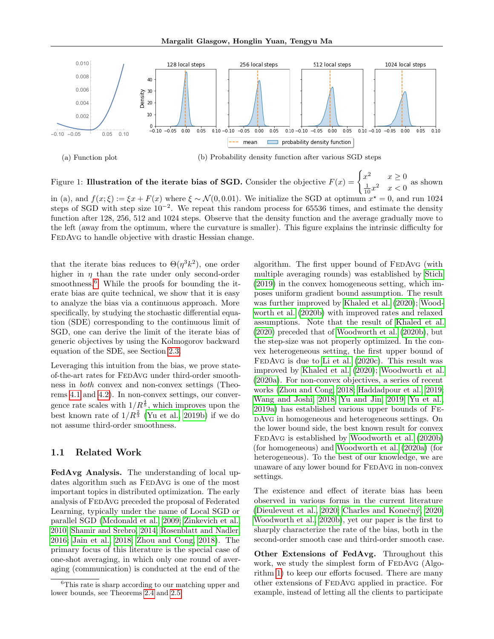Margalit Glasgow, Honglin Yuan, Tengyu Ma

<span id="page-2-1"></span>

(a) Function plot (b) Probability density function after various SGD steps

Figure 1: Illustration of the iterate bias of SGD. Consider the objective  $F(x) = \begin{cases} x^2 & x \geq 0 \\ 1 & x \end{cases}$  $\frac{1}{10}x^2 \quad x < 0$  as shown

in (a), and  $f(x;\xi) := \xi x + F(x)$  where  $\xi \sim \mathcal{N}(0,0.01)$ . We initialize the SGD at optimum  $x^* = 0$ , and run 1024 steps of SGD with step size  $10^{-2}$ . We repeat this random process for 65536 times, and estimate the density function after 128, 256, 512 and 1024 steps. Observe that the density function and the average gradually move to the left (away from the optimum, where the curvature is smaller). This figure explains the intrinsic difficulty for FEDAVG to handle objective with drastic Hessian change.

that the iterate bias reduces to  $\Theta(\eta^3 k^2)$ , one order higher in  $\eta$  than the rate under only second-order smoothness.<sup>[6](#page-2-2)</sup> While the proofs for bounding the iterate bias are quite technical, we show that it is easy to analyze the bias via a continuous approach. More specifically, by studying the stochastic differential equation (SDE) corresponding to the continuous limit of SGD, one can derive the limit of the iterate bias of generic objectives by using the Kolmogorov backward equation of the SDE, see Section [2.3.](#page-5-0)

Leveraging this intuition from the bias, we prove stateof-the-art rates for FedAvg under third-order smoothness in both convex and non-convex settings (Theorems [4.1](#page-8-0) and [4.2\)](#page-8-1). In non-convex settings, our convergence rate scales with  $1/R^{\frac{4}{5}}$ , which improves upon the best known rate of  $1/R^{\frac{2}{3}}$  [\(Yu et al., 2019b\)](#page-11-4) if we do not assume third-order smoothness.

#### <span id="page-2-0"></span>1.1 Related Work

FedAvg Analysis. The understanding of local updates algorithm such as FEDAVG is one of the most important topics in distributed optimization. The early analysis of FedAvg preceded the proposal of Federated Learning, typically under the name of Local SGD or parallel SGD [\(Mcdonald et al., 2009;](#page-10-4) [Zinkevich et al.,](#page-11-5) [2010;](#page-11-5) [Shamir and Srebro, 2014;](#page-11-6) [Rosenblatt and Nadler,](#page-11-7) [2016;](#page-11-7) [Jain et al., 2018;](#page-9-1) [Zhou and Cong, 2018\)](#page-11-8). The primary focus of this literature is the special case of one-shot averaging, in which only one round of averaging (communication) is conducted at the end of the algorithm. The first upper bound of FEDAvG (with multiple averaging rounds) was established by [Stich](#page-11-0) [\(2019\)](#page-11-0) in the convex homogeneous setting, which imposes uniform gradient bound assumption. The result was further improved by [Khaled et al.](#page-10-2) [\(2020\)](#page-10-2); [Wood](#page-11-1)[worth et al.](#page-11-1) [\(2020b\)](#page-11-1) with improved rates and relaxed assumptions. Note that the result of [Khaled et al.](#page-10-2) [\(2020\)](#page-10-2) preceded that of [Woodworth et al.](#page-11-1) [\(2020b\)](#page-11-1), but the step-size was not properly optimized. In the convex heterogeneous setting, the first upper bound of FEDAVG is due to [Li et al.](#page-10-5)  $(2020c)$ . This result was improved by [Khaled et al.](#page-10-2) [\(2020\)](#page-10-2); [Woodworth et al.](#page-11-2) [\(2020a\)](#page-11-2). For non-convex objectives, a series of recent works [\(Zhou and Cong, 2018;](#page-11-8) [Haddadpour et al., 2019;](#page-9-2) [Wang and Joshi, 2018;](#page-11-9) [Yu and Jin, 2019;](#page-11-10) [Yu et al.,](#page-11-11) [2019a\)](#page-11-11) has established various upper bounds of FedAvg in homogeneous and heterogeneous settings. On the lower bound side, the best known result for convex FedAvg is established by [Woodworth et al.](#page-11-1) [\(2020b\)](#page-11-1) (for homogeneous) and [Woodworth et al.](#page-11-2) [\(2020a\)](#page-11-2) (for heterogeneous). To the best of our knowledge, we are unaware of any lower bound for FEDAVG in non-convex settings.

The existence and effect of iterate bias has been observed in various forms in the current literature [\(Dieuleveut et al., 2020;](#page-9-3) Charles and Konečný, 2020; [Woodworth et al., 2020b\)](#page-11-1), yet our paper is the first to sharply characterize the rate of the bias, both in the second-order smooth case and third-order smooth case.

Other Extensions of FedAvg. Throughout this work, we study the simplest form of FEDAvG (Algorithm [1\)](#page-1-0) to keep our efforts focused. There are many other extensions of FedAvg applied in practice. For example, instead of letting all the clients to participate

<span id="page-2-2"></span><sup>6</sup>This rate is sharp according to our matching upper and lower bounds, see Theorems [2.4](#page-5-1) and [2.5.](#page-5-2)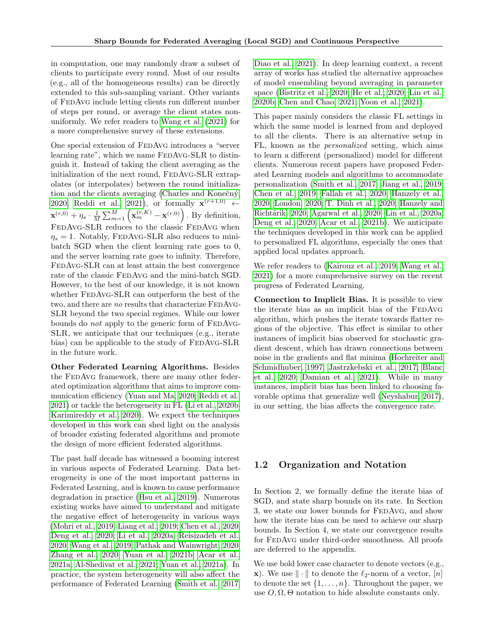in computation, one may randomly draw a subset of clients to participate every round. Most of our results (e.g., all of the homogeneous results) can be directly extended to this sub-sampling variant. Other variants of FedAvg include letting clients run different number of steps per round, or average the client states nonuniformly. We refer readers to [Wang et al.](#page-11-12) [\(2021\)](#page-11-12) for a more comprehensive survey of these extensions.

One special extension of FEDAvG introduces a "server learning rate", which we name FEDAVG-SLR to distinguish it. Instead of taking the client averaging as the initialization of the next round, FEDAVG-SLR extrapolates (or interpolates) between the round initialization and the clients averaging (Charles and Konečný, [2020;](#page-9-4) [Reddi et al., 2021\)](#page-10-6), or formally  $\mathbf{x}^{(r+1,0)} \leftarrow$  $\mathbf{x}^{(r,0)} + \eta_s \cdot \frac{1}{M} \sum_{m=1}^{M} \left( \mathbf{x}_{m}^{(r,K)} - \mathbf{x}^{(r,0)} \right)$ . By definition, FEDAVG-SLR reduces to the classic FEDAVG when  $\eta_s = 1$ . Notably, FEDAVG-SLR also reduces to minibatch SGD when the client learning rate goes to 0, and the server learning rate goes to infinity. Therefore, FedAvg-SLR can at least attain the best convergence rate of the classic FEDAvG and the mini-batch SGD. However, to the best of our knowledge, it is not known whether FEDAVG-SLR can outperform the best of the two, and there are no results that characterize FEDAvG-SLR beyond the two special regimes. While our lower bounds do *not* apply to the generic form of FEDAvG-SLR, we anticipate that our techniques (e.g., iterate bias) can be applicable to the study of FEDAVG-SLR in the future work.

Other Federated Learning Algorithms. Besides the FEDAVG framework, there are many other federated optimization algorithms that aims to improve communication efficiency [\(Yuan and Ma, 2020;](#page-11-3) [Reddi et al.,](#page-10-6) [2021\)](#page-10-6) or tackle the heterogeneity in FL [\(Li et al., 2020b;](#page-10-7) [Karimireddy et al., 2020\)](#page-10-8). We expect the techniques developed in this work can shed light on the analysis of broader existing federated algorithms and promote the design of more efficient federated algorithms.

The past half decade has witnessed a booming interest in various aspects of Federated Learning. Data heterogeneity is one of the most important patterns in Federated Learning, and is known to cause performance degradation in practice [\(Hsu et al., 2019\)](#page-9-5). Numerous existing works have aimed to understand and mitigate the negative effect of heterogeneity in various ways [\(Mohri et al., 2019;](#page-10-9) [Liang et al., 2019;](#page-10-10) [Chen et al., 2020;](#page-9-6) [Deng et al., 2020;](#page-9-7) [Li et al., 2020a;](#page-10-11) [Reisizadeh et al.,](#page-10-12) [2020;](#page-10-12) [Wang et al., 2019;](#page-11-13) [Pathak and Wainwright, 2020;](#page-10-13) [Zhang et al., 2020;](#page-11-14) [Yuan et al., 2021b;](#page-11-15) [Acar et al.,](#page-8-2) [2021a;](#page-8-2) [Al-Shedivat et al., 2021;](#page-9-8) [Yuan et al., 2021a\)](#page-11-16). In practice, the system heterogeneity will also affect the performance of Federated Learning [\(Smith et al., 2017;](#page-11-17)

[Diao et al., 2021\)](#page-9-9). In deep learning context, a recent array of works has studied the alternative approaches of model ensembling beyond averaging in parameter space [\(Bistritz et al., 2020;](#page-9-10) [He et al., 2020;](#page-9-11) [Lin et al.,](#page-10-14) [2020b;](#page-10-14) [Chen and Chao, 2021;](#page-9-12) [Yoon et al., 2021\)](#page-11-18).

This paper mainly considers the classic FL settings in which the same model is learned from and deployed to all the clients. There is an alternative setup in FL, known as the personalized setting, which aims to learn a different (personalized) model for different clients. Numerous recent papers have proposed Federated Learning models and algorithms to accommodate personalization [\(Smith et al., 2017;](#page-11-17) [Jiang et al., 2019;](#page-9-13) [Chen et al., 2019;](#page-9-14) [Fallah et al., 2020;](#page-9-15) [Hanzely et al.,](#page-9-16) [2020;](#page-9-16) [London, 2020;](#page-10-15) [T. Dinh et al., 2020;](#page-11-19) [Hanzely and](#page-9-17) [Richt´arik, 2020;](#page-9-17) [Agarwal et al., 2020;](#page-9-18) [Lin et al., 2020a;](#page-10-16) [Deng et al., 2020;](#page-9-7) [Acar et al., 2021b\)](#page-8-3). We anticipate the techniques developed in this work can be applied to personalized FL algorithms, especially the ones that applied local updates approach.

We refer readers to [\(Kairouz et al., 2019;](#page-9-19) [Wang et al.,](#page-11-12) [2021\)](#page-11-12) for a more comprehensive survey on the recent progress of Federated Learning.

Connection to Implicit Bias. It is possible to view the iterate bias as an implicit bias of the FEDAvG algorithm, which pushes the iterate towards flatter regions of the objective. This effect is similar to other instances of implicit bias observed for stochastic gradient descent, which has drawn connections between noise in the gradients and flat minima [\(Hochreiter and](#page-9-20) [Schmidhuber, 1997;](#page-9-20) [Jastrzkebski et al., 2017;](#page-9-21) [Blanc](#page-9-22) [et al., 2020;](#page-9-22) [Damian et al., 2021\)](#page-9-23). While in many instances, implicit bias has been linked to choosing favorable optima that generalize well [\(Neyshabur, 2017\)](#page-10-17), in our setting, the bias affects the convergence rate.

#### 1.2 Organization and Notation

In Section 2, we formally define the iterate bias of SGD, and state sharp bounds on its rate. In Section 3, we state our lower bounds for FEDAvG, and show how the iterate bias can be used to achieve our sharp bounds. In Section 4, we state our convergence results for FEDAVG under third-order smoothness. All proofs are deferred to the appendix.

We use bold lower case character to denote vectors (e.g., **x**). We use  $\|\cdot\|$  to denote the  $\ell_2$ -norm of a vector,  $[n]$ to denote the set  $\{1, \ldots, n\}$ . Throughout the paper, we use  $O, \Omega, \Theta$  notation to hide absolute constants only.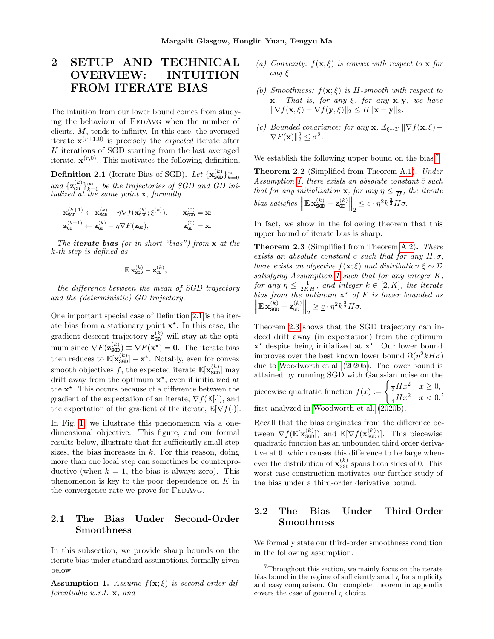# <span id="page-4-6"></span>2 SETUP AND TECHNICAL OVERVIEW: INTUITION FROM ITERATE BIAS

The intuition from our lower bound comes from studying the behaviour of FedAvg when the number of clients,  $M$ , tends to infinity. In this case, the averaged iterate  $\mathbf{x}^{(r+1,0)}$  is precisely the *expected* iterate after  $K$  iterations of SGD starting from the last averaged iterate,  $\mathbf{x}^{(r,0)}$ . This motivates the following definition.

<span id="page-4-1"></span>**Definition 2.1** (Iterate Bias of SGD). Let  $\{x_{\text{SGD}}^{(k)}\}_{k=0}^{\infty}$ and  $\{z_{\text{GD}}^{(k)}\}_{k=0}^{\infty}$  be the trajectories of SGD and GD initialized at the same point **x**, formally

$$
\begin{aligned} \mathbf{x}_{\text{SGD}}^{(k+1)}\leftarrow&\mathbf{x}_{\text{SGD}}^{(k)}-\eta\nabla f(\mathbf{x}_{\text{SGD}}^{(k)};\boldsymbol{\xi}^{(k)}),\qquad \mathbf{x}_{\text{SGD}}^{(0)}=\mathbf{x};\\ \mathbf{z}_{\text{GP}}^{(k+1)}\leftarrow&\mathbf{z}_{\text{GP}}^{(k)}-\eta\nabla F(\mathbf{z}_{\text{GD}}),\qquad\qquad \mathbf{z}_{\text{GP}}^{(0)}=\mathbf{x}. \end{aligned}
$$

The **iterate bias** (or in short "bias") from  $x$  at the k-th step is defined as

$$
\mathbb{E}\,\mathbf{x}^{(k)}_{\texttt{SGD}}-\mathbf{z}^{(k)}_{\texttt{GD}},
$$

the difference between the mean of SGD trajectory and the (deterministic) GD trajectory.

One important special case of Definition [2.1](#page-4-1) is the iterate bias from a stationary point  $\mathbf{x}^*$ . In this case, the gradient descent trajectory  $\mathbf{z}_{\text{GD}}^{(k)}$  will stay at the optimum since  $\nabla F(\mathbf{z}_{\text{SGD}}^{(k)}) \equiv \nabla F(\mathbf{x}^*) = \mathbf{0}$ . The iterate bias then reduces to  $\mathbb{E}[\mathbf{x}_{\text{SGD}}^{(k)}] - \mathbf{x}^*$ . Notably, even for convex smooth objectives f, the expected iterate  $\mathbb{E}[\mathbf{x}_{\text{SGD}}^{(k)}]$  may drift away from the optimum  $x^*$ , even if initialized at the  $x^*$ . This occurs because of a difference between the gradient of the expectation of an iterate,  $\nabla f(\mathbb{E}[\cdot])$ , and the expectation of the gradient of the iterate,  $\mathbb{E}[\nabla f(\cdot)].$ 

In Fig. [1,](#page-2-1) we illustrate this phenomenon via a onedimensional objective. This figure, and our formal results below, illustrate that for sufficiently small step sizes, the bias increases in  $k$ . For this reason, doing more than one local step can sometimes be counterproductive (when  $k = 1$ , the bias is always zero). This phenomenon is key to the poor dependence on  $K$  in the convergence rate we prove for FEDAvG.

## 2.1 The Bias Under Second-Order Smoothness

In this subsection, we provide sharp bounds on the iterate bias under standard assumptions, formally given below.

<span id="page-4-0"></span>**Assumption 1.** Assume  $f(\mathbf{x}; \xi)$  is second-order differentiable w.r.t. x, and

- (a) Convexity:  $f(\mathbf{x}; \xi)$  is convex with respect to **x** for any ξ.
- (b) Smoothness:  $f(\mathbf{x}; \xi)$  is H-smooth with respect to **x**. That is, for any  $\xi$ , for any **x**, **y**, we have  $\|\nabla f(\mathbf{x}; \xi) - \nabla f(\mathbf{y}; \xi)\|_2 \leq H \|\mathbf{x} - \mathbf{y}\|_2.$
- (c) Bounded covariance: for any  $\mathbf{x}, \mathbb{E}_{\xi \sim \mathcal{D}} \|\nabla f(\mathbf{x}, \xi) \nabla F(\mathbf{x}) \|_2^2 \leq \sigma^2$ .

We establish the following upper bound on the bias.<sup>[7](#page-4-4)</sup>

<span id="page-4-2"></span>Theorem 2.2 (Simplified from Theorem [A.1\)](#page-12-0). Under Assumption [1,](#page-4-0) there exists an absolute constant  $\bar{c}$  such that for any initialization **x**, for any  $\eta \leq \frac{1}{H}$ , the iterate bias satisfies  $\left\|\mathbb{E} \mathbf{x}_{\text{SGD}}^{(k)} - \mathbf{z}_{\text{GD}}^{(k)}\right\|_2 \leq \bar{c} \cdot \eta^2 k^{\frac{3}{2}} H \sigma.$ 

In fact, we show in the following theorem that this upper bound of iterate bias is sharp.

<span id="page-4-3"></span>**Theorem 2.3** (Simplified from Theorem [A.2\)](#page-12-1). There exists an absolute constant  $\mathfrak c$  such that for any  $H, \sigma$ , there exists an objective  $f(\mathbf{x}; \xi)$  and distribution  $\xi \sim \mathcal{D}$ satisfying Assumption [1](#page-4-0) such that for any integer K, for any  $\eta \leq \frac{1}{2KH}$ , and integer  $k \in [2, K]$ , the iterate bias from the optimum  $x^*$  of F is lower bounded as  $\left\|\mathbb{E} \mathbf{x}_{\texttt{SGD}}^{(k)} - \mathbf{z}_{\texttt{GD}}^{(k)} \right\|_2 \geq \underline{c} \cdot \eta^2 k^{\frac{3}{2}} H \sigma.$ 

Theorem [2.3](#page-4-3) shows that the SGD trajectory can indeed drift away (in expectation) from the optimum x ? despite being initialized at x ? . Our lower bound improves over the best known lower bound  $\Omega(\eta^2 k H \sigma)$ due to [Woodworth et al.](#page-11-1) [\(2020b\)](#page-11-1). The lower bound is attained by running SGD with Gaussian noise on the piecewise quadratic function  $f(x) := \begin{cases} \frac{1}{2}Hx^2 & x \ge 0, \\ \frac{1}{4}Hx^2 & x < 0. \end{cases}$ first analyzed in [Woodworth et al.](#page-11-1) [\(2020b\)](#page-11-1).

Recall that the bias originates from the difference between  $\nabla f(\mathbb{E}[\mathbf{x}_{\text{SGD}}^{(k)}])$  and  $\mathbb{E}[\nabla f(\mathbf{x}_{\text{SGD}}^{(k)})]$ . This piecewise quadratic function has an unbounded third order derivative at 0, which causes this difference to be large whenever the distribution of  $\mathbf{x}_{\text{SGD}}^{(k)}$  spans both sides of 0. This worst case construction motivates our further study of the bias under a third-order derivative bound.

## 2.2 The Bias Under Third-Order Smoothness

We formally state our third-order smoothness condition in the following assumption.

<span id="page-4-5"></span><span id="page-4-4"></span><sup>&</sup>lt;sup>7</sup>Throughout this section, we mainly focus on the iterate bias bound in the regime of sufficiently small  $\eta$  for simplicity and easy comparison. Our complete theorem in appendix covers the case of general  $\eta$  choice.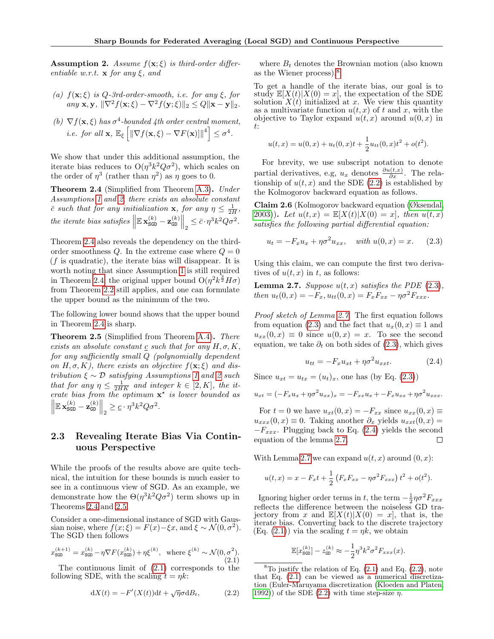**Assumption 2.** Assume  $f(\mathbf{x}; \xi)$  is third-order differentiable w.r.t.  $\mathbf x$  for any  $\xi$ , and

- (a)  $f(\mathbf{x}; \xi)$  is Q-3rd-order-smooth, i.e. for any  $\xi$ , for any  $\mathbf{x}, \mathbf{y}, \|\nabla^2 f(\mathbf{x}; \xi) - \nabla^2 f(\mathbf{y}; \xi)\|_2 \leq Q\|\mathbf{x} - \mathbf{y}\|_2.$
- (b)  $\nabla f(\mathbf{x}, \xi)$  has  $\sigma^4$ -bounded 4th order central moment, *i.e.* for all  $\mathbf{x}, \mathbb{E}_{\xi} \left[ \left\| \nabla f(\mathbf{x}, \xi) - \nabla F(\mathbf{x}) \right\|^4 \right] \leq \sigma^4$ .

We show that under this additional assumption, the iterate bias reduces to  $O(\eta^3 k^2 Q \sigma^2)$ , which scales on the order of  $\eta^3$  (rather than  $\eta^2$ ) as  $\eta$  goes to 0.

<span id="page-5-1"></span>Theorem 2.4 (Simplified from Theorem [A.3\)](#page-13-0). Under Assumptions [1](#page-4-0) and [2,](#page-4-5) there exists an absolute constant  $\bar{c}$  such that for any initialization **x**, for any  $\eta \leq \frac{1}{2H}$ , the iterate bias satisfies  $\left\|\mathbb{E} \mathbf{x}_{\text{SGD}}^{(k)} - \mathbf{z}_{\text{GD}}^{(k)}\right\|_2 \leq \bar{c} \cdot \eta^3 k^2 Q \sigma^2$ .

Theorem [2.4](#page-5-1) also reveals the dependency on the thirdorder smoothness  $Q$ . In the extreme case where  $Q = 0$  $(f$  is quadratic), the iterate bias will disappear. It is worth noting that since Assumption [1](#page-4-0) is still required in Theorem [2.4,](#page-5-1) the original upper bound  $O(\eta^2 k^{\frac{3}{2}} H \sigma)$ from Theorem [2.2](#page-4-2) still applies, and one can formulate the upper bound as the minimum of the two.

The following lower bound shows that the upper bound in Theorem [2.4](#page-5-1) is sharp.

<span id="page-5-2"></span>Theorem 2.5 (Simplified from Theorem [A.4\)](#page-13-1). There exists an absolute constant  $\underline{c}$  such that for any  $H, \sigma, K$ , for any sufficiently small Q (polynomially dependent on H,  $\sigma$ , K), there exists an objective  $f(\mathbf{x}; \xi)$  and distribution  $\xi \sim \mathcal{D}$  satisfying Assumptions [1](#page-4-0) and [2](#page-4-5) such that for any  $\eta \leq \frac{1}{2HK}$  and integer  $k \in [2, K]$ , the iterate bias from the optimum  $x^*$  is lower bounded as  $\left\|\mathbb{E} \mathbf{x}_{\texttt{SGD}}^{(k)} - \mathbf{z}_{\texttt{GD}}^{(k)}\right\|_2 \geq \underline{c} \cdot \eta^3 k^2 Q \sigma^2.$ 

## <span id="page-5-0"></span>2.3 Revealing Iterate Bias Via Continuous Perspective

While the proofs of the results above are quite technical, the intuition for these bounds is much easier to see in a continuous view of SGD. As an example, we demonstrate how the  $\Theta(\eta^3 k^2 Q \sigma^2)$  term shows up in Theorems [2.4](#page-5-1) and [2.5.](#page-5-2)

Consider a one-dimensional instance of SGD with Gaussian noise, where  $f(x;\xi) = F(x) - \xi x$ , and  $\xi \sim \mathcal{N}(0, \sigma^2)$ . The SGD then follows

<span id="page-5-3"></span>
$$
x_{\text{SGD}}^{(k+1)} = x_{\text{SGD}}^{(k)} - \eta \nabla F(x_{\text{SGD}}^{(k)}) + \eta \xi^{(k)}, \text{ where } \xi^{(k)} \sim \mathcal{N}(0, \sigma^2). \tag{2.1}
$$

The continuous limit of [\(2.1\)](#page-5-3) corresponds to the following SDE, with the scaling  $t = \eta k$ :

<span id="page-5-5"></span>
$$
dX(t) = -F'(X(t))dt + \sqrt{\eta}\sigma dB_t, \qquad (2.2)
$$

where  $B_t$  denotes the Brownian motion (also known as the Wiener process).[8](#page-5-4)

To get a handle of the iterate bias, our goal is to study  $\mathbb{E}[X(t)|X(0) = x]$ , the expectation of the SDE solution  $X(t)$  initialized at x. We view this quantity as a multivariate function  $u(t, x)$  of t and x, with the objective to Taylor expand  $u(t, x)$  around  $u(0, x)$  in t:

$$
u(t,x) = u(0,x) + u_t(0,x)t + \frac{1}{2}u_{tt}(0,x)t^{2} + o(t^{2}).
$$

For brevity, we use subscript notation to denote partial derivatives, e.g,  $u_x$  denotes  $\frac{\partial u(t,x)}{\partial x}$ . The relationship of  $u(t, x)$  and the SDE [\(2.2\)](#page-5-5) is established by the Kolmogorov backward equation as follows.

Claim 2.6 (Kolmogorov backward equation [\(Øksendal,](#page-10-18) [2003\)](#page-10-18)). Let  $u(t, x) = \mathbb{E}[X(t)|X(0) = x]$ , then  $u(t, x)$ satisfies the following partial differential equation:

<span id="page-5-6"></span>
$$
u_t = -F_x u_x + \eta \sigma^2 u_{xx}, \quad \text{with } u(0, x) = x. \tag{2.3}
$$

Using this claim, we can compute the first two derivatives of  $u(t, x)$  in t, as follows:

<span id="page-5-7"></span>**Lemma 2.7.** Suppose  $u(t, x)$  satisfies the PDE [\(2.3\)](#page-5-6), then  $u_t(0, x) = -F_x, u_{tt}(0, x) = F_xF_{xx} - \eta \sigma^2 F_{xxx}$ .

Proof sketch of Lemma [2.7.](#page-5-7) The first equation follows from equation [\(2.3\)](#page-5-6) and the fact that  $u_x(0, x) \equiv 1$  and  $u_{xx}(0, x) \equiv 0$  since  $u(0, x) = x$ . To see the second equation, we take  $\partial_t$  on both sides of [\(2.3\)](#page-5-6), which gives

<span id="page-5-8"></span>
$$
u_{tt} = -F_x u_{xt} + \eta \sigma^2 u_{xxt}.
$$
 (2.4)

Since  $u_{xt} = u_{tx} = (u_t)_x$ , one has (by Eq. [\(2.3\)](#page-5-6))

$$
u_{xt} = (-F_x u_x + \eta \sigma^2 u_{xx})_x = -F_{xx} u_x + -F_x u_{xx} + \eta \sigma^2 u_{xxx}.
$$

For  $t = 0$  we have  $u_{xt}(0, x) = -F_{xx}$  since  $u_{xx}(0, x) \equiv$  $u_{xxx}(0, x) \equiv 0$ . Taking another  $\partial_x$  yields  $u_{xxt}(0, x) =$  $-F_{xxx}$ . Plugging back to Eq. [\(2.4\)](#page-5-8) yields the second equation of the lemma [2.7.](#page-5-7)  $\Box$ 

With Lemma [2.7](#page-5-7) we can expand  $u(t, x)$  around  $(0, x)$ :

$$
u(t,x) = x - F_x t + \frac{1}{2} \left( F_x F_{xx} - \eta \sigma^2 F_{xxx} \right) t^2 + o(t^2).
$$

Ignoring higher order terms in t, the term  $-\frac{1}{2}\eta\sigma^2F_{xxx}$ reflects the difference between the noiseless GD trajectory from x and  $\mathbb{E}[X(t)|X(0) = x]$ , that is, the iterate bias. Converting back to the discrete trajectory  $(Eq. (2.1))$  $(Eq. (2.1))$  $(Eq. (2.1))$  via the scaling  $t = \eta k$ , we obtain

$$
\mathbb{E}[x_{\text{sgn}}^{(k)}] - z_{\text{gp}}^{(k)} \approx -\frac{1}{2} \eta^3 k^2 \sigma^2 F_{xxx}(x).
$$

<span id="page-5-4"></span> ${}^{8}$ To justify the relation of Eq.  $(2.1)$  and Eq.  $(2.2)$ , note that Eq. [\(2.1\)](#page-5-3) can be viewed as a numerical discretization (Euler-Maruyama discretization [\(Kloeden and Platen,](#page-10-19) [1992\)](#page-10-19)) of the SDE [\(2.2\)](#page-5-5) with time step-size  $\eta$ .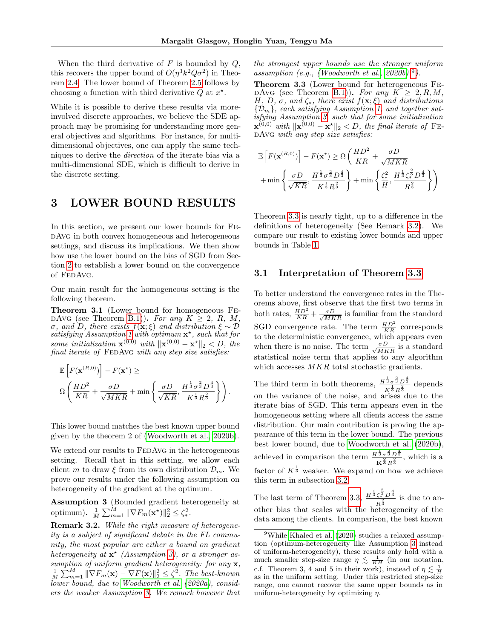When the third derivative of  $F$  is bounded by  $Q$ , this recovers the upper bound of  $O(\eta^3 k^2 Q \sigma^2)$  in Theorem [2.4.](#page-5-1) The lower bound of Theorem [2.5](#page-5-2) follows by choosing a function with third derivative  $Q$  at  $x^*$ .

While it is possible to derive these results via moreinvolved discrete approaches, we believe the SDE approach may be promising for understanding more general objectives and algorithms. For instance, for multidimensional objectives, one can apply the same techniques to derive the direction of the iterate bias via a multi-dimensional SDE, which is difficult to derive in the discrete setting.

## <span id="page-6-5"></span>3 LOWER BOUND RESULTS

In this section, we present our lower bounds for FedAvg in both convex homogeneous and heterogeneous settings, and discuss its implications. We then show how use the lower bound on the bias of SGD from Section [2](#page-4-6) to establish a lower bound on the convergence of FEDAVG.

Our main result for the homogeneous setting is the following theorem.

<span id="page-6-2"></span>Theorem 3.1 (Lower bound for homogeneous Fe-DAVG (see Theorem [B.1\)](#page-19-0)). For any  $K \geq 2$ , R, M, σ, and D, there exists f(x; ξ) and distribution ξ ∼ D satisfying Assumption [1](#page-4-0) with optimum  $\mathbf{x}^*$ , such that for some initialization  $\mathbf{x}^{(0,0)}$  with  $\|\mathbf{x}^{(0,0)} - \mathbf{x}^*\|_2 < D$ , the final iterate of  $FEDAVG$  with any step size satisfies:

$$
\mathbb{E}\left[F(\mathbf{x}^{(R,0)})\right] - F(\mathbf{x}^*) \ge \Omega\left(\frac{HD^2}{KR} + \frac{\sigma D}{\sqrt{MKR}} + \min\left\{\frac{\sigma D}{\sqrt{KR}}, \frac{H^{\frac{1}{3}}\sigma^{\frac{2}{3}}D^{\frac{4}{3}}}{K^{\frac{1}{3}}R^{\frac{2}{3}}}\right\}\right).
$$

This lower bound matches the best known upper bound given by the theorem 2 of [\(Woodworth et al., 2020b\)](#page-11-1).

We extend our results to FEDAVG in the heterogeneous setting. Recall that in this setting, we allow each client m to draw  $\xi$  from its own distribution  $\mathcal{D}_m$ . We prove our results under the following assumption on heterogeneity of the gradient at the optimum.

<span id="page-6-1"></span>Assumption 3 (Bounded gradient heterogeneity at optimum).  $\frac{1}{M} \sum_{m=1}^{M} \|\nabla F_m(\mathbf{x}^*)\|_2^2 \leq \zeta_*^2$ .

<span id="page-6-0"></span>Remark 3.2. While the right measure of heterogeneity is a subject of significant debate in the FL community, the most popular are either a bound on gradient heterogeneity at  $\mathbf{x}^*$  (Assumption [3\)](#page-6-1), or a stronger assumption of uniform gradient heterogeneity: for any  $x$ ,  $\frac{1}{M}\sum_{m=1}^{M} \|\nabla F_m(\mathbf{x}) - \nabla F(\mathbf{x})\|_2^2 \leq \zeta^2$ . The best-known lower bound, due to [Woodworth et al.](#page-11-2) [\(2020a\)](#page-11-2), considers the weaker Assumption [3.](#page-6-1) We remark however that

the strongest upper bounds use the stronger uniform assumption (e.g., (Woodworth et al.,  $2020b$ )<sup>[9](#page-6-4)</sup>).

<span id="page-6-3"></span>Theorem 3.3 (Lower bound for heterogeneous Fe-DAVG (see Theorem [B.1\)](#page-19-0)). For any  $K \geq 2, R, M$ , H, D,  $\sigma$ , and  $\zeta_*$ , there exist  $f(\mathbf{x}; \xi)$  and distributions  ${\{\mathcal{D}_m\}}$ , each satisfying Assumption [1,](#page-4-0) and together satisfying Assumption [3,](#page-6-1) such that for some initialization  $\mathbf{x}^{(0,0)}$  with  $\|\mathbf{x}^{(0,0)} - \mathbf{x}^{\star}\|_{2} < D$ , the final iterate of FE-DAVG with any step size satisfies:

$$
\mathbb{E}\left[F(\mathbf{x}^{(R,0)})\right] - F(\mathbf{x}^*) \ge \Omega\left(\frac{HD^2}{KR} + \frac{\sigma D}{\sqrt{MKR}} + \frac{\sigma D}{\sqrt{MKR}}\right) + \min\left\{\frac{\sigma D}{\sqrt{KR}}, \frac{H^{\frac{1}{3}}\sigma^{\frac{2}{3}}D^{\frac{4}{3}}}{K^{\frac{1}{3}}R^{\frac{2}{3}}}\right\} + \min\left\{\frac{\zeta_*^2}{H}, \frac{H^{\frac{1}{3}}\zeta_*^{\frac{2}{3}}D^{\frac{4}{3}}}{R^{\frac{2}{3}}}\right\}\right)
$$

Theorem [3.3](#page-6-3) is nearly tight, up to a difference in the definitions of heterogeneity (See Remark [3.2\)](#page-6-0). We compare our result to existing lower bounds and upper bounds in Table [1.](#page-1-1)

#### 3.1 Interpretation of Theorem [3.3](#page-6-3)

To better understand the convergence rates in the Theorems above, first observe that the first two terms in both rates,  $\frac{HD^2}{KR} + \frac{\sigma D}{\sqrt{MKR}}$  is familiar from the standard SGD convergence rate. The term  $\frac{HD^2}{KR}$  corresponds to the deterministic convergence, which appears even when there is no noise. The term  $\frac{\sigma D}{\sqrt{MKR}}$  is a standard statistical noise term that applies to any algorithm which accesses  $MKR$  total stochastic gradients.

The third term in both theorems,  $\frac{H^{\frac{1}{3}}\sigma^{\frac{2}{3}}D^{\frac{4}{3}}}{1}$  $\frac{3 \sigma^3 D^3}{K^{\frac{1}{3}} R^{\frac{2}{3}}}$  depends on the variance of the noise, and arises due to the iterate bias of SGD. This term appears even in the homogeneous setting where all clients access the same distribution. Our main contribution is proving the appearance of this term in the lower bound. The previous best lower bound, due to [Woodworth et al.](#page-11-1) [\(2020b\)](#page-11-1), achieved in comparison the term  $\frac{H^{\frac{1}{3}}\sigma^{\frac{2}{3}}D^{\frac{4}{3}}}{\sigma^2}$  $\frac{3 \sigma^3 D^3}{K^{\frac{2}{3}} R^{\frac{2}{3}}}$ , which is a factor of  $K^{\frac{1}{3}}$  weaker. We expand on how we achieve this term in subsection [3.2.](#page-7-0)

The last term of Theorem [3.3,](#page-6-3)  $\frac{H^{\frac{1}{3}}\zeta_*^{\frac{2}{3}}D^{\frac{4}{3}}}{\frac{2}{3}}$  $rac{\zeta_*^2 D^3}{R^{\frac{2}{3}}}$  is due to another bias that scales with the heterogeneity of the data among the clients. In comparison, the best known

<span id="page-6-4"></span><sup>&</sup>lt;sup>9</sup>While [Khaled et al.](#page-10-2) [\(2020\)](#page-10-2) studies a relaxed assumption (optimum-heterogeneity like Assumption [3](#page-6-1) instead of uniform-heterogeneity), these results only hold with a much smaller step-size range  $\eta \lesssim \frac{1}{KH}$  (in our notation, c.f. Theorem 3, 4 and 5 in their work), instead of  $\eta \lesssim \frac{1}{H}$ as in the uniform setting. Under this restricted step-size range, one cannot recover the same upper bounds as in uniform-heterogeneity by optimizing  $\eta$ .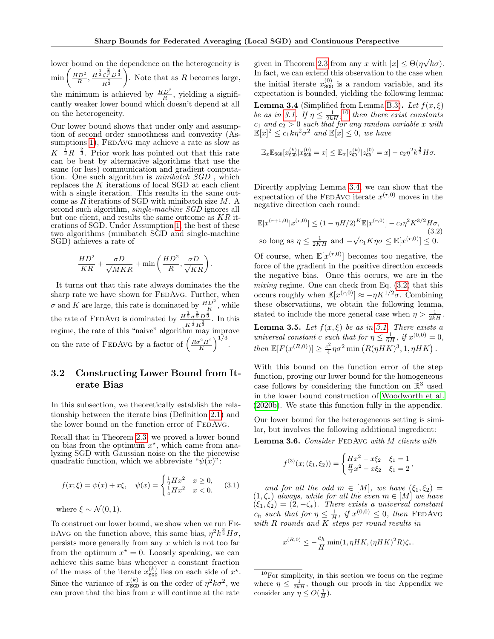lower bound on the dependence on the heterogeneity is  $\min\left(\frac{HD^2}{R}, \frac{H^{\frac{1}{3}}\zeta_*^{\frac{2}{3}}D^{\frac{4}{3}}}{R^{\frac{2}{3}}} \right)$  $\overline{R^{\frac{2}{3}}}$ ). Note that as  $R$  becomes large, the minimum is achieved by  $\frac{HD^2}{R}$ , yielding a significantly weaker lower bound which doesn't depend at all on the heterogeneity.

Our lower bound shows that under only and assumption of second order smoothness and convexity (As-sumptions [1\)](#page-4-0), FEDAVG may achieve a rate as slow as  $K^{-\frac{1}{3}}R^{-\frac{2}{3}}$ . Prior work has pointed out that this rate can be beat by alternative algorithms that use the same (or less) communication and gradient computation. One such algorithm is *minibatch SGD*, which replaces the K iterations of local SGD at each client with a single iteration. This results in the same outcome as  $R$  iterations of SGD with minibatch size  $M$ . A second such algorithm, *single-machine SGD* ignores all but one client, and results the same outcome as  $KR$  iterations of SGD. Under Assumption [1,](#page-4-0) the best of these two algorithms (minibatch SGD and single-machine SGD) achieves a rate of

$$
\frac{HD^2}{KR} + \frac{\sigma D}{\sqrt{MKR}} + \min\left(\frac{HD^2}{R}, \frac{\sigma D}{\sqrt{KR}}\right)
$$

.

It turns out that this rate always dominates the the sharp rate we have shown for FEDAvG. Further, when  $\sigma$  and K are large, this rate is dominated by  $\frac{HD^2}{R}$ , while R the rate of FEDAVG is dominated by  $\frac{H^{\frac{1}{3}}\sigma^{\frac{2}{3}}D^{\frac{4}{3}}}{\sigma^{\frac{1}{3}}L^{\frac{2}{3}}}$  $\frac{3 \sigma^3 D^3}{K^{\frac{1}{3}} R^{\frac{2}{3}}}$ . In this regime, the rate of this "naive" algorithm may improve on the rate of FEDAvG by a factor of  $\left(\frac{R\sigma^2H^2}{K}\right)^{1/3}$ .

## <span id="page-7-0"></span>3.2 Constructing Lower Bound from Iterate Bias

In this subsection, we theoretically establish the relationship between the iterate bias (Definition [2.1\)](#page-4-1) and the lower bound on the function error of FEDAVG.

Recall that in Theorem [2.3,](#page-4-3) we proved a lower bound on bias from the optimum  $x^*$ , which came from analyzing SGD with Gaussian noise on the the piecewise quadratic function, which we abbreviate " $\psi(x)$ ":

<span id="page-7-1"></span>
$$
f(x; \xi) = \psi(x) + x\xi, \quad \psi(x) = \begin{cases} \frac{1}{2}Hx^2 & x \ge 0, \\ \frac{1}{4}Hx^2 & x < 0. \end{cases}
$$
 (3.1)

where  $\xi \sim \mathcal{N}(0, 1)$ .

To construct our lower bound, we show when we run Fe-DAvg on the function above, this same bias,  $\eta^2 k^{\frac{3}{2}} H \sigma$ , persists more generally from any  $x$  which is not too far from the optimum  $x^* = 0$ . Loosely speaking, we can achieve this same bias whenever a constant fraction of the mass of the iterate  $x_{\text{SGD}}^{(k)}$  lies on each side of  $x^*$ . Since the variance of  $x_{\text{SGD}}^{(k)}$  is on the order of  $\eta^2 k \sigma^2$ , we can prove that the bias from  $x$  will continue at the rate

<span id="page-7-3"></span>given in Theorem [2.3](#page-4-3) from any x with  $|x| \leq \Theta(\eta)$ √  $k\sigma$ ). In fact, we can extend this observation to the case when the initial iterate  $x_{\text{SGD}}^{(0)}$  is a random variable, and its expectation is bounded, yielding the following lemma: **Lemma 3.4** (Simplified from Lemma [B.3\)](#page-21-0). Let  $f(x,\xi)$ be as in [3.1.](#page-7-1) If  $\eta \leq \frac{1}{2kH}$ , <sup>[10](#page-7-2)</sup> then there exist constants  $c_1$  and  $c_2 > 0$  such that for any random variable x with  $\mathbb{E}[x]^2 \leq c_1 k \eta^2 \sigma^2$  and  $\mathbb{E}[x] \leq 0$ , we have

$$
\mathbb{E}_x \mathbb{E}_{\text{SGD}}[x^{(k)}_{\text{SGD}} | x^{(0)}_{\text{SGD}} = x] \leq \mathbb{E}_x [z^{(k)}_{\text{GD}} | z^{(0)}_{\text{GD}} = x] - c_2 \eta^2 k^{\frac{3}{2}} H \sigma.
$$

Directly applying Lemma [3.4,](#page-7-3) we can show that the expectation of the FEDAvG iterate  $x^{(r,0)}$  moves in the negative direction each round:

<span id="page-7-4"></span>
$$
\mathbb{E}[x^{(r+1,0)}|x^{(r,0)}] \le (1 - \eta H/2)^K \mathbb{E}[x^{(r,0)}] - c_2 \eta^2 K^{3/2} H \sigma,
$$
  
so long as  $\eta \le \frac{1}{2KH}$  and  $-\sqrt{c_1 K} \eta \sigma \le \mathbb{E}[x^{(r,0)}] \le 0.$  (3.2)

Of course, when  $\mathbb{E}[x^{(r,0)}]$  becomes too negative, the force of the gradient in the positive direction exceeds the negative bias. Once this occurs, we are in the mixing regime. One can check from Eq. [\(3.2\)](#page-7-4) that this occurs roughly when  $\mathbb{E}[x^{(r,0)}] \approx -\eta K^{1/2}\sigma$ . Combining these observations, we obtain the following lemma, stated to include the more general case when  $\eta > \frac{1}{2kH}$ .

**Lemma 3.5.** Let  $f(x, \xi)$  be as in [3.1.](#page-7-1) There exists a universal constant c such that for  $\eta \leq \frac{1}{6H}$ , if  $x^{(0,0)} = 0$ , then  $\mathbb{E}[F(x^{(R,0)})] \geq \frac{c^2}{4}$  $\frac{e^2}{4}\eta\sigma^2\min\left(R(\eta HK)^3,1,\eta HK\right).$ 

With this bound on the function error of the step function, proving our lower bound for the homogeneous case follows by considering the function on  $\mathbb{R}^3$  used in the lower bound construction of [Woodworth et al.](#page-11-1) [\(2020b\)](#page-11-1). We state this function fully in the appendix.

<span id="page-7-5"></span>Our lower bound for the heterogeneous setting is similar, but involves the following additional ingredient: Lemma 3.6. Consider FEDAVG with M clients with

$$
f^{(3)}(x;(\xi_1,\xi_2)) = \begin{cases} Hx^2 - x\xi_2 & \xi_1 = 1 \\ \frac{H}{2}x^2 - x\xi_2 & \xi_1 = 2 \end{cases}
$$

and for all the odd  $m \in [M]$ , we have  $(\xi_1, \xi_2)$  =  $(1, \zeta_*)$  always, while for all the even  $m \in [M]$  we have  $(\xi_1, \xi_2) = (2, -\zeta_*)$ . There exists a universal constant  $c_h$  such that for  $\eta \leq \frac{1}{H}$ , if  $x^{(0,0)} \leq 0$ , then FEDAVG with R rounds and K steps per round results in

$$
x^{(R,0)} \le -\frac{c_h}{H} \min(1, \eta HK, (\eta HK)^2 R) \zeta_*.
$$

<span id="page-7-2"></span> $10$ For simplicity, in this section we focus on the regime where  $\eta \leq \frac{1}{2kH}$ , though our proofs in the Appendix we consider any  $\eta \le O(\frac{1}{H}).$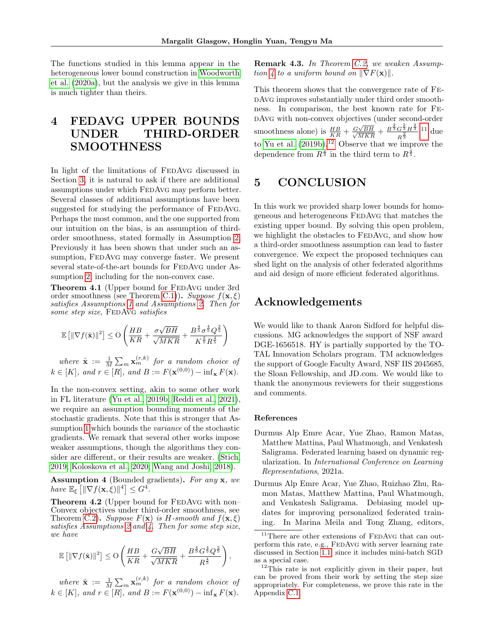The functions studied in this lemma appear in the heterogeneous lower bound construction in [Woodworth](#page-11-2) [et al.](#page-11-2) [\(2020a\)](#page-11-2), but the analysis we give in this lemma is much tighter than theirs.

# 4 FEDAVG UPPER BOUNDS UNDER THIRD-ORDER SMOOTHNESS

In light of the limitations of FEDAvG discussed in Section [3,](#page-6-5) it is natural to ask if there are additional assumptions under which FedAvg may perform better. Several classes of additional assumptions have been suggested for studying the performance of FEDAvG. Perhaps the most common, and the one supported from our intuition on the bias, is an assumption of thirdorder smoothness, stated formally in Assumption [2.](#page-4-5) Previously it has been shown that under such an assumption, FEDAVG may converge faster. We present several state-of-the-art bounds for FEDAvG under Assumption [2,](#page-4-5) including for the non-convex case.

<span id="page-8-0"></span>Theorem 4.1 (Upper bound for FEDAvG under 3rd order smoothness (see Theorem [C.1\)](#page-36-0)). Suppose  $f(\mathbf{x}, \xi)$ satisfies Assumptions [1](#page-4-0) and Assumptions [2.](#page-4-5) Then for some step size, FEDAVG satisfies

$$
\mathbb{E}\left[\|\nabla f(\hat{\mathbf{x}})\|^2\right] \leq \mathcal{O}\left(\frac{HB}{KR} + \frac{\sigma\sqrt{BH}}{\sqrt{MKR}} + \frac{B^{\frac{4}{5}}\sigma^{\frac{4}{5}}Q^{\frac{2}{5}}}{K^{\frac{2}{5}}R^{\frac{4}{5}}}\right)
$$

where  $\hat{\mathbf{x}} := \frac{1}{M} \sum_m \mathbf{x}_m^{(r,k)}$  for a random choice of  $k \in [K]$ , and  $r \in [R]$ , and  $B := F(\mathbf{x}^{(0,0)}) - \inf_{\mathbf{x}} F(\mathbf{x})$ .

In the non-convex setting, akin to some other work in FL literature [\(Yu et al., 2019b;](#page-11-4) [Reddi et al., 2021\)](#page-10-6), we require an assumption bounding moments of the stochastic gradients. Note that this is stronger that Assumption [1](#page-4-0) which bounds the variance of the stochastic gradients. We remark that several other works impose weaker assumptions, though the algorithms they consider are different, or their results are weaker. [\(Stich,](#page-11-0) [2019;](#page-11-0) [Koloskova et al., 2020;](#page-10-20) [Wang and Joshi, 2018\)](#page-11-9).

<span id="page-8-4"></span>**Assumption 4** (Bounded gradients). For any  $x$ , we have  $\mathbb{E}_{\xi} \left[ \|\nabla f(\mathbf{x}, \xi)\|^4 \right] \leq G^4$ .

<span id="page-8-1"></span>Theorem 4.2 (Upper bound for FEDAVG with non-Convex objectives under third-order smoothness, see Theorem [C.2\)](#page-36-1). Suppose  $F(\mathbf{x})$  is H-smooth and  $f(\mathbf{x}, \xi)$ satisfies Assumptions [2](#page-4-5) and  $\angle$ . Then for some step size, we have

$$
\mathbb{E}\left[\|\nabla f(\hat{\mathbf{x}})\|^2\right] \leq \mathcal{O}\left(\frac{HB}{KR} + \frac{G\sqrt{BH}}{\sqrt{MKR}} + \frac{B^{\frac{4}{5}}G^{\frac{4}{5}}Q^{\frac{2}{5}}}{R^{\frac{4}{5}}}\right),
$$

where  $\hat{\mathbf{x}} := \frac{1}{M} \sum_m \mathbf{x}_m^{(r,k)}$  for a random choice of  $k \in [K]$ , and  $r \in [R]$ , and  $B := F(\mathbf{x}^{(0,0)}) - \inf_{\mathbf{x}} F(\mathbf{x})$ . Remark 4.3. In Theorem [C.2,](#page-36-1) we weaken Assump-tion [4](#page-8-4) to a uniform bound on  $\|\nabla F(\mathbf{x})\|$ .

This theorem shows that the convergence rate of Fe-DAVG improves substantially under third order smoothness. In comparison, the best known rate for Fe-DAvG with non-convex objectives (under second-order smoothness alone) is  $\frac{HB}{KR} + \frac{G\sqrt{M}}{\sqrt{M}}$  $\frac{G\sqrt{BH}}{\sqrt{MKR}}+\frac{B^{\frac{2}{3}}G^{\frac{2}{3}}H^{\frac{2}{3}}}{R^{\frac{2}{3}}}$  $\frac{G\bar{3}H\bar{3}}{R^{\frac{2}{3}}},$ <sup>[11](#page-8-5)</sup> due to [Yu et al.](#page-11-4)  $(2019b).^{12}$  $(2019b).^{12}$  $(2019b).^{12}$  $(2019b).^{12}$  Observe that we improve the dependence from  $R^{\frac{2}{3}}$  in the third term to  $R^{\frac{4}{5}}$ .

## 5 CONCLUSION

In this work we provided sharp lower bounds for homogeneous and heterogeneous FedAvg that matches the existing upper bound. By solving this open problem, we highlight the obstacles to FEDAVG, and show how a third-order smoothness assumption can lead to faster convergence. We expect the proposed techniques can shed light on the analysis of other federated algorithms and aid design of more efficient federated algorithms.

## Acknowledgements

We would like to thank Aaron Sidford for helpful discussions. MG acknowledges the support of NSF award DGE-1656518. HY is partially supported by the TO-TAL Innovation Scholars program. TM acknowledges the support of Google Faculty Award, NSF IIS 2045685, the Sloan Fellowship, and JD.com. We would like to thank the anonymous reviewers for their suggestions and comments.

#### References

- <span id="page-8-2"></span>Durmus Alp Emre Acar, Yue Zhao, Ramon Matas, Matthew Mattina, Paul Whatmough, and Venkatesh Saligrama. Federated learning based on dynamic regularization. In International Conference on Learning Representations, 2021a.
- <span id="page-8-3"></span>Durmus Alp Emre Acar, Yue Zhao, Ruizhao Zhu, Ramon Matas, Matthew Mattina, Paul Whatmough, and Venkatesh Saligrama. Debiasing model updates for improving personalized federated training. In Marina Meila and Tong Zhang, editors,

<span id="page-8-5"></span> $11$ There are other extensions of FEDAvG that can outperform this rate, e.g., FEDAVG with server learning rate discussed in Section [1.1,](#page-2-0) since it includes mini-batch SGD as a special case.

<span id="page-8-6"></span> $12$ This rate is not explicitly given in their paper, but can be proved from their work by setting the step size appropriately. For completeness, we prove this rate in the Appendix [C.1.](#page-39-0)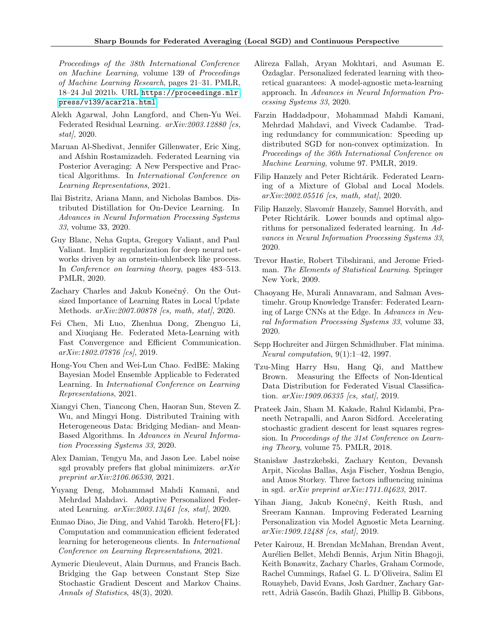Proceedings of the 38th International Conference on Machine Learning, volume 139 of Proceedings of Machine Learning Research, pages 21–31. PMLR, 18–24 Jul 2021b. URL [https://proceedings.mlr.](https://proceedings.mlr.press/v139/acar21a.html) [press/v139/acar21a.html](https://proceedings.mlr.press/v139/acar21a.html).

- <span id="page-9-18"></span>Alekh Agarwal, John Langford, and Chen-Yu Wei. Federated Residual Learning. arXiv:2003.12880 [cs, stat $/$ , 2020.
- <span id="page-9-8"></span>Maruan Al-Shedivat, Jennifer Gillenwater, Eric Xing, and Afshin Rostamizadeh. Federated Learning via Posterior Averaging: A New Perspective and Practical Algorithms. In International Conference on Learning Representations, 2021.
- <span id="page-9-10"></span>Ilai Bistritz, Ariana Mann, and Nicholas Bambos. Distributed Distillation for On-Device Learning. In Advances in Neural Information Processing Systems 33, volume 33, 2020.
- <span id="page-9-22"></span>Guy Blanc, Neha Gupta, Gregory Valiant, and Paul Valiant. Implicit regularization for deep neural networks driven by an ornstein-uhlenbeck like process. In Conference on learning theory, pages 483–513. PMLR, 2020.
- <span id="page-9-4"></span>Zachary Charles and Jakub Konečný. On the Outsized Importance of Learning Rates in Local Update Methods.  $arXiv:2007.00878$  [cs, math, stat], 2020.
- <span id="page-9-14"></span>Fei Chen, Mi Luo, Zhenhua Dong, Zhenguo Li, and Xiuqiang He. Federated Meta-Learning with Fast Convergence and Efficient Communication. arXiv:1802.07876 [cs], 2019.
- <span id="page-9-12"></span>Hong-You Chen and Wei-Lun Chao. FedBE: Making Bayesian Model Ensemble Applicable to Federated Learning. In International Conference on Learning Representations, 2021.
- <span id="page-9-6"></span>Xiangyi Chen, Tiancong Chen, Haoran Sun, Steven Z. Wu, and Mingyi Hong. Distributed Training with Heterogeneous Data: Bridging Median- and Mean-Based Algorithms. In Advances in Neural Information Processing Systems 33, 2020.
- <span id="page-9-23"></span>Alex Damian, Tengyu Ma, and Jason Lee. Label noise sgd provably prefers flat global minimizers. arXiv preprint arXiv:2106.06530, 2021.
- <span id="page-9-7"></span>Yuyang Deng, Mohammad Mahdi Kamani, and Mehrdad Mahdavi. Adaptive Personalized Federated Learning.  $arXiv:2003.13461$  [cs, stat], 2020.
- <span id="page-9-9"></span>Enmao Diao, Jie Ding, and Vahid Tarokh. Hetero{FL}: Computation and communication efficient federated learning for heterogeneous clients. In International Conference on Learning Representations, 2021.
- <span id="page-9-3"></span>Aymeric Dieuleveut, Alain Durmus, and Francis Bach. Bridging the Gap between Constant Step Size Stochastic Gradient Descent and Markov Chains. Annals of Statistics, 48(3), 2020.
- <span id="page-9-15"></span>Alireza Fallah, Aryan Mokhtari, and Asuman E. Ozdaglar. Personalized federated learning with theoretical guarantees: A model-agnostic meta-learning approach. In Advances in Neural Information Processing Systems 33, 2020.
- <span id="page-9-2"></span>Farzin Haddadpour, Mohammad Mahdi Kamani, Mehrdad Mahdavi, and Viveck Cadambe. Trading redundancy for communication: Speeding up distributed SGD for non-convex optimization. In Proceedings of the 36th International Conference on Machine Learning, volume 97. PMLR, 2019.
- <span id="page-9-17"></span>Filip Hanzely and Peter Richtárik. Federated Learning of a Mixture of Global and Local Models. arXiv:2002.05516 [cs, math, stat], 2020.
- <span id="page-9-16"></span>Filip Hanzely, Slavomír Hanzely, Samuel Horváth, and Peter Richtárik. Lower bounds and optimal algorithms for personalized federated learning. In Advances in Neural Information Processing Systems 33, 2020.
- <span id="page-9-0"></span>Trevor Hastie, Robert Tibshirani, and Jerome Friedman. The Elements of Statistical Learning. Springer New York, 2009.
- <span id="page-9-11"></span>Chaoyang He, Murali Annavaram, and Salman Avestimehr. Group Knowledge Transfer: Federated Learning of Large CNNs at the Edge. In Advances in Neural Information Processing Systems 33, volume 33, 2020.
- <span id="page-9-20"></span>Sepp Hochreiter and Jürgen Schmidhuber. Flat minima. Neural computation, 9(1):1–42, 1997.
- <span id="page-9-5"></span>Tzu-Ming Harry Hsu, Hang Qi, and Matthew Brown. Measuring the Effects of Non-Identical Data Distribution for Federated Visual Classification.  $arXiv:1909.06335$  [cs, stat], 2019.
- <span id="page-9-1"></span>Prateek Jain, Sham M. Kakade, Rahul Kidambi, Praneeth Netrapalli, and Aaron Sidford. Accelerating stochastic gradient descent for least squares regression. In Proceedings of the 31st Conference on Learning Theory, volume 75. PMLR, 2018.
- <span id="page-9-21"></span>Stanisław Jastrzkebski, Zachary Kenton, Devansh Arpit, Nicolas Ballas, Asja Fischer, Yoshua Bengio, and Amos Storkey. Three factors influencing minima in sgd. arXiv preprint arXiv:1711.04623, 2017.
- <span id="page-9-13"></span>Yihan Jiang, Jakub Konečný, Keith Rush, and Sreeram Kannan. Improving Federated Learning Personalization via Model Agnostic Meta Learning. arXiv:1909.12488 [cs, stat], 2019.
- <span id="page-9-19"></span>Peter Kairouz, H. Brendan McMahan, Brendan Avent, Aurélien Bellet, Mehdi Bennis, Arjun Nitin Bhagoji, Keith Bonawitz, Zachary Charles, Graham Cormode, Rachel Cummings, Rafael G. L. D'Oliveira, Salim El Rouayheb, David Evans, Josh Gardner, Zachary Garrett, Adrià Gascón, Badih Ghazi, Phillip B. Gibbons,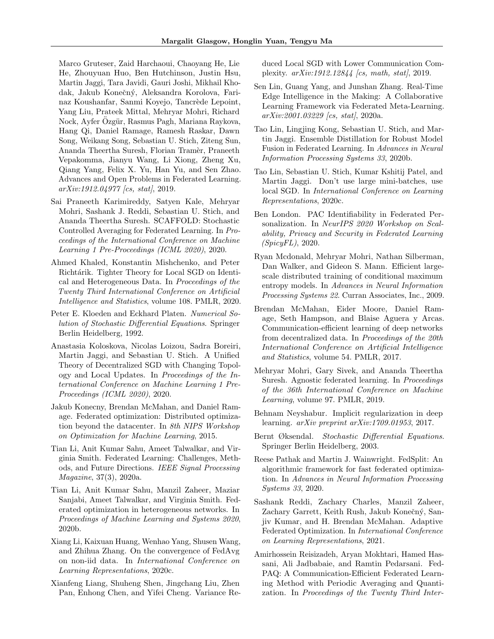Marco Gruteser, Zaid Harchaoui, Chaoyang He, Lie He, Zhouyuan Huo, Ben Hutchinson, Justin Hsu, Martin Jaggi, Tara Javidi, Gauri Joshi, Mikhail Khodak, Jakub Konečný, Aleksandra Korolova, Farinaz Koushanfar, Sanmi Koyejo, Tancrède Lepoint, Yang Liu, Prateek Mittal, Mehryar Mohri, Richard Nock, Ayfer Ozgür, Rasmus Pagh, Mariana Raykova, Hang Qi, Daniel Ramage, Ramesh Raskar, Dawn Song, Weikang Song, Sebastian U. Stich, Ziteng Sun, Ananda Theertha Suresh, Florian Tramèr, Praneeth Vepakomma, Jianyu Wang, Li Xiong, Zheng Xu, Qiang Yang, Felix X. Yu, Han Yu, and Sen Zhao. Advances and Open Problems in Federated Learning.  $arXiv:1912.04977$  [cs, stat], 2019.

- <span id="page-10-8"></span>Sai Praneeth Karimireddy, Satyen Kale, Mehryar Mohri, Sashank J. Reddi, Sebastian U. Stich, and Ananda Theertha Suresh. SCAFFOLD: Stochastic Controlled Averaging for Federated Learning. In Proceedings of the International Conference on Machine Learning 1 Pre-Proceedings (ICML 2020), 2020.
- <span id="page-10-2"></span>Ahmed Khaled, Konstantin Mishchenko, and Peter Richtárik. Tighter Theory for Local SGD on Identical and Heterogeneous Data. In Proceedings of the Twenty Third International Conference on Artificial Intelligence and Statistics, volume 108. PMLR, 2020.
- <span id="page-10-19"></span>Peter E. Kloeden and Eckhard Platen. Numerical Solution of Stochastic Differential Equations. Springer Berlin Heidelberg, 1992.
- <span id="page-10-20"></span>Anastasia Koloskova, Nicolas Loizou, Sadra Boreiri, Martin Jaggi, and Sebastian U. Stich. A Unified Theory of Decentralized SGD with Changing Topology and Local Updates. In Proceedings of the International Conference on Machine Learning 1 Pre-Proceedings (ICML 2020), 2020.
- <span id="page-10-0"></span>Jakub Konecny, Brendan McMahan, and Daniel Ramage. Federated optimization: Distributed optimization beyond the datacenter. In 8th NIPS Workshop on Optimization for Machine Learning, 2015.
- <span id="page-10-11"></span>Tian Li, Anit Kumar Sahu, Ameet Talwalkar, and Virginia Smith. Federated Learning: Challenges, Methods, and Future Directions. IEEE Signal Processing Magazine, 37(3), 2020a.
- <span id="page-10-7"></span>Tian Li, Anit Kumar Sahu, Manzil Zaheer, Maziar Sanjabi, Ameet Talwalkar, and Virginia Smith. Federated optimization in heterogeneous networks. In Proceedings of Machine Learning and Systems 2020, 2020b.
- <span id="page-10-5"></span>Xiang Li, Kaixuan Huang, Wenhao Yang, Shusen Wang, and Zhihua Zhang. On the convergence of FedAvg on non-iid data. In International Conference on Learning Representations, 2020c.
- <span id="page-10-10"></span>Xianfeng Liang, Shuheng Shen, Jingchang Liu, Zhen Pan, Enhong Chen, and Yifei Cheng. Variance Re-

duced Local SGD with Lower Communication Complexity.  $arXiv:1912.12844$  [cs, math, stat], 2019.

- <span id="page-10-16"></span>Sen Lin, Guang Yang, and Junshan Zhang. Real-Time Edge Intelligence in the Making: A Collaborative Learning Framework via Federated Meta-Learning. arXiv:2001.03229 [cs, stat], 2020a.
- <span id="page-10-14"></span>Tao Lin, Lingjing Kong, Sebastian U. Stich, and Martin Jaggi. Ensemble Distillation for Robust Model Fusion in Federated Learning. In Advances in Neural Information Processing Systems 33, 2020b.
- <span id="page-10-3"></span>Tao Lin, Sebastian U. Stich, Kumar Kshitij Patel, and Martin Jaggi. Don't use large mini-batches, use local SGD. In International Conference on Learning Representations, 2020c.
- <span id="page-10-15"></span>Ben London. PAC Identifiability in Federated Personalization. In NeurIPS 2020 Workshop on Scalability, Privacy and Security in Federated Learning (SpicyFL), 2020.
- <span id="page-10-4"></span>Ryan Mcdonald, Mehryar Mohri, Nathan Silberman, Dan Walker, and Gideon S. Mann. Efficient largescale distributed training of conditional maximum entropy models. In Advances in Neural Information Processing Systems 22. Curran Associates, Inc., 2009.
- <span id="page-10-1"></span>Brendan McMahan, Eider Moore, Daniel Ramage, Seth Hampson, and Blaise Aguera y Arcas. Communication-efficient learning of deep networks from decentralized data. In Proceedings of the 20th International Conference on Artificial Intelligence and Statistics, volume 54. PMLR, 2017.
- <span id="page-10-9"></span>Mehryar Mohri, Gary Sivek, and Ananda Theertha Suresh. Agnostic federated learning. In Proceedings of the 36th International Conference on Machine Learning, volume 97. PMLR, 2019.
- <span id="page-10-17"></span>Behnam Neyshabur. Implicit regularization in deep learning. arXiv preprint arXiv:1709.01953, 2017.
- <span id="page-10-18"></span>Bernt Øksendal. Stochastic Differential Equations. Springer Berlin Heidelberg, 2003.
- <span id="page-10-13"></span>Reese Pathak and Martin J. Wainwright. FedSplit: An algorithmic framework for fast federated optimization. In Advances in Neural Information Processing Systems 33, 2020.
- <span id="page-10-6"></span>Sashank Reddi, Zachary Charles, Manzil Zaheer, Zachary Garrett, Keith Rush, Jakub Konečný, Sanjiv Kumar, and H. Brendan McMahan. Adaptive Federated Optimization. In International Conference on Learning Representations, 2021.
- <span id="page-10-12"></span>Amirhossein Reisizadeh, Aryan Mokhtari, Hamed Hassani, Ali Jadbabaie, and Ramtin Pedarsani. Fed-PAQ: A Communication-Efficient Federated Learning Method with Periodic Averaging and Quantization. In Proceedings of the Twenty Third Inter-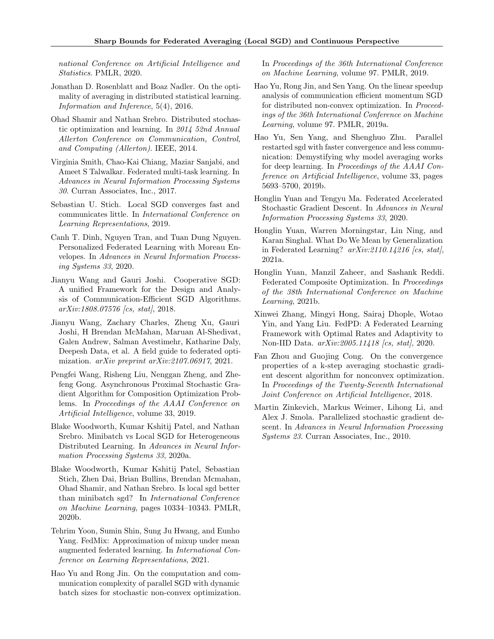national Conference on Artificial Intelligence and Statistics. PMLR, 2020.

- <span id="page-11-7"></span>Jonathan D. Rosenblatt and Boaz Nadler. On the optimality of averaging in distributed statistical learning. Information and Inference, 5(4), 2016.
- <span id="page-11-6"></span>Ohad Shamir and Nathan Srebro. Distributed stochastic optimization and learning. In 2014 52nd Annual Allerton Conference on Communication, Control, and Computing (Allerton). IEEE, 2014.
- <span id="page-11-17"></span>Virginia Smith, Chao-Kai Chiang, Maziar Sanjabi, and Ameet S Talwalkar. Federated multi-task learning. In Advances in Neural Information Processing Systems 30. Curran Associates, Inc., 2017.
- <span id="page-11-0"></span>Sebastian U. Stich. Local SGD converges fast and communicates little. In International Conference on Learning Representations, 2019.
- <span id="page-11-19"></span>Canh T. Dinh, Nguyen Tran, and Tuan Dung Nguyen. Personalized Federated Learning with Moreau Envelopes. In Advances in Neural Information Processing Systems 33, 2020.
- <span id="page-11-9"></span>Jianyu Wang and Gauri Joshi. Cooperative SGD: A unified Framework for the Design and Analysis of Communication-Efficient SGD Algorithms. arXiv:1808.07576 [cs, stat], 2018.
- <span id="page-11-12"></span>Jianyu Wang, Zachary Charles, Zheng Xu, Gauri Joshi, H Brendan McMahan, Maruan Al-Shedivat, Galen Andrew, Salman Avestimehr, Katharine Daly, Deepesh Data, et al. A field guide to federated optimization. *arXiv preprint arXiv:2107.06917*, 2021.
- <span id="page-11-13"></span>Pengfei Wang, Risheng Liu, Nenggan Zheng, and Zhefeng Gong. Asynchronous Proximal Stochastic Gradient Algorithm for Composition Optimization Problems. In Proceedings of the AAAI Conference on Artificial Intelligence, volume 33, 2019.
- <span id="page-11-2"></span>Blake Woodworth, Kumar Kshitij Patel, and Nathan Srebro. Minibatch vs Local SGD for Heterogeneous Distributed Learning. In Advances in Neural Information Processing Systems 33, 2020a.
- <span id="page-11-1"></span>Blake Woodworth, Kumar Kshitij Patel, Sebastian Stich, Zhen Dai, Brian Bullins, Brendan Mcmahan, Ohad Shamir, and Nathan Srebro. Is local sgd better than minibatch sgd? In International Conference on Machine Learning, pages 10334–10343. PMLR, 2020b.
- <span id="page-11-18"></span>Tehrim Yoon, Sumin Shin, Sung Ju Hwang, and Eunho Yang. FedMix: Approximation of mixup under mean augmented federated learning. In International Conference on Learning Representations, 2021.
- <span id="page-11-10"></span>Hao Yu and Rong Jin. On the computation and communication complexity of parallel SGD with dynamic batch sizes for stochastic non-convex optimization.

In Proceedings of the 36th International Conference on Machine Learning, volume 97. PMLR, 2019.

- <span id="page-11-11"></span>Hao Yu, Rong Jin, and Sen Yang. On the linear speedup analysis of communication efficient momentum SGD for distributed non-convex optimization. In Proceedings of the 36th International Conference on Machine Learning, volume 97. PMLR, 2019a.
- <span id="page-11-4"></span>Hao Yu, Sen Yang, and Shenghuo Zhu. Parallel restarted sgd with faster convergence and less communication: Demystifying why model averaging works for deep learning. In Proceedings of the AAAI Conference on Artificial Intelligence, volume 33, pages 5693–5700, 2019b.
- <span id="page-11-3"></span>Honglin Yuan and Tengyu Ma. Federated Accelerated Stochastic Gradient Descent. In Advances in Neural Information Processing Systems 33, 2020.
- <span id="page-11-16"></span>Honglin Yuan, Warren Morningstar, Lin Ning, and Karan Singhal. What Do We Mean by Generalization in Federated Learning?  $arXiv:2110.14216$  [cs, stat], 2021a.
- <span id="page-11-15"></span>Honglin Yuan, Manzil Zaheer, and Sashank Reddi. Federated Composite Optimization. In Proceedings of the 38th International Conference on Machine Learning, 2021b.
- <span id="page-11-14"></span>Xinwei Zhang, Mingyi Hong, Sairaj Dhople, Wotao Yin, and Yang Liu. FedPD: A Federated Learning Framework with Optimal Rates and Adaptivity to Non-IID Data.  $arXiv:2005.11418$  [cs, stat], 2020.
- <span id="page-11-8"></span>Fan Zhou and Guojing Cong. On the convergence properties of a k-step averaging stochastic gradient descent algorithm for nonconvex optimization. In Proceedings of the Twenty-Seventh International Joint Conference on Artificial Intelligence, 2018.
- <span id="page-11-5"></span>Martin Zinkevich, Markus Weimer, Lihong Li, and Alex J. Smola. Parallelized stochastic gradient descent. In Advances in Neural Information Processing Systems 23. Curran Associates, Inc., 2010.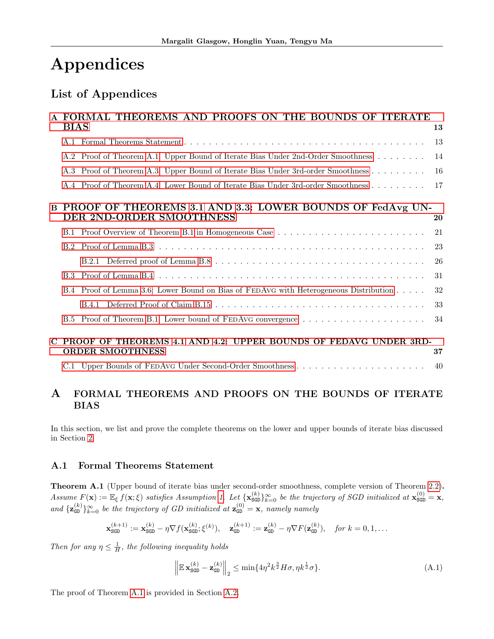# Appendices

# List of Appendices

|          | A FORMAL THEOREMS AND PROOFS ON THE BOUNDS OF ITERATE                                         |    |
|----------|-----------------------------------------------------------------------------------------------|----|
|          | <b>BIAS</b>                                                                                   | 13 |
|          |                                                                                               | 13 |
|          | A.2 Proof of Theorem A.1: Upper Bound of Iterate Bias Under 2nd-Order Smoothness              | 14 |
|          | A.3 Proof of Theorem A.3: Upper Bound of Iterate Bias Under 3rd-order Smoothness              | 16 |
|          | A.4 Proof of Theorem A.4: Lower Bound of Iterate Bias Under 3rd-order Smoothness              | 17 |
| $\bf{B}$ | PROOF OF THEOREMS 3.1 AND 3.3: LOWER BOUNDS OF FedAvg UN-<br>DER 2ND-ORDER SMOOTHNESS         | 20 |
|          | B.1 Proof Overview of Theorem B.1 in Homogeneous Case                                         | 21 |
|          |                                                                                               | 23 |
|          |                                                                                               | 26 |
|          |                                                                                               | 31 |
|          | B.4 Proof of Lemma 3.6: Lower Bound on Bias of FEDAVG with Heterogeneous Distribution         | 32 |
|          |                                                                                               | 33 |
|          | B.5 Proof of Theorem B.1: Lower bound of FEDAVG convergence                                   | 34 |
|          | C PROOF OF THEOREMS 4.1 AND 4.2: UPPER BOUNDS OF FEDAVG UNDER 3RD-<br><b>ORDER SMOOTHNESS</b> | 37 |
|          |                                                                                               | 40 |

## <span id="page-12-2"></span>A FORMAL THEOREMS AND PROOFS ON THE BOUNDS OF ITERATE BIAS

In this section, we list and prove the complete theorems on the lower and upper bounds of iterate bias discussed in Section [2.](#page-4-6)

## <span id="page-12-3"></span>A.1 Formal Theorems Statement

<span id="page-12-0"></span>Theorem A.1 (Upper bound of iterate bias under second-order smoothness, complete version of Theorem [2.2\)](#page-4-2). Assume  $F(\mathbf{x}) := \mathbb{E}_{\xi} f(\mathbf{x}; \xi)$  satisfies Assumption [1.](#page-4-0) Let  $\{\mathbf{x}_{\text{SGD}}^{(k)}\}_{k=0}^{\infty}$  be the trajectory of SGD initialized at  $\mathbf{x}_{\text{SGD}}^{(0)} = \mathbf{x}$ , and  $\{z_{\text{GD}}^{(k)}\}_{k=0}^{\infty}$  be the trajectory of GD initialized at  $z_{\text{GD}}^{(0)} = x$ , namely namely

$$
\mathbf{x}_{\text{SGD}}^{(k+1)} := \mathbf{x}_{\text{SGD}}^{(k)} - \eta \nabla f(\mathbf{x}_{\text{SGD}}^{(k)}; \xi^{(k)}), \quad \mathbf{z}_{\text{GD}}^{(k+1)} := \mathbf{z}_{\text{GD}}^{(k)} - \eta \nabla F(\mathbf{z}_{\text{GD}}^{(k)}), \quad \text{for } k = 0, 1, \dots
$$

Then for any  $\eta \leq \frac{1}{H}$ , the following inequality holds

<span id="page-12-4"></span>
$$
\left\| \mathbb{E} \mathbf{x}_{\text{SGD}}^{(k)} - \mathbf{z}_{\text{GD}}^{(k)} \right\|_2 \le \min\{ 4\eta^2 k^{\frac{3}{2}} H\sigma, \eta k^{\frac{1}{2}} \sigma \}. \tag{A.1}
$$

<span id="page-12-1"></span>The proof of Theorem [A.1](#page-12-0) is provided in Section [A.2.](#page-13-2)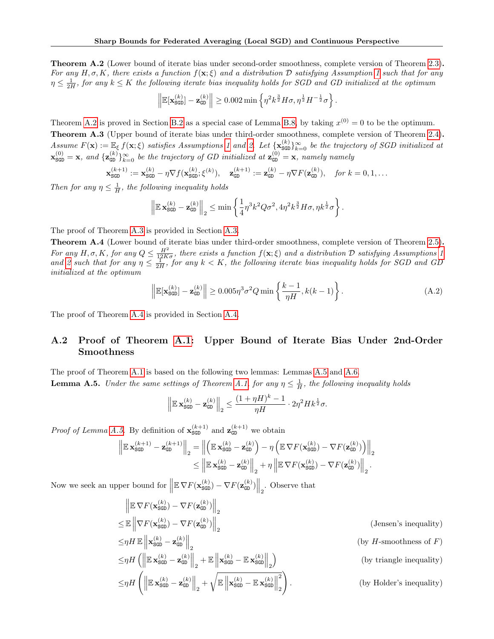Theorem A.2 (Lower bound of iterate bias under second-order smoothness, complete version of Theorem [2.3\)](#page-4-3). For any  $H, \sigma, K$ , there exists a function  $f(\mathbf{x}; \xi)$  and a distribution D satisfying Assumption [1](#page-4-0) such that for any  $\eta \leq \frac{1}{2H}$ , for any  $k \leq K$  the following iterate bias inequality holds for SGD and GD initialized at the optimum

$$
\left\|\mathbb{E}[\mathbf{x}_{\text{SGD}}^{(k)}]-\mathbf{z}_{\text{GD}}^{(k)}\right\| \geq 0.002 \min\left\{\eta^2 k^{\frac{3}{2}} H\sigma, \eta^{\frac{1}{2}} H^{-\frac{1}{2}}\sigma\right\}.
$$

<span id="page-13-0"></span>Theorem [A.2](#page-12-1) is proved in Section [B.2](#page-22-0) as a special case of Lemma [B.8,](#page-23-0) by taking  $x^{(0)} = 0$  to be the optimum. Theorem A.3 (Upper bound of iterate bias under third-order smoothness, complete version of Theorem [2.4\)](#page-5-1). Assume  $F(\mathbf{x}) := \mathbb{E}_{\xi} f(\mathbf{x}; \xi)$  satisfies Assumptions [1](#page-4-0) and [2.](#page-4-5) Let  $\{\mathbf{x}_{\text{SGD}}^{(k)}\}_{k=0}^{\infty}$  be the trajectory of SGD initialized at  $\mathbf{x}_{\texttt{SGD}}^{(0)} = \mathbf{x}$ , and  $\{\mathbf{z}_{\texttt{GD}}^{(k)}\}_{k=0}^{\infty}$  be the trajectory of GD initialized at  $\mathbf{z}_{\texttt{GD}}^{(0)} = \mathbf{x}$ , namely namely

$$
\mathbf{x}_{\text{SGD}}^{(k+1)} := \mathbf{x}_{\text{SGD}}^{(k)} - \eta \nabla f(\mathbf{x}_{\text{SGD}}^{(k)}; \xi^{(k)}), \quad \mathbf{z}_{\text{GD}}^{(k+1)} := \mathbf{z}_{\text{GD}}^{(k)} - \eta \nabla F(\mathbf{z}_{\text{GD}}^{(k)}), \quad \text{for } k = 0, 1, \dots
$$

Then for any  $\eta \leq \frac{1}{H}$ , the following inequality holds

$$
\left\|\mathbb{E}\mathbf{x}_{\text{SGD}}^{(k)} - \mathbf{z}_{\text{GD}}^{(k)}\right\|_2 \le \min\left\{\frac{1}{4}\eta^3k^2Q\sigma^2, 4\eta^2k^{\frac{3}{2}}H\sigma, \eta k^{\frac{1}{2}}\sigma\right\}.
$$

The proof of Theorem [A.3](#page-13-0) is provided in Section [A.3.](#page-15-0)

<span id="page-13-1"></span>Theorem A.4 (Lower bound of iterate bias under third-order smoothness, complete version of Theorem [2.5\)](#page-5-2). For any H,  $\sigma$ , K, for any  $Q \leq \frac{H^2}{12K\sigma}$ , there exists a function  $f(\mathbf{x}; \xi)$  and a distribution D satisfying Assumptions [1](#page-4-0) and [2](#page-4-5) such that for any  $\eta \leq \frac{1}{2H}$ , for any  $k < K$ , the following iterate bias inequality holds for SGD and GD initialized at the optimum

<span id="page-13-4"></span>
$$
\left\| \mathbb{E}[\mathbf{x}_{\text{SGD}}^{(k)}] - \mathbf{z}_{\text{GD}}^{(k)} \right\| \ge 0.005 \eta^3 \sigma^2 Q \min \left\{ \frac{k-1}{\eta H}, k(k-1) \right\}.
$$
 (A.2)

The proof of Theorem [A.4](#page-13-1) is provided in Section [A.4.](#page-16-0)

## <span id="page-13-2"></span>A.2 Proof of Theorem [A.1:](#page-12-0) Upper Bound of Iterate Bias Under 2nd-Order Smoothness

<span id="page-13-3"></span>The proof of Theorem [A.1](#page-12-0) is based on the following two lemmas: Lemmas [A.5](#page-13-3) and [A.6.](#page-14-0) **Lemma A.5.** Under the same settings of Theorem [A.1,](#page-12-0) for any  $\eta \leq \frac{1}{H}$ , the following inequality holds

$$
\left\|\mathbb{E} \, \mathbf{x}_{\texttt{SGD}}^{(k)} - \mathbf{z}_{\texttt{GD}}^{(k)}\right\|_2 \leq \frac{(1+\eta H)^k - 1}{\eta H} \cdot 2\eta^2 H k^{\frac{1}{2}}\sigma.
$$

*Proof of Lemma [A.5.](#page-13-3)* By definition of  $\mathbf{x}_{\text{SGD}}^{(k+1)}$  and  $\mathbf{z}_{\text{GD}}^{(k+1)}$  we obtain

$$
\left\| \mathbb{E} \mathbf{x}_{\text{SGD}}^{(k+1)} - \mathbf{z}_{\text{GD}}^{(k+1)} \right\|_2 = \left\| \left( \mathbb{E} \mathbf{x}_{\text{SGD}}^{(k)} - \mathbf{z}_{\text{GD}}^{(k)} \right) - \eta \left( \mathbb{E} \nabla F(\mathbf{x}_{\text{SGD}}^{(k)}) - \nabla F(\mathbf{z}_{\text{GD}}^{(k)}) \right) \right\|_2
$$
  

$$
\leq \left\| \mathbb{E} \mathbf{x}_{\text{SGD}}^{(k)} - \mathbf{z}_{\text{GD}}^{(k)} \right\|_2 + \eta \left\| \mathbb{E} \nabla F(\mathbf{x}_{\text{SGD}}^{(k)}) - \nabla F(\mathbf{z}_{\text{GD}}^{(k)}) \right\|_2.
$$

Now we seek an upper bound for  $\left\|\mathbb{E} \nabla F(\mathbf{x}_{\text{SGD}}^{(k)}) - \nabla F(\mathbf{z}_{\text{GD}}^{(k)})\right\|_2$ . Observe that

$$
\| \mathbb{E} \nabla F(\mathbf{x}_{\text{SGD}}^{(k)}) - \nabla F(\mathbf{z}_{\text{GD}}^{(k)}) \|_{2} \n\leq \mathbb{E} \left\| \nabla F(\mathbf{x}_{\text{SGD}}^{(k)}) - \nabla F(\mathbf{z}_{\text{GD}}^{(k)}) \right\|_{2} \qquad \text{(Jensen's inequality)} \n\leq \eta H \mathbb{E} \left\| \mathbf{x}_{\text{SGD}}^{(k)} - \mathbf{z}_{\text{GD}}^{(k)} \right\|_{2} \qquad \text{(by H-smoothness of } F) \n\leq \eta H \left( \left\| \mathbb{E} \mathbf{x}_{\text{SGD}}^{(k)} - \mathbf{z}_{\text{GD}}^{(k)} \right\|_{2} + \mathbb{E} \left\| \mathbf{x}_{\text{SGD}}^{(k)} - \mathbb{E} \mathbf{x}_{\text{SGD}}^{(k)} \right\|_{2} \right) \qquad \text{(by triangle inequality)} \n\leq \eta H \left( \left\| \mathbb{E} \mathbf{x}_{\text{SGD}}^{(k)} - \mathbf{z}_{\text{GD}}^{(k)} \right\|_{2} + \sqrt{\mathbb{E} \left\| \mathbf{x}_{\text{SGD}}^{(k)} - \mathbb{E} \mathbf{x}_{\text{SGD}}^{(k)} \right\|_{2}^{2}} \right). \qquad \text{(by Holder's inequality)}
$$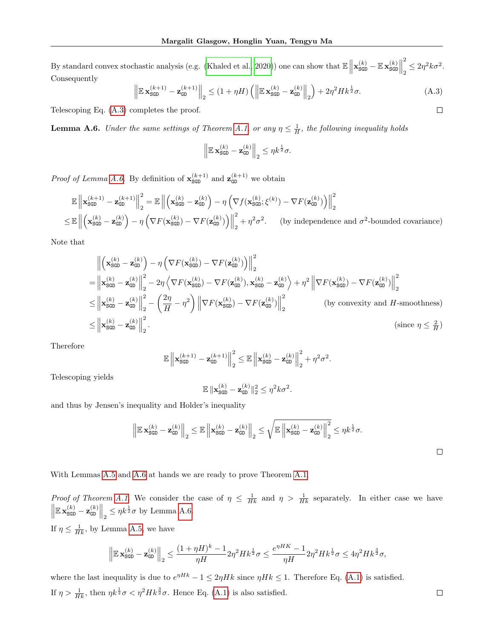By standard convex stochastic analysis (e.g. [\(Khaled et al., 2020\)](#page-10-2)) one can show that  $\mathbb{E} \left\| \mathbf{x}_{\text{SGD}}^{(k)} - \mathbb{E} \mathbf{x}_{\text{SGD}}^{(k)} \right\|$ 2  $\frac{1}{2} \leq 2\eta^2 k \sigma^2$ . Consequently

<span id="page-14-1"></span>
$$
\left\| \mathbb{E} \mathbf{x}_{\text{SGD}}^{(k+1)} - \mathbf{z}_{\text{GD}}^{(k+1)} \right\|_2 \le (1 + \eta H) \left( \left\| \mathbb{E} \mathbf{x}_{\text{SGD}}^{(k)} - \mathbf{z}_{\text{GD}}^{(k)} \right\|_2 \right) + 2\eta^2 H k^{\frac{1}{2}} \sigma. \tag{A.3}
$$

Telescoping Eq. [\(A.3\)](#page-14-1) completes the proof.

<span id="page-14-0"></span>**Lemma A.6.** Under the same settings of Theorem [A.1,](#page-12-0) or any  $\eta \leq \frac{1}{H}$ , the following inequality holds

$$
\left\|\mathbb{E}\,\mathbf{x}_{\text{SGD}}^{(k)}-\mathbf{z}_{\text{GD}}^{(k)}\right\|_2\leq \eta k^{\frac{1}{2}}\sigma.
$$

*Proof of Lemma [A.6.](#page-14-0)* By definition of  $\mathbf{x}_{\text{SGD}}^{(k+1)}$  and  $\mathbf{z}_{\text{GD}}^{(k+1)}$  we obtain

$$
\mathbb{E}\left\|\mathbf{x}_{\text{SGD}}^{(k+1)} - \mathbf{z}_{\text{GD}}^{(k+1)}\right\|_{2}^{2} = \mathbb{E}\left\|\left(\mathbf{x}_{\text{SGD}}^{(k)} - \mathbf{z}_{\text{GD}}^{(k)}\right) - \eta\left(\nabla f(\mathbf{x}_{\text{SGD}}^{(k)};\xi^{(k)}) - \nabla F(\mathbf{z}_{\text{GD}}^{(k)})\right)\right\|_{2}^{2}
$$
\n
$$
\leq \mathbb{E}\left\|\left(\mathbf{x}_{\text{SGD}}^{(k)} - \mathbf{z}_{\text{GD}}^{(k)}\right) - \eta\left(\nabla F(\mathbf{x}_{\text{SGD}}^{(k)}) - \nabla F(\mathbf{z}_{\text{GD}}^{(k)})\right)\right\|_{2}^{2} + \eta^{2} \sigma^{2}.\qquad \text{(by independence and } \sigma^{2}\text{-bounded covariance)}
$$

Note that

$$
\begin{split}\n&\left\|\left(\mathbf{x}_{\text{SGD}}^{(k)}-\mathbf{z}_{\text{GD}}^{(k)}\right)-\eta\left(\nabla F(\mathbf{x}_{\text{SGD}}^{(k)})-\nabla F(\mathbf{z}_{\text{GD}}^{(k)})\right)\right\|_{2}^{2} \\
&=\left\|\mathbf{x}_{\text{SGD}}^{(k)}-\mathbf{z}_{\text{GD}}^{(k)}\right\|_{2}^{2}-2\eta\left\langle\nabla F(\mathbf{x}_{\text{SGD}}^{(k)})-\nabla F(\mathbf{z}_{\text{GD}}^{(k)}),\mathbf{x}_{\text{SGD}}^{(k)}-\mathbf{z}_{\text{GD}}^{(k)}\right\rangle+\eta^{2}\left\|\nabla F(\mathbf{x}_{\text{SGD}}^{(k)})-\nabla F(\mathbf{z}_{\text{GD}}^{(k)})\right\|_{2}^{2} \\
&\leq\left\|\mathbf{x}_{\text{SGD}}^{(k)}-\mathbf{z}_{\text{GD}}^{(k)}\right\|_{2}^{2}-\left(\frac{2\eta}{H}-\eta^{2}\right)\left\|\nabla F(\mathbf{x}_{\text{SGD}}^{(k)})-\nabla F(\mathbf{z}_{\text{GD}}^{(k)})\right\|_{2}^{2} \qquad\text{(by convexity and } H\text{-smoothness)} \\
&\leq\left\|\mathbf{x}_{\text{SGD}}^{(k)}-\mathbf{z}_{\text{GD}}^{(k)}\right\|_{2}^{2}.\n\end{split}
$$

Therefore

$$
\mathbb{E}\left\|\mathbf{x}_{\text{SGD}}^{(k+1)} - \mathbf{z}_{\text{GD}}^{(k+1)}\right\|_2^2 \leq \mathbb{E}\left\|\mathbf{x}_{\text{SGD}}^{(k)} - \mathbf{z}_{\text{GD}}^{(k)}\right\|_2^2 + \eta^2 \sigma^2.
$$

Telescoping yields

$$
\mathbb{E} \|\mathbf{x}_{\text{SGD}}^{(k)} - \mathbf{z}_{\text{GD}}^{(k)}\|_2^2 \leq \eta^2 k \sigma^2.
$$

and thus by Jensen's inequality and Holder's inequality

$$
\left\|\mathbb{E}\,\mathbf{x}_{\texttt{SGD}}^{(k)} - \mathbf{z}_{\texttt{GD}}^{(k)}\right\|_2 \leq \mathbb{E}\left\|\mathbf{x}_{\texttt{SGD}}^{(k)} - \mathbf{z}_{\texttt{GD}}^{(k)}\right\|_2 \leq \sqrt{\mathbb{E}\left\|\mathbf{x}_{\texttt{SGD}}^{(k)} - \mathbf{z}_{\texttt{GD}}^{(k)}\right\|_2^2} \leq \eta k^{\frac{1}{2}}\sigma.
$$

With Lemmas [A.5](#page-13-3) and [A.6](#page-14-0) at hands we are ready to prove Theorem [A.1.](#page-12-0)

Proof of Theorem [A.1.](#page-12-0) We consider the case of  $\eta \leq \frac{1}{Hk}$  and  $\eta > \frac{1}{Hk}$  separately. In either case we have  $\left\|\mathbb{E} \mathbf{x}_{\text{SGD}}^{(k)} - \mathbf{z}_{\text{GD}}^{(k)}\right\|_2 \leq \eta k^{\frac{1}{2}} \sigma$  by Lemma [A.6.](#page-14-0)

If  $\eta \leq \frac{1}{Hk}$ , by Lemma [A.5,](#page-13-3) we have

$$
\left\|\mathbb{E}\,\mathbf{x}_{\texttt{SGD}}^{(k)}-\mathbf{z}_{\texttt{GD}}^{(k)}\right\|_2 \leq \frac{(1+\eta H)^k-1}{\eta H}2\eta^2Hk^{\frac{1}{2}}\sigma \leq \frac{e^{\eta HK}-1}{\eta H}2\eta^2Hk^{\frac{1}{2}}\sigma \leq 4\eta^2Hk^{\frac{3}{2}}\sigma,
$$

where the last inequality is due to  $e^{\eta Hk} - 1 \leq 2\eta Hk$  since  $\eta Hk \leq 1$ . Therefore Eq. [\(A.1\)](#page-12-4) is satisfied. If  $\eta > \frac{1}{Hk}$ , then  $\eta k^{\frac{1}{2}} \sigma < \eta^2 Hk^{\frac{3}{2}} \sigma$ . Hence Eq. [\(A.1\)](#page-12-4) is also satisfied.

 $\Box$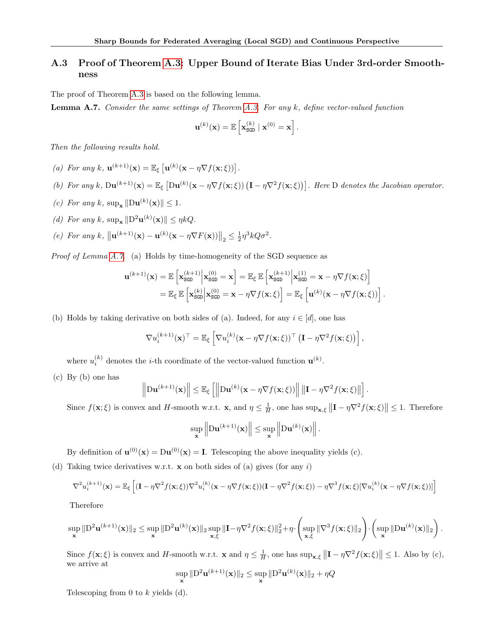## <span id="page-15-0"></span>A.3 Proof of Theorem [A.3:](#page-13-0) Upper Bound of Iterate Bias Under 3rd-order Smoothness

The proof of Theorem [A.3](#page-13-0) is based on the following lemma.

<span id="page-15-1"></span>**Lemma A.7.** Consider the same settings of Theorem [A.3.](#page-13-0) For any  $k$ , define vector-valued function

$$
\mathbf{u}^{(k)}(\mathbf{x}) = \mathbb{E}\left[\mathbf{x}_{\texttt{SGD}}^{(k)} \mid \mathbf{x}^{(0)} = \mathbf{x}\right]
$$

.

Then the following results hold.

- (a) For any k,  $\mathbf{u}^{(k+1)}(\mathbf{x}) = \mathbb{E}_{\xi} \left[ \mathbf{u}^{(k)}(\mathbf{x} \eta \nabla f(\mathbf{x}; \xi)) \right].$
- (b) For any k,  $\text{Du}^{(k+1)}(\mathbf{x}) = \mathbb{E}_{\xi} \left[ \text{Du}^{(k)}(\mathbf{x} \eta \nabla f(\mathbf{x}; \xi)) \left( \mathbf{I} \eta \nabla^2 f(\mathbf{x}; \xi) \right) \right]$ . Here D denotes the Jacobian operator.
- (c) For any k,  $\sup_{\mathbf{x}} \| \mathbf{D} \mathbf{u}^{(k)}(\mathbf{x}) \| \leq 1$ .
- (d) For any k,  $\sup_{\mathbf{x}} ||D^2 \mathbf{u}^{(k)}(\mathbf{x})|| \leq \eta kQ$ .
- (e) For any k,  $\left\|\mathbf{u}^{(k+1)}(\mathbf{x}) \mathbf{u}^{(k)}(\mathbf{x} \eta \nabla F(\mathbf{x}))\right\|_2 \leq \frac{1}{2} \eta^3 k Q \sigma^2$ .

Proof of Lemma [A.7.](#page-15-1) (a) Holds by time-homogeneity of the SGD sequence as

$$
\mathbf{u}^{(k+1)}(\mathbf{x}) = \mathbb{E}\left[\mathbf{x}_{\text{SGD}}^{(k+1)}\middle|\mathbf{x}_{\text{SGD}}^{(0)} = \mathbf{x}\right] = \mathbb{E}_{\xi} \mathbb{E}\left[\mathbf{x}_{\text{SGD}}^{(k+1)}\middle|\mathbf{x}_{\text{SGD}}^{(1)} = \mathbf{x} - \eta \nabla f(\mathbf{x}; \xi)\right]
$$

$$
= \mathbb{E}_{\xi} \mathbb{E}\left[\mathbf{x}_{\text{SGD}}^{(k)}\middle|\mathbf{x}_{\text{SGD}}^{(0)} = \mathbf{x} - \eta \nabla f(\mathbf{x}; \xi)\right] = \mathbb{E}_{\xi} \left[\mathbf{u}^{(k)}(\mathbf{x} - \eta \nabla f(\mathbf{x}; \xi))\right].
$$

(b) Holds by taking derivative on both sides of (a). Indeed, for any  $i \in [d]$ , one has

$$
\nabla u_i^{(k+1)}(\mathbf{x})^{\top} = \mathbb{E}_{\xi} \left[ \nabla u_i^{(k)}(\mathbf{x} - \eta \nabla f(\mathbf{x}; \xi))^{\top} \left( \mathbf{I} - \eta \nabla^2 f(\mathbf{x}; \xi) \right) \right],
$$

where  $u_i^{(k)}$  denotes the *i*-th coordinate of the vector-valued function  $\mathbf{u}^{(k)}$ .

(c) By (b) one has

$$
\left\|\mathbf{D}\mathbf{u}^{(k+1)}(\mathbf{x})\right\| \leq \mathbb{E}_{\xi}\left[\left\|\mathbf{D}\mathbf{u}^{(k)}(\mathbf{x}-\eta\nabla f(\mathbf{x};\xi))\right\| \left\|\mathbf{I}-\eta\nabla^2 f(\mathbf{x};\xi)\right\|\right].
$$

Since  $f(\mathbf{x}; \xi)$  is convex and H-smooth w.r.t.  $\mathbf{x}$ , and  $\eta \leq \frac{1}{H}$ , one has  $\sup_{\mathbf{x}, \xi} ||\mathbf{I} - \eta \nabla^2 f(\mathbf{x}; \xi)|| \leq 1$ . Therefore

$$
\sup_{\mathbf{x}}\left\|\mathbf{D}\mathbf{u}^{(k+1)}(\mathbf{x})\right\| \leq \sup_{\mathbf{x}}\left\|\mathbf{D}\mathbf{u}^{(k)}(\mathbf{x})\right\|.
$$

By definition of  $\mathbf{u}^{(0)}(\mathbf{x}) = \mathbf{D}\mathbf{u}^{(0)}(\mathbf{x}) = \mathbf{I}$ . Telescoping the above inequality yields (c).

(d) Taking twice derivatives w.r.t.  $x$  on both sides of (a) gives (for any i)

$$
\nabla^2 u_i^{(k+1)}(\mathbf{x}) = \mathbb{E}_{\xi} \left[ (\mathbf{I} - \eta \nabla^2 f(\mathbf{x}; \xi)) \nabla^2 u_i^{(k)}(\mathbf{x} - \eta \nabla f(\mathbf{x}; \xi)) (\mathbf{I} - \eta \nabla^2 f(\mathbf{x}; \xi)) - \eta \nabla^3 f(\mathbf{x}; \xi) [\nabla u_i^{(k)}(\mathbf{x} - \eta \nabla f(\mathbf{x}; \xi))] \right]
$$

Therefore

$$
\sup_{\mathbf{x}} \|D^2 \mathbf{u}^{(k+1)}(\mathbf{x})\|_2 \leq \sup_{\mathbf{x}} \|D^2 \mathbf{u}^{(k)}(\mathbf{x})\|_2 \sup_{\mathbf{x},\xi} \|\mathbf{I} - \eta \nabla^2 f(\mathbf{x};\xi)\|_2^2 + \eta \cdot \left(\sup_{\mathbf{x},\xi} \|\nabla^3 f(\mathbf{x};\xi)\|_2\right) \cdot \left(\sup_{\mathbf{x}} \|D \mathbf{u}^{(k)}(\mathbf{x})\|_2\right).
$$

Since  $f(\mathbf{x}; \xi)$  is convex and H-smooth w.r.t.  $\mathbf{x}$  and  $\eta \leq \frac{1}{H}$ , one has  $\sup_{\mathbf{x}, \xi} ||\mathbf{I} - \eta \nabla^2 f(\mathbf{x}; \xi)|| \leq 1$ . Also by (c), we arrive at

$$
\sup_{\mathbf{x}} \|D^2 \mathbf{u}^{(k+1)}(\mathbf{x})\|_2 \le \sup_{\mathbf{x}} \|D^2 \mathbf{u}^{(k)}(\mathbf{x})\|_2 + \eta Q
$$

Telescoping from 0 to  $k$  yields (d).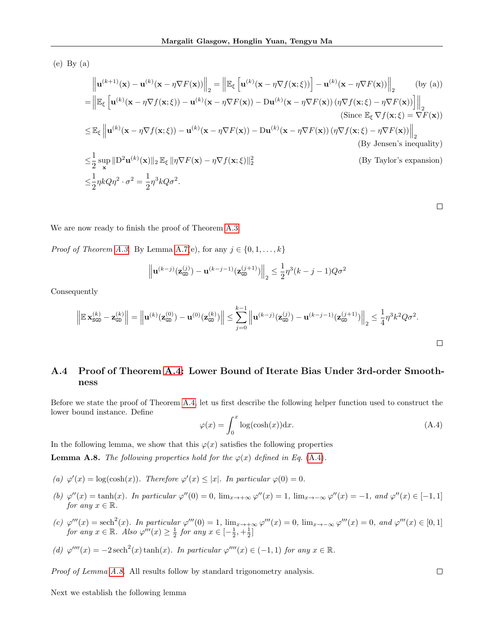(e) By (a)

$$
\| \mathbf{u}^{(k+1)}(\mathbf{x}) - \mathbf{u}^{(k)}(\mathbf{x} - \eta \nabla F(\mathbf{x})) \|_{2} = \left\| \mathbb{E}_{\xi} \left[ \mathbf{u}^{(k)}(\mathbf{x} - \eta \nabla f(\mathbf{x}; \xi)) \right] - \mathbf{u}^{(k)}(\mathbf{x} - \eta \nabla F(\mathbf{x})) \right\|_{2} \quad \text{(by (a))}
$$
\n
$$
= \left\| \mathbb{E}_{\xi} \left[ \mathbf{u}^{(k)}(\mathbf{x} - \eta \nabla f(\mathbf{x}; \xi)) - \mathbf{u}^{(k)}(\mathbf{x} - \eta \nabla F(\mathbf{x})) - \mathbf{D}\mathbf{u}^{(k)}(\mathbf{x} - \eta \nabla F(\mathbf{x})) (\eta \nabla f(\mathbf{x}; \xi) - \eta \nabla F(\mathbf{x})) \right] \right\|_{2}
$$
\n(Since  $\mathbb{E}_{\xi} \nabla f(\mathbf{x}; \xi) = \nabla F(\mathbf{x})$ )\n
$$
\leq \mathbb{E}_{\xi} \left\| \mathbf{u}^{(k)}(\mathbf{x} - \eta \nabla f(\mathbf{x}; \xi)) - \mathbf{u}^{(k)}(\mathbf{x} - \eta \nabla F(\mathbf{x})) - \mathbf{D}\mathbf{u}^{(k)}(\mathbf{x} - \eta \nabla F(\mathbf{x})) (\eta \nabla f(\mathbf{x}; \xi) - \eta \nabla F(\mathbf{x})) \right\|_{2}
$$
\n(By Jensen's inequality)  
\n
$$
\leq \frac{1}{2} \sup_{\mathbf{x}} \| \mathbf{D}^{2} \mathbf{u}^{(k)}(\mathbf{x}) \|_{2} \mathbb{E}_{\xi} \| \eta \nabla F(\mathbf{x}) - \eta \nabla f(\mathbf{x}; \xi) \|_{2}^{2}
$$
\n(By Taylor's expansion)  
\n
$$
\leq \frac{1}{2} \eta k Q \eta^{2} \cdot \sigma^{2} = \frac{1}{2} \eta^{3} k Q \sigma^{2}.
$$

 $\Box$ 

We are now ready to finish the proof of Theorem [A.3.](#page-13-0)

*Proof of Theorem [A.3.](#page-13-0)* By Lemma [A.7\(](#page-15-1)e), for any  $j \in \{0, 1, \ldots, k\}$ 

$$
\left\| \mathbf{u}^{(k-j)}(\mathbf{z}_{\texttt{GD}}^{(j)}) - \mathbf{u}^{(k-j-1)}(\mathbf{z}_{\texttt{GD}}^{(j+1)}) \right\|_2 \leq \frac{1}{2} \eta^3(k-j-1)Q\sigma^2
$$

Consequently

$$
\left\| \mathbb{E} \mathbf{x}_{\text{SGD}}^{(k)} - \mathbf{z}_{\text{GD}}^{(k)} \right\| = \left\| \mathbf{u}^{(k)}(\mathbf{z}_{\text{GD}}^{(0)}) - \mathbf{u}^{(0)}(\mathbf{z}_{\text{GD}}^{(k)}) \right\| \le \sum_{j=0}^{k-1} \left\| \mathbf{u}^{(k-j)}(\mathbf{z}_{\text{GD}}^{(j)}) - \mathbf{u}^{(k-j-1)}(\mathbf{z}_{\text{GD}}^{(j+1)}) \right\|_2 \le \frac{1}{4} \eta^3 k^2 Q \sigma^2.
$$

## <span id="page-16-0"></span>A.4 Proof of Theorem [A.4:](#page-13-1) Lower Bound of Iterate Bias Under 3rd-order Smoothness

Before we state the proof of Theorem [A.4,](#page-13-1) let us first describe the following helper function used to construct the lower bound instance. Define

<span id="page-16-1"></span>
$$
\varphi(x) = \int_0^x \log(\cosh(x)) \, dx. \tag{A.4}
$$

In the following lemma, we show that this  $\varphi(x)$  satisfies the following properties

<span id="page-16-2"></span>**Lemma A.8.** The following properties hold for the  $\varphi(x)$  defined in Eq. [\(A.4\)](#page-16-1).

- (a)  $\varphi'(x) = \log(\cosh(x))$ . Therefore  $\varphi'(x) \leq |x|$ . In particular  $\varphi(0) = 0$ .
- (b)  $\varphi''(x) = \tanh(x)$ . In particular  $\varphi''(0) = 0$ ,  $\lim_{x \to +\infty} \varphi''(x) = 1$ ,  $\lim_{x \to -\infty} \varphi''(x) = -1$ , and  $\varphi''(x) \in [-1, 1]$ for any  $x \in \mathbb{R}$ .
- (c)  $\varphi'''(x) = \operatorname{sech}^{2}(x)$ . In particular  $\varphi'''(0) = 1$ ,  $\lim_{x \to +\infty} \varphi'''(x) = 0$ ,  $\lim_{x \to -\infty} \varphi'''(x) = 0$ , and  $\varphi'''(x) \in [0,1]$ for any  $x \in \mathbb{R}$ . Also  $\varphi'''(x) \geq \frac{1}{2}$  for any  $x \in [-\frac{1}{2}, +\frac{1}{2}]$

(d) 
$$
\varphi'''(x) = -2 \operatorname{sech}^{2}(x) \tanh(x)
$$
. In particular  $\varphi''''(x) \in (-1, 1)$  for any  $x \in \mathbb{R}$ .

Proof of Lemma [A.8.](#page-16-2) All results follow by standard trigonometry analysis.

<span id="page-16-3"></span>Next we establish the following lemma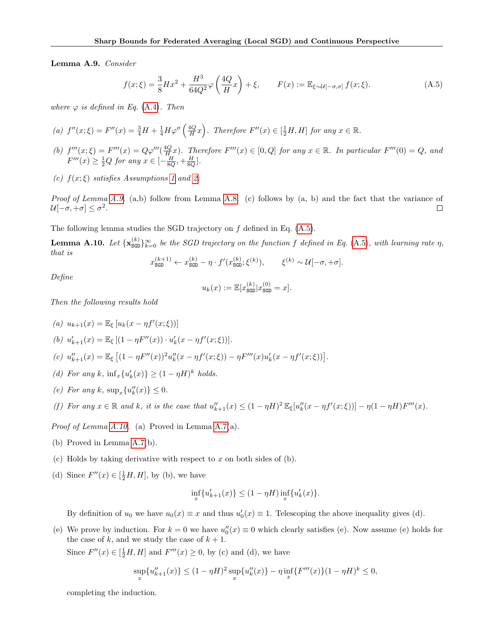Lemma A.9. Consider

<span id="page-17-0"></span>
$$
f(x;\xi) = \frac{3}{8}Hx^2 + \frac{H^3}{64Q^2}\varphi\left(\frac{4Q}{H}x\right) + \xi, \qquad F(x) := \mathbb{E}_{\xi \sim \mathcal{U}[-\sigma,\sigma]} f(x;\xi). \tag{A.5}
$$

where  $\varphi$  is defined in Eq. [\(A.4\)](#page-16-1). Then

(a) 
$$
f''(x;\xi) = F''(x) = \frac{3}{4}H + \frac{1}{4}H\varphi''\left(\frac{4Q}{H}x\right)
$$
. Therefore  $F''(x) \in \left[\frac{1}{2}H, H\right]$  for any  $x \in \mathbb{R}$ .

- (b)  $f'''(x;\xi) = F'''(x) = Q\varphi'''(\frac{4Q}{H_x}x)$ . Therefore  $F'''(x) \in [0,Q]$  for any  $x \in \mathbb{R}$ . In particular  $F'''(0) = Q$ , and  $F'''(x) \ge \frac{1}{2}Q$  for any  $x \in [-\frac{H}{8Q}, +\frac{H}{8Q}].$
- (c)  $f(x;\xi)$  satisfies Assumptions [1](#page-4-0) and [2.](#page-4-5)

*Proof of Lemma [A.9.](#page-16-3)* (a,b) follow from Lemma [A.8.](#page-16-2) (c) follows by  $(a, b)$  and the fact that the variance of  $\mathcal{U}[-\sigma, +\sigma] \leq \sigma^2$ .  $\Box$ 

The following lemma studies the SGD trajectory on  $f$  defined in Eq.  $(A.5)$ .

<span id="page-17-1"></span>**Lemma A.10.** Let  $\{x_{\text{SGD}}^{(k)}\}_{k=0}^{\infty}$  be the SGD trajectory on the function f defined in Eq. [\(A.5\)](#page-17-0), with learning rate  $\eta$ , that is

$$
x_{\text{SGD}}^{(k+1)} \leftarrow x_{\text{SGD}}^{(k)} - \eta \cdot f'(x_{\text{SGD}}^{(k)}; \xi^{(k)}), \qquad \xi^{(k)} \sim \mathcal{U}[-\sigma, +\sigma].
$$

Define

$$
u_k(x) := \mathbb{E}[x_{\text{SGD}}^{(k)} | x_{\text{SGD}}^{(0)} = x].
$$

Then the following results hold

\n- (a) 
$$
u_{k+1}(x) = \mathbb{E}_{\xi} [u_k(x - \eta f'(x; \xi))]
$$
\n- (b)  $u'_{k+1}(x) = \mathbb{E}_{\xi} [(1 - \eta F''(x)) \cdot u'_k(x - \eta f'(x; \xi))].$
\n- (c)  $u''_{k+1}(x) = \mathbb{E}_{\xi} [(1 - \eta F''(x))^2 u''_k(x - \eta f'(x; \xi)) - \eta F'''(x) u'_k(x - \eta f'(x; \xi))].$
\n- (d) For any  $k$ ,  $\inf_x \{u'_k(x)\} \geq (1 - \eta H)^k$  holds.
\n- (e) For any  $k$ ,  $\sup_x \{u''_k(x)\} \leq 0$ .
\n- (f) For any  $x \in \mathbb{R}$  and  $k$ , it is the case that  $u''_{k+1}(x) \leq (1 - \eta H)^2 \mathbb{E}_{\xi} [u''_k(x - \eta f'(x; \xi))] - \eta (1 - \eta H) F'''(x).$
\n

Proof of Lemma [A.10.](#page-17-1) (a) Proved in Lemma [A.7\(](#page-15-1)a).

- (b) Proved in Lemma [A.7\(](#page-15-1)b).
- (c) Holds by taking derivative with respect to x on both sides of  $(b)$ .
- (d) Since  $F''(x) \in [\frac{1}{2}H, H]$ , by (b), we have

$$
\inf_{x}\{u'_{k+1}(x)\}\leq (1-\eta H)\inf_{x}\{u'_{k}(x)\}.
$$

By definition of  $u_0$  we have  $u_0(x) \equiv x$  and thus  $u'_0(x) \equiv 1$ . Telescoping the above inequality gives (d).

(e) We prove by induction. For  $k = 0$  we have  $u''_0(x) \equiv 0$  which clearly satisfies (e). Now assume (e) holds for the case of  $k$ , and we study the case of  $k + 1$ .

Since  $F''(x) \in \left[\frac{1}{2}H, H\right]$  and  $F'''(x) \ge 0$ , by (c) and (d), we have

$$
\sup_{x} \{u''_{k+1}(x)\} \le (1 - \eta H)^2 \sup_{x} \{u''_{k}(x)\} - \eta \inf_{x} \{F'''(x)\}(1 - \eta H)^k \le 0,
$$

completing the induction.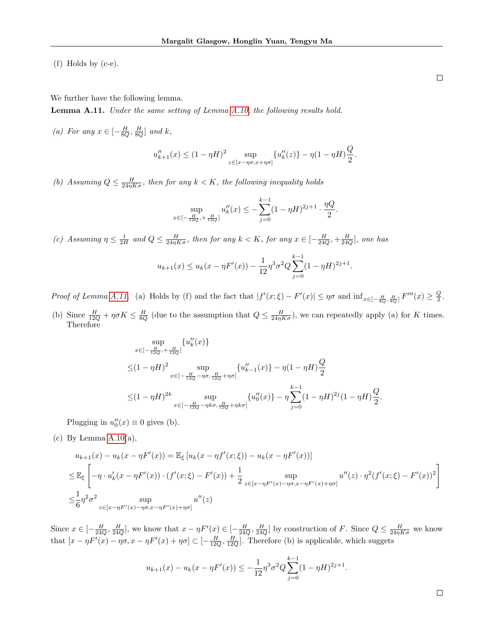(f) Holds by (c-e).

We further have the following lemma.

<span id="page-18-0"></span>**Lemma A.11.** Under the same setting of Lemma  $A.10$ , the following results hold.

(a) For any  $x \in \left[-\frac{H}{8Q}, \frac{H}{8Q}\right]$  and k,

$$
u''_{k+1}(x) \le (1 - \eta H)^2 \sup_{z \in [x - \eta \sigma, x + \eta \sigma]} \{u''_k(z)\} - \eta (1 - \eta H) \frac{Q}{2}.
$$

(b) Assuming  $Q \leq \frac{H}{24\eta K \sigma}$ , then for any  $k < K$ , the following inequality holds

$$
\sup_{x \in [-\frac{H}{12Q}, +\frac{H}{12Q}]} u_k''(x) \le -\sum_{j=0}^{k-1} (1 - \eta H)^{2j+1} \cdot \frac{\eta Q}{2}.
$$

(c) Assuming  $\eta \leq \frac{1}{2H}$  and  $Q \leq \frac{H}{24\eta K\sigma}$ , then for any  $k < K$ , for any  $x \in \left[-\frac{H}{24Q}, +\frac{H}{24Q}\right]$ , one has

$$
u_{k+1}(x) \le u_k(x - \eta F'(x)) - \frac{1}{12} \eta^3 \sigma^2 Q \sum_{j=0}^{k-1} (1 - \eta H)^{2j+1}
$$

.

.

Proof of Lemma [A.11.](#page-18-0) (a) Holds by (f) and the fact that  $|f'(x;\xi) - F'(x)| \leq \eta \sigma$  and  $\inf_{x \in [-\frac{H}{8Q}, \frac{H}{8Q}]} F'''(x) \geq \frac{Q}{2}$ . (b) Since  $\frac{H}{12Q} + \eta \sigma K \leq \frac{H}{8Q}$  (due to the assumption that  $Q \leq \frac{H}{24\eta K \sigma}$ ), we can repeatedly apply (a) for K times.

Therefore  
\n
$$
\sup_{x \in [-\frac{H}{12Q}, +\frac{H}{12Q}]} \{u''_k(x)\}
$$

$$
\leq (1 - \eta H)^2 \sup_{x \in [-\frac{H}{12Q} - \eta \sigma, \frac{H}{12Q} + \eta \sigma]} \{u''_{k-1}(x)\} - \eta (1 - \eta H)^{\frac{Q}{2}} \n\leq (1 - \eta H)^{2k} \sup_{x \in [-\frac{H}{12Q} - \eta k \sigma, \frac{H}{12Q} + \eta k \sigma]} \{u''_0(x)\} - \eta \sum_{j=0}^{k-1} (1 - \eta H)^{2j} (1 - \eta H)^{\frac{Q}{2}}.
$$

Plugging in  $u_0''(x) \equiv 0$  gives (b).

(c) By Lemma  $A.10(a)$ ,

$$
u_{k+1}(x) - u_k(x - \eta F'(x)) = \mathbb{E}_{\xi} [u_k(x - \eta f'(x;\xi)) - u_k(x - \eta F'(x))]
$$
  
\n
$$
\leq \mathbb{E}_{\xi} \left[ -\eta \cdot u'_k(x - \eta F'(x)) \cdot (f'(x;\xi) - F'(x)) + \frac{1}{2} \sup_{z \in [x - \eta F'(x) - \eta \sigma, x - \eta F'(x) + \eta \sigma]} u''(z) \cdot \eta^2 (f'(x;\xi) - F'(x))^2 \right]
$$
  
\n
$$
\leq \frac{1}{6} \eta^2 \sigma^2 \sup_{z \in [x - \eta F'(x) - \eta \sigma, x - \eta F'(x) + \eta \sigma]} u''(z)
$$

Since  $x \in [-\frac{H}{24Q}, \frac{H}{24Q}]$ , we know that  $x - \eta F'(x) \in [-\frac{H}{24Q}, \frac{H}{24Q}]$  by construction of F. Since  $Q \le \frac{H}{24\eta K \sigma}$  we know that  $[x - \eta F'(x) - \eta \sigma, x - \eta F'(x) + \eta \sigma] \subset [-\frac{H}{12Q}, \frac{H}{12Q}]$ . Therefore (b) is applicable, which suggets

$$
u_{k+1}(x) - u_k(x - \eta F'(x)) \le -\frac{1}{12}\eta^3 \sigma^2 Q \sum_{j=0}^{k-1} (1 - \eta H)^{2j+1}
$$

 $\Box$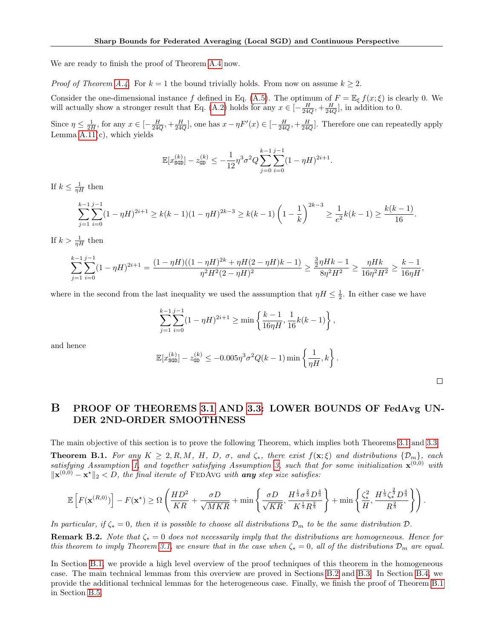We are ready to finish the proof of Theorem [A.4](#page-13-1) now.

*Proof of Theorem [A.4.](#page-13-1)* For  $k = 1$  the bound trivially holds. From now on assume  $k \geq 2$ .

Consider the one-dimensional instance f defined in Eq. [\(A.5\)](#page-17-0). The optimum of  $F = \mathbb{E}_{\xi} f(x; \xi)$  is clearly 0. We will actually show a stronger result that Eq. [\(A.2\)](#page-13-4) holds for any  $x \in \left[-\frac{H}{24Q}, +\frac{H}{24Q}\right]$ , in addition to 0.

Since  $\eta \le \frac{1}{2H}$ , for any  $x \in \left[-\frac{H}{24Q}, +\frac{H}{24Q}\right]$ , one has  $x - \eta F'(x) \in \left[-\frac{H}{24Q}, +\frac{H}{24Q}\right]$ . Therefore one can repeatedly apply Lemma  $A.11(c)$ , which yields

$$
\mathbb{E}[x_{\text{SGD}}^{(k)}] - z_{\text{GD}}^{(k)} \le -\frac{1}{12} \eta^3 \sigma^2 Q \sum_{j=0}^{k-1} \sum_{i=0}^{j-1} (1 - \eta H)^{2i+1}.
$$

If  $k \leq \frac{1}{\eta H}$  then

$$
\sum_{j=1}^{k-1} \sum_{i=0}^{j-1} (1 - \eta H)^{2i+1} \ge k(k-1)(1 - \eta H)^{2k-3} \ge k(k-1) \left(1 - \frac{1}{k}\right)^{2k-3} \ge \frac{1}{e^2} k(k-1) \ge \frac{k(k-1)}{16}.
$$

If  $k > \frac{1}{\eta H}$  then

$$
\sum_{j=1}^{k-1} \sum_{i=0}^{j-1} (1 - \eta H)^{2i+1} = \frac{(1 - \eta H)((1 - \eta H)^{2k} + \eta H(2 - \eta H)k - 1)}{\eta^2 H^2 (2 - \eta H)^2} \ge \frac{\frac{3}{2} \eta H k - 1}{8 \eta^2 H^2} \ge \frac{\eta H k}{16 \eta^2 H^2} \ge \frac{k - 1}{16 \eta H},
$$

where in the second from the last inequality we used the assumption that  $\eta H \leq \frac{1}{2}$ . In either case we have

$$
\sum_{j=1}^{k-1} \sum_{i=0}^{j-1} (1 - \eta H)^{2i+1} \ge \min \left\{ \frac{k-1}{16\eta H}, \frac{1}{16} k(k-1) \right\},\,
$$

and hence

$$
\mathbb{E}[x_\text{SGD}^{(k)}] - z_\text{GD}^{(k)} \le -0.005\eta^3 \sigma^2 Q(k-1) \min\left\{\frac{1}{\eta H}, k\right\}
$$

.

 $\Box$ 

## <span id="page-19-1"></span>B PROOF OF THEOREMS [3.1](#page-6-2) AND [3.3:](#page-6-3) LOWER BOUNDS OF FedAvg UN-DER 2ND-ORDER SMOOTHNESS

The main objective of this section is to prove the following Theorem, which implies both Theorems [3.1](#page-6-2) and [3.3.](#page-6-3)

<span id="page-19-0"></span>**Theorem B.1.** For any  $K \geq 2, R, M, H, D, \sigma$ , and  $\zeta_*,$  there exist  $f(\mathbf{x}; \xi)$  and distributions  $\{\mathcal{D}_m\}$ , each satisfying Assumption [1,](#page-4-0) and together satisfying Assumption [3,](#page-6-1) such that for some initialization  $\mathbf{x}^{(0,0)}$  with  $\|\mathbf{x}^{(0,0)} - \mathbf{x}^{\star}\|_{2} < D$ , the final iterate of FEDAvG with any step size satisfies:

$$
\mathbb{E}\left[F(\mathbf{x}^{(R,0)})\right] - F(\mathbf{x}^{\star}) \geq \Omega\left(\frac{HD^2}{KR} + \frac{\sigma D}{\sqrt{MKR}} + \min\left\{\frac{\sigma D}{\sqrt{KR}}, \frac{H^{\frac{1}{3}}\sigma^{\frac{2}{3}}D^{\frac{4}{3}}}{K^{\frac{1}{3}}R^{\frac{2}{3}}}\right\} + \min\left\{\frac{\zeta_*^2}{H}, \frac{H^{\frac{1}{3}}\zeta_*^{\frac{2}{3}}D^{\frac{4}{3}}}{R^{\frac{2}{3}}}\right\}\right).
$$

In particular, if  $\zeta_* = 0$ , then it is possible to choose all distributions  $\mathcal{D}_m$  to be the same distribution  $\mathcal{D}$ .

**Remark B.2.** Note that  $\zeta_* = 0$  does not necessarily imply that the distributions are homogeneous. Hence for this theorem to imply Theorem [3.1,](#page-6-2) we ensure that in the case when  $\zeta_* = 0$ , all of the distributions  $\mathcal{D}_m$  are equal.

In Section [B.1,](#page-20-0) we provide a high level overview of the proof techniques of this theorem in the homogeneous case. The main technical lemmas from this overview are proved in Sections [B.2](#page-22-0) and [B.3.](#page-30-0) In Section [B.4,](#page-31-0) we provide the additional technical lemmas for the heterogeneous case. Finally, we finish the proof of Theorem [B.1](#page-19-0) in Section [B.5.](#page-33-0)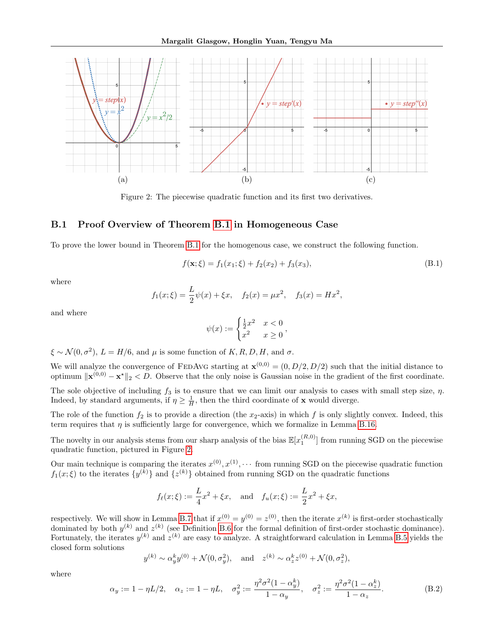<span id="page-20-1"></span>

Figure 2: The piecewise quadratic function and its first two derivatives.

#### <span id="page-20-0"></span>B.1 Proof Overview of Theorem [B.1](#page-19-0) in Homogeneous Case

To prove the lower bound in Theorem [B.1](#page-19-0) for the homogenous case, we construct the following function.

<span id="page-20-3"></span>
$$
f(\mathbf{x}; \xi) = f_1(x_1; \xi) + f_2(x_2) + f_3(x_3), \tag{B.1}
$$

where

$$
f_1(x; \xi) = \frac{L}{2}\psi(x) + \xi x
$$
,  $f_2(x) = \mu x^2$ ,  $f_3(x) = Hx^2$ ,

and where

$$
\psi(x) := \begin{cases} \frac{1}{2}x^2 & x < 0 \\ x^2 & x \ge 0 \end{cases}
$$

 $\xi \sim \mathcal{N}(0, \sigma^2)$ ,  $L = H/6$ , and  $\mu$  is some function of  $K, R, D, H$ , and  $\sigma$ .

We will analyze the convergence of FEDAVG starting at  $\mathbf{x}^{(0,0)} = (0, D/2, D/2)$  such that the initial distance to optimum  $\|\mathbf{x}^{(0,0)} - \mathbf{x}^*\|_2 < D$ . Observe that the only noise is Gaussian noise in the gradient of the first coordinate.

The sole objective of including  $f_3$  is to ensure that we can limit our analysis to cases with small step size,  $\eta$ . Indeed, by standard arguments, if  $\eta \geq \frac{1}{H}$ , then the third coordinate of **x** would diverge.

The role of the function  $f_2$  is to provide a direction (the  $x_2$ -axis) in which f is only slightly convex. Indeed, this term requires that  $\eta$  is sufficiently large for convergence, which we formalize in Lemma [B.16.](#page-33-1)

The novelty in our analysis stems from our sharp analysis of the bias  $\mathbb{E}[x_1^{(R,0)}]$  from running SGD on the piecewise quadratic function, pictured in Figure [2.](#page-20-1)

Our main technique is comparing the iterates  $x^{(0)}, x^{(1)}, \cdots$  from running SGD on the piecewise quadratic function  $f_1(x;\xi)$  to the iterates  $\{y^{(k)}\}$  and  $\{z^{(k)}\}$  obtained from running SGD on the quadratic functions

$$
f_{\ell}(x;\xi) := \frac{L}{4}x^2 + \xi x
$$
, and  $f_u(x;\xi) := \frac{L}{2}x^2 + \xi x$ ,

respectively. We will show in Lemma [B.7](#page-22-1) that if  $x^{(0)} = y^{(0)} = z^{(0)}$ , then the iterate  $x^{(k)}$  is first-order stochastically dominated by both  $y^{(k)}$  and  $z^{(k)}$  (see Definition [B.6](#page-22-2) for the formal definition of first-order stochastic dominance). Fortunately, the iterates  $y^{(k)}$  and  $z^{(k)}$  are easy to analyze. A straightforward calculation in Lemma [B.5](#page-22-3) yields the closed form solutions

$$
y^{(k)} \sim \alpha_y^k y^{(0)} + \mathcal{N}(0, \sigma_y^2)
$$
, and  $z^{(k)} \sim \alpha_z^k z^{(0)} + \mathcal{N}(0, \sigma_z^2)$ ,

where

<span id="page-20-2"></span>
$$
\alpha_y := 1 - \eta L/2, \quad \alpha_z := 1 - \eta L, \quad \sigma_y^2 := \frac{\eta^2 \sigma^2 (1 - \alpha_y^k)}{1 - \alpha_y}, \quad \sigma_z^2 := \frac{\eta^2 \sigma^2 (1 - \alpha_z^k)}{1 - \alpha_z}.
$$
 (B.2)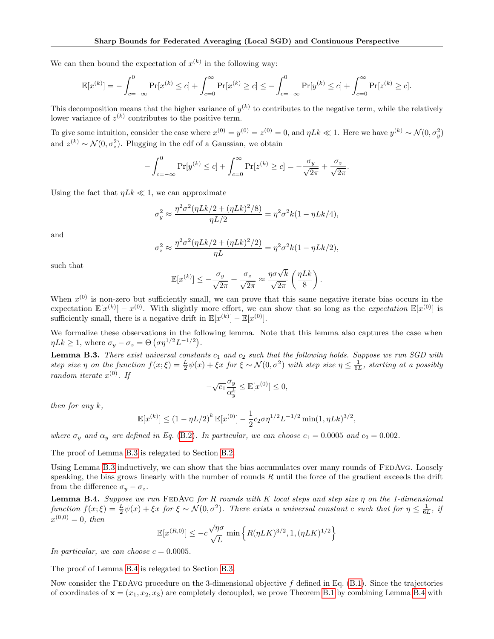We can then bound the expectation of  $x^{(k)}$  in the following way:

$$
\mathbb{E}[x^{(k)}] = -\int_{c=-\infty}^{0} \Pr[x^{(k)} \le c] + \int_{c=0}^{\infty} \Pr[x^{(k)} \ge c] \le -\int_{c=-\infty}^{0} \Pr[y^{(k)} \le c] + \int_{c=0}^{\infty} \Pr[z^{(k)} \ge c].
$$

This decomposition means that the higher variance of  $y^{(k)}$  to contributes to the negative term, while the relatively lower variance of  $z^{(k)}$  contributes to the positive term.

To give some intuition, consider the case where  $x^{(0)} = y^{(0)} = z^{(0)} = 0$ , and  $\eta L k \ll 1$ . Here we have  $y^{(k)} \sim \mathcal{N}(0, \sigma_y^2)$ and  $z^{(k)} \sim \mathcal{N}(0, \sigma_z^2)$ . Plugging in the cdf of a Gaussian, we obtain

$$
-\int_{c=-\infty}^{0} \Pr[y^{(k)} \le c] + \int_{c=0}^{\infty} \Pr[z^{(k)} \ge c] = -\frac{\sigma_y}{\sqrt{2\pi}} + \frac{\sigma_z}{\sqrt{2\pi}}.
$$

Using the fact that  $\eta L k \ll 1$ , we can approximate

$$
\sigma_y^2 \approx \frac{\eta^2 \sigma^2 (\eta L k/2 + (\eta L k)^2 / 8)}{\eta L/2} = \eta^2 \sigma^2 k (1 - \eta L k/4),
$$

and

$$
\sigma_z^2 \approx \frac{\eta^2 \sigma^2 (\eta L k/2 + (\eta L k)^2/2)}{\eta L} = \eta^2 \sigma^2 k (1 - \eta L k/2),
$$

such that

$$
\mathbb{E}[x^{(k)}] \le -\frac{\sigma_y}{\sqrt{2\pi}} + \frac{\sigma_z}{\sqrt{2\pi}} \approx \frac{\eta \sigma \sqrt{k}}{\sqrt{2\pi}} \left(\frac{\eta L k}{8}\right).
$$

When  $x^{(0)}$  is non-zero but sufficiently small, we can prove that this same negative iterate bias occurs in the expectation  $\mathbb{E}[x^{(k)}] - x^{(0)}$ . With slightly more effort, we can show that so long as the *expectation*  $\mathbb{E}[x^{(0)}]$  is sufficiently small, there is a negative drift in  $\mathbb{E}[x^{(k)}] - \mathbb{E}[x^{(0)}]$ .

We formalize these observations in the following lemma. Note that this lemma also captures the case when  $\eta L k \geq 1$ , where  $\sigma_y - \sigma_z = \Theta\left(\sigma \eta^{1/2} L^{-1/2}\right)$ .

<span id="page-21-0"></span>**Lemma B.3.** There exist universal constants  $c_1$  and  $c_2$  such that the following holds. Suppose we run SGD with step size  $\eta$  on the function  $f(x;\xi) = \frac{L}{2}\psi(x) + \xi x$  for  $\xi \sim \mathcal{N}(0,\sigma^2)$  with step size  $\eta \leq \frac{1}{6L}$ , starting at a possibly random iterate  $x^{(0)}$ . If

$$
-\sqrt{c_1}\frac{\sigma_y}{\alpha_y^k} \le \mathbb{E}[x^{(0)}] \le 0,
$$

then for any k,

$$
\mathbb{E}[x^{(k)}] \le (1 - \eta L/2)^k \mathbb{E}[x^{(0)}] - \frac{1}{2} c_2 \sigma \eta^{1/2} L^{-1/2} \min(1, \eta L k)^{3/2}
$$

,

where  $\sigma_y$  and  $\alpha_y$  are defined in Eq. [\(B.2\)](#page-20-2). In particular, we can choose  $c_1 = 0.0005$  and  $c_2 = 0.002$ .

The proof of Lemma [B.3](#page-21-0) is relegated to Section [B.2.](#page-22-0)

Using Lemma [B.3](#page-21-0) inductively, we can show that the bias accumulates over many rounds of FEDAvG. Loosely speaking, the bias grows linearly with the number of rounds  $R$  until the force of the gradient exceeds the drift from the difference  $\sigma_y - \sigma_z$ .

<span id="page-21-1"></span>Lemma B.4. Suppose we run FEDAvG for R rounds with K local steps and step size  $\eta$  on the 1-dimensional function  $f(x;\xi) = \frac{L}{2}\psi(x) + \xi x$  for  $\xi \sim \mathcal{N}(0,\sigma^2)$ . There exists a universal constant c such that for  $\eta \leq \frac{1}{6L}$ , if  $x^{(0,0)} = 0$ , then

$$
\mathbb{E}[x^{(R,0)}] \le -c\frac{\sqrt{\eta}\sigma}{\sqrt{L}}\min\left\{R(\eta LK)^{3/2}, 1, (\eta LK)^{1/2}\right\}
$$

In particular, we can choose  $c = 0.0005$ .

The proof of Lemma [B.4](#page-21-1) is relegated to Section [B.3.](#page-30-0)

Now consider the FEDAvG procedure on the 3-dimensional objective  $f$  defined in Eq.  $(B.1)$ . Since the trajectories of coordinates of  $\mathbf{x} = (x_1, x_2, x_3)$  are completely decoupled, we prove Theorem [B.1](#page-19-0) by combining Lemma [B.4](#page-21-1) with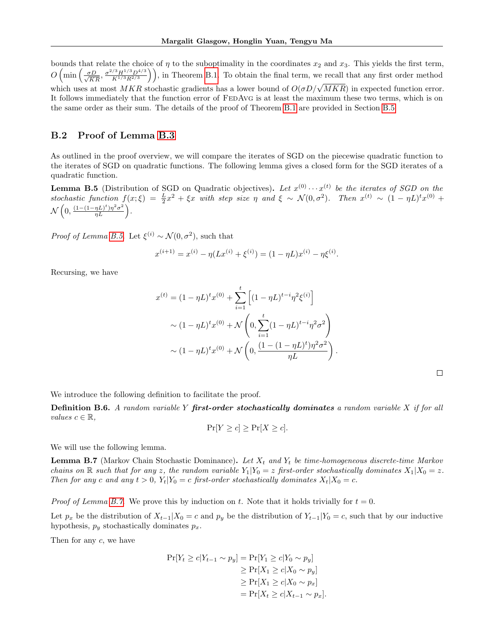bounds that relate the choice of  $\eta$  to the suboptimality in the coordinates  $x_2$  and  $x_3$ . This yields the first term,  $O\left(\min\left(\frac{\sigma D}{\sqrt{KR}}, \frac{\sigma^{2/3}H^{1/3}D^{4/3}}{K^{1/3}R^{2/3}}\right)\right)$ , in Theorem [B.1.](#page-19-0) To obtain the final term, we recall that any first order method which uses at most MKR stochastic gradients has a lower bound of  $O(\sigma D/\sqrt{MKR})$  in expected function error. It follows immediately that the function error of FEDAVG is at least the maximum these two terms, which is on the same order as their sum. The details of the proof of Theorem [B.1](#page-19-0) are provided in Section [B.5.](#page-33-0)

#### <span id="page-22-0"></span>B.2 Proof of Lemma [B.3](#page-21-0)

As outlined in the proof overview, we will compare the iterates of SGD on the piecewise quadratic function to the iterates of SGD on quadratic functions. The following lemma gives a closed form for the SGD iterates of a quadratic function.

<span id="page-22-3"></span>**Lemma B.5** (Distribution of SGD on Quadratic objectives). Let  $x^{(0)} \cdots x^{(t)}$  be the iterates of SGD on the stochastic function  $f(x;\xi) = \frac{L}{2}x^2 + \xi x$  with step size  $\eta$  and  $\xi \sim \mathcal{N}(0,\sigma^2)$ . Then  $x^{(t)} \sim (1-\eta L)^t x^{(0)} +$  $\mathcal{N}\left(0, \frac{(1-(1-\eta L)^t)\eta^2\sigma^2}{\eta L}\right)$ .

*Proof of Lemma [B.5.](#page-22-3)* Let  $\xi^{(i)} \sim \mathcal{N}(0, \sigma^2)$ , such that

$$
x^{(i+1)} = x^{(i)} - \eta(Lx^{(i)} + \xi^{(i)}) = (1 - \eta L)x^{(i)} - \eta \xi^{(i)}
$$

Recursing, we have

$$
x^{(t)} = (1 - \eta L)^{t} x^{(0)} + \sum_{i=1}^{t} \left[ (1 - \eta L)^{t-i} \eta^{2} \xi^{(i)} \right]
$$
  
 
$$
\sim (1 - \eta L)^{t} x^{(0)} + \mathcal{N} \left( 0, \sum_{i=1}^{t} (1 - \eta L)^{t-i} \eta^{2} \sigma^{2} \right)
$$
  
 
$$
\sim (1 - \eta L)^{t} x^{(0)} + \mathcal{N} \left( 0, \frac{(1 - (1 - \eta L)^{t}) \eta^{2} \sigma^{2}}{\eta L} \right).
$$

.

We introduce the following definition to facilitate the proof.

<span id="page-22-2"></span>**Definition B.6.** A random variable Y first-order stochastically dominates a random variable X if for all *values*  $c \in \mathbb{R}$ ,

$$
\Pr[Y \ge c] \ge \Pr[X \ge c].
$$

We will use the following lemma.

<span id="page-22-1"></span>**Lemma B.7** (Markov Chain Stochastic Dominance). Let  $X_t$  and  $Y_t$  be time-homogeneous discrete-time Markov chains on R such that for any z, the random variable  $Y_1|Y_0 = z$  first-order stochastically dominates  $X_1|X_0 = z$ . Then for any c and any  $t > 0$ ,  $Y_t|Y_0 = c$  first-order stochastically dominates  $X_t|X_0 = c$ .

*Proof of Lemma [B.7.](#page-22-1)* We prove this by induction on t. Note that it holds trivially for  $t = 0$ .

Let  $p_x$  be the distribution of  $X_{t-1}|X_0 = c$  and  $p_y$  be the distribution of  $Y_{t-1}|Y_0 = c$ , such that by our inductive hypothesis,  $p_y$  stochastically dominates  $p_x$ .

Then for any c, we have

$$
\Pr[Y_t \ge c | Y_{t-1} \sim p_y] = \Pr[Y_1 \ge c | Y_0 \sim p_y]
$$
  
\n
$$
\ge \Pr[X_1 \ge c | X_0 \sim p_y]
$$
  
\n
$$
\ge \Pr[X_1 \ge c | X_0 \sim p_x]
$$
  
\n
$$
= \Pr[X_t \ge c | X_{t-1} \sim p_x].
$$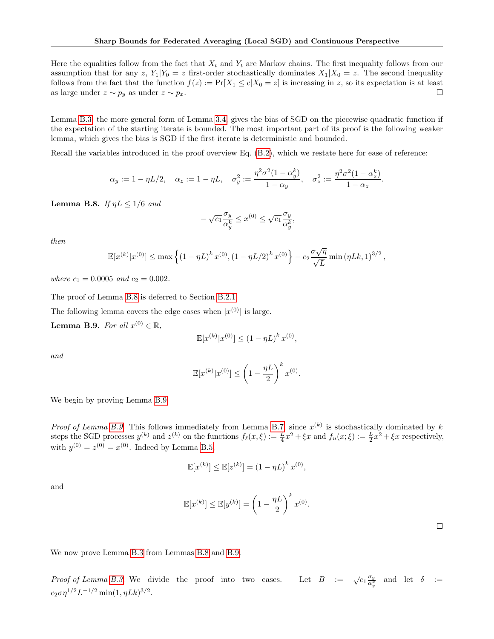Here the equalities follow from the fact that  $X_t$  and  $Y_t$  are Markov chains. The first inequality follows from our assumption that for any z,  $Y_1|Y_0 = z$  first-order stochastically dominates  $X_1|X_0 = z$ . The second inequality follows from the fact that the function  $f(z) := \Pr[X_1 \le c | X_0 = z]$  is increasing in z, so its expectation is at least as large under  $z \sim p_y$  as under  $z \sim p_x$ .  $\Box$ 

Lemma [B.3,](#page-21-0) the more general form of Lemma [3.4,](#page-7-3) gives the bias of SGD on the piecewise quadratic function if the expectation of the starting iterate is bounded. The most important part of its proof is the following weaker lemma, which gives the bias is SGD if the first iterate is deterministic and bounded.

Recall the variables introduced in the proof overview Eq. [\(B.2\)](#page-20-2), which we restate here for ease of reference:

$$
\alpha_y := 1 - \eta L/2, \quad \alpha_z := 1 - \eta L, \quad \sigma_y^2 := \frac{\eta^2 \sigma^2 (1 - \alpha_y^k)}{1 - \alpha_y}, \quad \sigma_z^2 := \frac{\eta^2 \sigma^2 (1 - \alpha_z^k)}{1 - \alpha_z}.
$$

<span id="page-23-0"></span>**Lemma B.8.** If  $\eta L \leq 1/6$  and

$$
-\sqrt{c_1} \frac{\sigma_y}{\alpha_y^k} \le x^{(0)} \le \sqrt{c_1} \frac{\sigma_y}{\alpha_y^k},
$$

then

$$
\mathbb{E}[x^{(k)}|x^{(0)}] \leq \max\left\{(1-\eta L)^k x^{(0)}, (1-\eta L/2)^k x^{(0)}\right\} - c_2 \frac{\sigma \sqrt{\eta}}{\sqrt{L}} \min(\eta L k, 1)^{3/2},
$$

where  $c_1 = 0.0005$  and  $c_2 = 0.002$ .

The proof of Lemma [B.8](#page-23-0) is deferred to Section [B.2.1.](#page-25-0)

The following lemma covers the edge cases when  $|x^{(0)}|$  is large.

<span id="page-23-1"></span>**Lemma B.9.** For all  $x^{(0)} \in \mathbb{R}$ ,

$$
\mathbb{E}[x^{(k)}|x^{(0)}] \le (1 - \eta L)^k x^{(0)},
$$

and

$$
\mathbb{E}[x^{(k)}|x^{(0)}] \le \left(1 - \frac{\eta L}{2}\right)^k x^{(0)}.
$$

We begin by proving Lemma [B.9.](#page-23-1)

*Proof of Lemma [B.9.](#page-23-1)* This follows immediately from Lemma [B.7,](#page-22-1) since  $x^{(k)}$  is stochastically dominated by k steps the SGD processes  $y^{(k)}$  and  $z^{(k)}$  on the functions  $f_{\ell}(x,\xi) := \frac{L}{4}x^2 + \xi x$  and  $f_u(x;\xi) := \frac{L}{2}x^2 + \xi x$  respectively, with  $y^{(0)} = z^{(0)} = x^{(0)}$ . Indeed by Lemma [B.5,](#page-22-3)

$$
\mathbb{E}[x^{(k)}] \le \mathbb{E}[z^{(k)}] = (1 - \eta L)^k x^{(0)},
$$

and

$$
\mathbb{E}[x^{(k)}] \le \mathbb{E}[y^{(k)}] = \left(1 - \frac{\eta L}{2}\right)^k x^{(0)}.
$$

 $\Box$ 

We now prove Lemma [B.3](#page-21-0) from Lemmas [B.8](#page-23-0) and [B.9.](#page-23-1)

Proof of Lemma [B.3.](#page-21-0) We divide the proof into two cases.  $\overline{c_1} \frac{\sigma_y}{\alpha^k}$  $\frac{\sigma_y}{\alpha_y^k}$  and let  $\delta :=$  $c_2 \sigma \eta^{1/2} L^{-1/2} \min(1, \eta L k)^{3/2}.$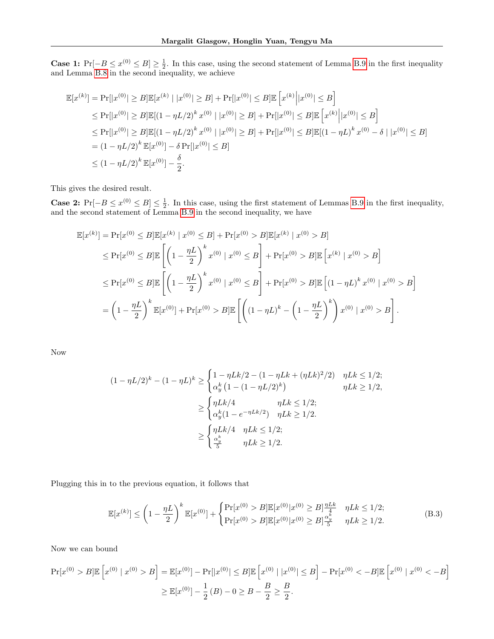**Case 1:**  $Pr[-B \le x^{(0)} \le B] \ge \frac{1}{2}$ . In this case, using the second statement of Lemma [B.9](#page-23-1) in the first inequality and Lemma [B.8](#page-23-0) in the second inequality, we achieve

$$
\mathbb{E}[x^{(k)}] = \Pr[|x^{(0)}| \ge B] \mathbb{E}[x^{(k)} | |x^{(0)}| \ge B] + \Pr[|x^{(0)}| \le B] \mathbb{E}[x^{(k)} | |x^{(0)}| \le B]
$$
  
\n
$$
\le \Pr[|x^{(0)}| \ge B] \mathbb{E}[(1 - \eta L/2)^k x^{(0)} | |x^{(0)}| \ge B] + \Pr[|x^{(0)}| \le B] \mathbb{E}[x^{(k)} | |x^{(0)}| \le B]
$$
  
\n
$$
\le \Pr[|x^{(0)}| \ge B] \mathbb{E}[(1 - \eta L/2)^k x^{(0)} | |x^{(0)}| \ge B] + \Pr[|x^{(0)}| \le B] \mathbb{E}[(1 - \eta L)^k x^{(0)} - \delta | |x^{(0)}| \le B]
$$
  
\n
$$
= (1 - \eta L/2)^k \mathbb{E}[x^{(0)}] - \delta \Pr[|x^{(0)}| \le B]
$$
  
\n
$$
\le (1 - \eta L/2)^k \mathbb{E}[x^{(0)}] - \frac{\delta}{2}.
$$

This gives the desired result.

**Case 2:**  $Pr[-B \le x^{(0)} \le B] \le \frac{1}{2}$ . In this case, using the first statement of Lemmas [B.9](#page-23-1) in the first inequality, and the second statement of Lemma [B.9](#page-23-1) in the second inequality, we have

$$
\mathbb{E}[x^{(k)}] = \Pr[x^{(0)} \le B] \mathbb{E}[x^{(k)} | x^{(0)} \le B] + \Pr[x^{(0)} > B] \mathbb{E}[x^{(k)} | x^{(0)} > B]
$$
  
\n
$$
\le \Pr[x^{(0)} \le B] \mathbb{E}\left[\left(1 - \frac{\eta L}{2}\right)^k x^{(0)} | x^{(0)} \le B\right] + \Pr[x^{(0)} > B] \mathbb{E}\left[x^{(k)} | x^{(0)} > B\right]
$$
  
\n
$$
\le \Pr[x^{(0)} \le B] \mathbb{E}\left[\left(1 - \frac{\eta L}{2}\right)^k x^{(0)} | x^{(0)} \le B\right] + \Pr[x^{(0)} > B] \mathbb{E}\left[(1 - \eta L)^k x^{(0)} | x^{(0)} > B\right]
$$
  
\n
$$
= \left(1 - \frac{\eta L}{2}\right)^k \mathbb{E}[x^{(0)}] + \Pr[x^{(0)} > B] \mathbb{E}\left[\left((1 - \eta L)^k - \left(1 - \frac{\eta L}{2}\right)^k\right) x^{(0)} | x^{(0)} > B\right].
$$

Now

$$
(1 - \eta L/2)^k - (1 - \eta L)^k \ge \begin{cases} 1 - \eta Lk/2 - (1 - \eta Lk + (\eta Lk)^2/2) & \eta Lk \le 1/2; \\ \alpha_y^k (1 - (1 - \eta L/2)^k) & \eta Lk \ge 1/2, \end{cases}
$$
  

$$
\ge \begin{cases} \eta Lk/4 & \eta Lk \le 1/2; \\ \alpha_y^k (1 - e^{-\eta Lk/2}) & \eta Lk \ge 1/2. \end{cases}
$$
  

$$
\ge \begin{cases} \eta Lk/4 & \eta Lk \le 1/2; \\ \frac{\alpha_y^k}{5} & \eta Lk \ge 1/2. \end{cases}
$$

Plugging this in to the previous equation, it follows that

<span id="page-24-0"></span>
$$
\mathbb{E}[x^{(k)}] \leq \left(1 - \frac{\eta L}{2}\right)^k \mathbb{E}[x^{(0)}] + \begin{cases} \Pr[x^{(0)} > B] \mathbb{E}[x^{(0)} | x^{(0)} \geq B] \frac{\eta L k}{4} & \eta L k \leq 1/2; \\ \Pr[x^{(0)} > B] \mathbb{E}[x^{(0)} | x^{(0)} \geq B] \frac{\alpha_y^k}{5} & \eta L k \geq 1/2. \end{cases}
$$
(B.3)

Now we can bound

$$
\Pr[x^{(0)} > B] \mathbb{E}\left[x^{(0)} \mid x^{(0)} > B\right] = \mathbb{E}[x^{(0)}] - \Pr[|x^{(0)}| \le B] \mathbb{E}\left[x^{(0)} \mid |x^{(0)}| \le B\right] - \Pr[x^{(0)} < -B] \mathbb{E}\left[x^{(0)} \mid x^{(0)} < -B\right]
$$

$$
\ge \mathbb{E}[x^{(0)}] - \frac{1}{2}(B) - 0 \ge B - \frac{B}{2} \ge \frac{B}{2}.
$$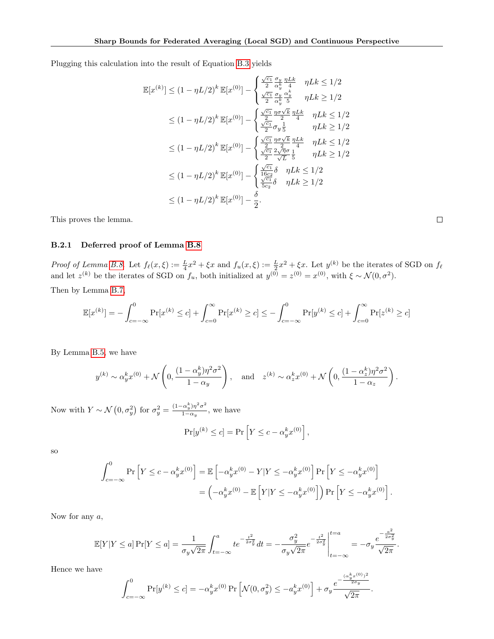Plugging this calculation into the result of Equation [B.3](#page-24-0) yields

$$
\mathbb{E}[x^{(k)}] \leq (1 - \eta L/2)^k \mathbb{E}[x^{(0)}] - \begin{cases} \frac{\sqrt{c_1}}{2} \frac{\sigma_y}{\alpha_b^k} \frac{\eta L k}{4} & \eta L k \leq 1/2\\ \frac{\sqrt{c_1}}{2} \frac{\sigma_y}{\alpha_b^k} \frac{\alpha_b^k}{5} & \eta L k \geq 1/2 \end{cases}
$$
  
\n
$$
\leq (1 - \eta L/2)^k \mathbb{E}[x^{(0)}] - \begin{cases} \frac{\sqrt{c_1}}{2} \frac{\eta \sigma \sqrt{k}}{2} \frac{\eta L k}{4} & \eta L k \leq 1/2\\ \frac{\sqrt{c_1}}{2} \sigma_y \frac{1}{5} & \eta L k \geq 1/2 \end{cases}
$$
  
\n
$$
\leq (1 - \eta L/2)^k \mathbb{E}[x^{(0)}] - \begin{cases} \frac{\sqrt{c_1}}{2} \frac{\eta \sigma \sqrt{k}}{2} \frac{\eta L k}{1} & \eta L k \leq 1/2\\ \frac{\sqrt{c_1}}{2} \frac{2\sqrt{\eta} \sigma}{\sqrt{L}} \frac{1}{5} & \eta L k \geq 1/2 \end{cases}
$$
  
\n
$$
\leq (1 - \eta L/2)^k \mathbb{E}[x^{(0)}] - \begin{cases} \frac{\sqrt{c_1}}{16c_2} \delta & \eta L k \leq 1/2\\ \frac{\sqrt{c_1}}{5c_2} \delta & \eta L k \geq 1/2 \end{cases}
$$
  
\n
$$
\leq (1 - \eta L/2)^k \mathbb{E}[x^{(0)}] - \frac{\delta}{2}.
$$

This proves the lemma.

#### <span id="page-25-0"></span>B.2.1 Deferred proof of Lemma [B.8](#page-23-0)

Proof of Lemma [B.8.](#page-23-0) Let  $f_{\ell}(x,\xi) := \frac{L}{4}x^2 + \xi x$  and  $f_u(x,\xi) := \frac{L}{2}x^2 + \xi x$ . Let  $y^{(k)}$  be the iterates of SGD on  $f_{\ell}$ and let  $z^{(k)}$  be the iterates of SGD on  $f_u$ , both initialized at  $y^{(0)} = z^{(0)} = x^{(0)}$ , with  $\xi \sim \mathcal{N}(0, \sigma^2)$ .

Then by Lemma [B.7,](#page-22-1)

$$
\mathbb{E}[x^{(k)}] = -\int_{c=-\infty}^{0} \Pr[x^{(k)} \le c] + \int_{c=0}^{\infty} \Pr[x^{(k)} \ge c] \le -\int_{c=-\infty}^{0} \Pr[y^{(k)} \le c] + \int_{c=0}^{\infty} \Pr[z^{(k)} \ge c]
$$

By Lemma [B.5,](#page-22-3) we have

$$
y^{(k)} \sim \alpha_y^k x^{(0)} + \mathcal{N}\left(0, \frac{(1-\alpha_y^k)\eta^2 \sigma^2}{1-\alpha_y}\right), \quad \text{and} \quad z^{(k)} \sim \alpha_z^k x^{(0)} + \mathcal{N}\left(0, \frac{(1-\alpha_z^k)\eta^2 \sigma^2}{1-\alpha_z}\right).
$$

Now with  $Y \sim \mathcal{N}\left(0, \sigma_y^2\right)$  for  $\sigma_y^2 = \frac{(1-\alpha_y^k)\eta^2\sigma^2}{1-\alpha_y}$  $\frac{\alpha_y}{1-\alpha_y}$ , we have

$$
\Pr[y^{(k)} \le c] = \Pr\left[Y \le c - \alpha_y^k x^{(0)}\right],
$$

so

$$
\int_{c=-\infty}^{0} \Pr\left[Y \leq c - \alpha_y^k x^{(0)}\right] = \mathbb{E}\left[-\alpha_y^k x^{(0)} - Y|Y \leq -\alpha_y^k x^{(0)}\right] \Pr\left[Y \leq -\alpha_y^k x^{(0)}\right]
$$

$$
= \left(-\alpha_y^k x^{(0)} - \mathbb{E}\left[Y|Y \leq -\alpha_y^k x^{(0)}\right]\right) \Pr\left[Y \leq -\alpha_y^k x^{(0)}\right].
$$

Now for any  $a$ ,

$$
\mathbb{E}[Y|Y \le a] \Pr[Y \le a] = \frac{1}{\sigma_y \sqrt{2\pi}} \int_{t=-\infty}^a t e^{-\frac{t^2}{2\sigma_y^2}} dt = -\frac{\sigma_y^2}{\sigma_y \sqrt{2\pi}} e^{-\frac{t^2}{2\sigma_y^2}} \Big|_{t=-\infty}^{t=a} = -\sigma_y \frac{e^{-\frac{a^2}{2\sigma_y^2}}}{\sqrt{2\pi}}.
$$

Hence we have

$$
\int_{c=-\infty}^{0} \Pr[y^{(k)} \le c] = -\alpha_y^k x^{(0)} \Pr\left[\mathcal{N}(0, \sigma_y^2) \le -a_y^k x^{(0)}\right] + \sigma_y \frac{e^{-\frac{(\alpha_y^k x^{(0)})^2}{2\sigma_y}}}{\sqrt{2\pi}}.
$$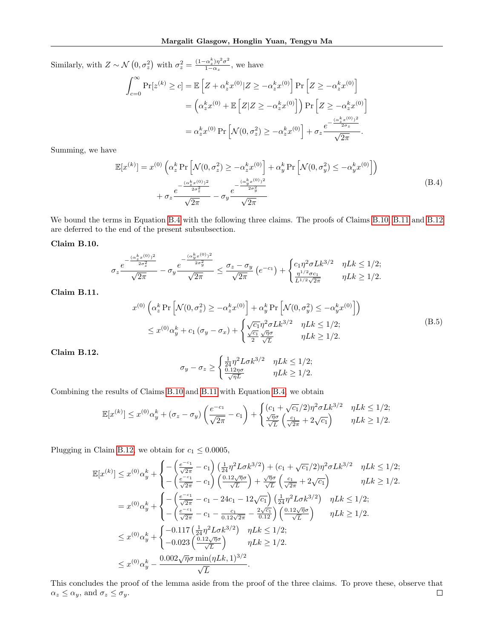Similarly, with  $Z \sim \mathcal{N}\left(0, \sigma_z^2\right)$  with  $\sigma_z^2 = \frac{(1-\alpha_z^k)\eta^2\sigma^2}{1-\alpha_z}$  $\frac{\frac{\partial}{\partial x} + \frac{\partial}{\partial y}}{1 - \alpha_z}$ , we have

$$
\int_{c=0}^{\infty} \Pr[z^{(k)} \ge c] = \mathbb{E}\left[Z + \alpha_z^k x^{(0)} | Z \ge -\alpha_z^k x^{(0)}\right] \Pr\left[Z \ge -\alpha_z^k x^{(0)}\right]
$$

$$
= \left(\alpha_z^k x^{(0)} + \mathbb{E}\left[Z | Z \ge -\alpha_z^k x^{(0)}\right]\right) \Pr\left[Z \ge -\alpha_z^k x^{(0)}\right]
$$

$$
= \alpha_z^k x^{(0)} \Pr\left[\mathcal{N}(0, \sigma_z^2) \ge -\alpha_z^k x^{(0)}\right] + \sigma_z \frac{e^{-\frac{(\alpha_z^k x^{(0)})^2}{2\sigma_z}}}{\sqrt{2\pi}}.
$$

<span id="page-26-0"></span>Summing, we have

$$
\mathbb{E}[x^{(k)}] = x^{(0)} \left( \alpha_z^k \Pr\left[\mathcal{N}(0, \sigma_z^2) \ge -\alpha_z^k x^{(0)}\right] + \alpha_y^k \Pr\left[\mathcal{N}(0, \sigma_y^2) \le -\alpha_y^k x^{(0)}\right] \right) + \sigma_z \frac{e^{-\frac{(\alpha_z^k x^{(0)})^2}{2\sigma_z^2}}}{\sqrt{2\pi}} - \sigma_y \frac{e^{-\frac{(\alpha_y^k x^{(0)})^2}{2\sigma_y^2}}}{\sqrt{2\pi}}
$$
\n(B.4)

We bound the terms in Equation [B.4](#page-26-0) with the following three claims. The proofs of Claims [B.10,](#page-26-1) [B.11](#page-26-2) and [B.12](#page-26-3) are deferred to the end of the present subsubsection.

#### <span id="page-26-1"></span>Claim B.10.

$$
\sigma_z \frac{e^{-\frac{(\alpha_z^k x^{(0)})^2}{2\sigma_z^2}}}{\sqrt{2\pi}} - \sigma_y \frac{e^{-\frac{(\alpha_y^k x^{(0)})^2}{2\sigma_y^2}}}{\sqrt{2\pi}} \le \frac{\sigma_z - \sigma_y}{\sqrt{2\pi}} \left(e^{-c_1}\right) + \begin{cases} c_1 \eta^2 \sigma L k^{3/2} & \eta L k \le 1/2; \\ \frac{\eta^{1/2} \sigma c_1}{L^{1/2} \sqrt{2\pi}} & \eta L k \ge 1/2. \end{cases}
$$

<span id="page-26-4"></span><span id="page-26-2"></span>Claim B.11.

$$
x^{(0)}\left(\alpha_z^k \Pr\left[\mathcal{N}(0, \sigma_z^2) \ge -\alpha_z^k x^{(0)}\right] + \alpha_y^k \Pr\left[\mathcal{N}(0, \sigma_y^2) \le -\alpha_y^k x^{(0)}\right]\right)
$$
  

$$
\le x^{(0)}\alpha_y^k + c_1(\sigma_y - \sigma_x) + \begin{cases} \sqrt{c_1} \eta^2 \sigma L k^{3/2} & \eta L k \le 1/2; \\ \frac{\sqrt{c_1}}{2} \frac{\sqrt{\eta} \sigma}{\sqrt{L}} & \eta L k \ge 1/2. \end{cases}
$$
(B.5)

<span id="page-26-3"></span>Claim B.12.

$$
\sigma_y - \sigma_z \ge \begin{cases} \frac{1}{24} \eta^2 L \sigma k^{3/2} & \eta L k \le 1/2; \\ \frac{0.12 \eta \sigma}{\sqrt{\eta L}} & \eta L k \ge 1/2. \end{cases}
$$

Combining the results of Claims [B.10](#page-26-1) and [B.11](#page-26-2) with Equation [B.4,](#page-26-0) we obtain

$$
\mathbb{E}[x^{(k)}] \leq x^{(0)}\alpha_y^k + (\sigma_z - \sigma_y)\left(\frac{e^{-c_1}}{\sqrt{2\pi}} - c_1\right) + \begin{cases} (c_1 + \sqrt{c_1}/2)\eta^2 \sigma L k^{3/2} & \eta L k \leq 1/2; \\ \frac{\sqrt{\eta}\sigma}{\sqrt{L}}\left(\frac{c_1}{\sqrt{2\pi}} + 2\sqrt{c_1}\right) & \eta L k \geq 1/2. \end{cases}
$$

Plugging in Claim [B.12,](#page-26-3) we obtain for  $c_1 \leq 0.0005$ ,

$$
\mathbb{E}[x^{(k)}] \leq x^{(0)} \alpha_y^k + \begin{cases} -\left(\frac{e^{-c_1}}{\sqrt{2\pi}} - c_1\right) \left(\frac{1}{24} \eta^2 L \sigma k^{3/2}\right) + (c_1 + \sqrt{c_1}/2) \eta^2 \sigma L k^{3/2} & \eta L k \leq 1/2; \\ -\left(\frac{e^{-c_1}}{\sqrt{2\pi}} - c_1\right) \left(\frac{0.12\sqrt{\eta}\sigma}{\sqrt{L}}\right) + \frac{\sqrt{\eta}\sigma}{\sqrt{L}} \left(\frac{c_1}{\sqrt{2\pi}} + 2\sqrt{c_1}\right) & \eta L k \geq 1/2. \end{cases}
$$

$$
= x^{(0)} \alpha_y^k + \begin{cases} -\left(\frac{e^{-c_1}}{\sqrt{2\pi}} - c_1 - 24c_1 - 12\sqrt{c_1}\right) \left(\frac{1}{24} \eta^2 L \sigma k^{3/2}\right) & \eta L k \leq 1/2; \\ -\left(\frac{e^{-c_1}}{\sqrt{2\pi}} - c_1 - \frac{c_1}{0.12\sqrt{2\pi}} - \frac{2\sqrt{c_1}}{0.12}\right) \left(\frac{0.12\sqrt{\eta}\sigma}{\sqrt{L}}\right) & \eta L k \geq 1/2. \end{cases}
$$

$$
\leq x^{(0)} \alpha_y^k + \begin{cases} -0.117 \left(\frac{1}{24} \eta^2 L \sigma k^{3/2}\right) & \eta L k \leq 1/2; \\ -0.023 \left(\frac{0.12\sqrt{\eta}\sigma}{\sqrt{L}}\right) & \eta L k \geq 1/2. \end{cases}
$$

$$
\leq x^{(0)} \alpha_y^k - \frac{0.002\sqrt{\eta}\sigma \min(\eta L k, 1)^{3/2}}{\sqrt{L}}.
$$

This concludes the proof of the lemma aside from the proof of the three claims. To prove these, observe that  $\alpha_z \leq \alpha_y,$  and  $\sigma_z \leq \sigma_y.$  $\Box$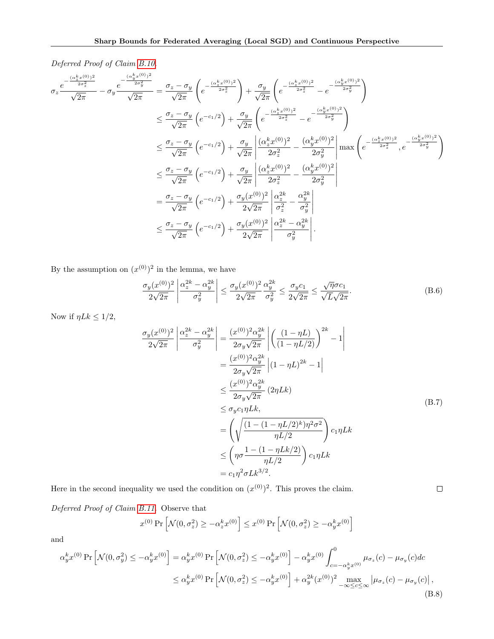Deferred Proof of Claim [B.10.](#page-26-1)

$$
\sigma_{z} \frac{e^{-\frac{(\alpha_{z}^{k}x^{(0)})^{2}}{2\sigma_{z}^{2}}} - \sigma_{y} \frac{e^{-\frac{(\alpha_{y}^{k}x^{(0)})^{2}}{2\sigma_{y}^{2}}} \sqrt{2\pi}}{\sqrt{2\pi}} = \frac{\sigma_{z} - \sigma_{y}}{\sqrt{2\pi}} \left( e^{-\frac{(\alpha_{z}^{k}x^{(0)})^{2}}{2\sigma_{z}^{2}}} \right) + \frac{\sigma_{y}}{\sqrt{2\pi}} \left( e^{-\frac{(\alpha_{z}^{k}x^{(0)})^{2}}{2\sigma_{z}^{2}}} - e^{-\frac{(\alpha_{y}^{k}x^{(0)})^{2}}{2\sigma_{y}^{2}}} \right)
$$
\n
$$
\leq \frac{\sigma_{z} - \sigma_{y}}{\sqrt{2\pi}} \left( e^{-c_{1}/2} \right) + \frac{\sigma_{y}}{\sqrt{2\pi}} \left( e^{-\frac{(\alpha_{z}^{k}x^{(0)})^{2}}{2\sigma_{z}^{2}}} - e^{-\frac{(\alpha_{y}^{k}x^{(0)})^{2}}{2\sigma_{y}^{2}}} \right)
$$
\n
$$
\leq \frac{\sigma_{z} - \sigma_{y}}{\sqrt{2\pi}} \left( e^{-c_{1}/2} \right) + \frac{\sigma_{y}}{\sqrt{2\pi}} \left| \frac{(\alpha_{z}^{k}x^{(0)})^{2}}{2\sigma_{z}^{2}} - \frac{(\alpha_{y}^{k}x^{(0)})^{2}}{2\sigma_{y}^{2}} \right| \max \left( e^{-\frac{(\alpha_{z}^{k}x^{(0)})^{2}}{2\sigma_{z}^{2}}}, e^{-\frac{(\alpha_{y}^{k}x^{(0)})^{2}}{2\sigma_{y}^{2}}} \right)
$$
\n
$$
\leq \frac{\sigma_{z} - \sigma_{y}}{\sqrt{2\pi}} \left( e^{-c_{1}/2} \right) + \frac{\sigma_{y}}{\sqrt{2\pi}} \left| \frac{(\alpha_{z}^{k}x^{(0)})^{2}}{2\sigma_{z}^{2}} - \frac{(\alpha_{y}^{k}x^{(0)})^{2}}{2\sigma_{y}^{2}} \right|
$$
\n
$$
= \frac{\sigma_{z} - \sigma_{y}}{\sqrt{2\pi}} \left( e^{-c_{1}/2} \right) + \frac{\sigma_{y}(x^{(0)})^{2}}{2\sqrt{2\pi}} \left| \frac
$$

By the assumption on  $(x^{(0)})^2$  in the lemma, we have

<span id="page-27-1"></span>
$$
\frac{\sigma_y(x^{(0)})^2}{2\sqrt{2\pi}} \left| \frac{\alpha_z^{2k} - \alpha_y^{2k}}{\sigma_y^2} \right| \le \frac{\sigma_y(x^{(0)})^2}{2\sqrt{2\pi}} \frac{\alpha_y^{2k}}{\sigma_y^2} \le \frac{\sigma_y c_1}{2\sqrt{2\pi}} \le \frac{\sqrt{\eta} \sigma c_1}{\sqrt{L}\sqrt{2\pi}}.
$$
\n(B.6)

<span id="page-27-2"></span>Now if  $\eta Lk \leq 1/2$ ,

$$
\frac{\sigma_y(x^{(0)})^2}{2\sqrt{2\pi}} \left| \frac{\alpha_z^{2k} - \alpha_y^{2k}}{\sigma_y^2} \right| = \frac{(x^{(0)})^2 \alpha_y^{2k}}{2\sigma_y \sqrt{2\pi}} \left| \left( \frac{(1 - \eta L)}{(1 - \eta L/2)} \right)^{2k} - 1 \right|
$$
  
\n
$$
= \frac{(x^{(0)})^2 \alpha_y^{2k}}{2\sigma_y \sqrt{2\pi}} \left| (1 - \eta L)^{2k} - 1 \right|
$$
  
\n
$$
\leq \frac{(x^{(0)})^2 \alpha_y^{2k}}{2\sigma_y \sqrt{2\pi}} (2\eta Lk)
$$
  
\n
$$
\leq \sigma_y c_1 \eta Lk,
$$
  
\n
$$
= \left( \sqrt{\frac{(1 - (1 - \eta L/2)^k)\eta^2 \sigma^2}{\eta L/2}} \right) c_1 \eta Lk
$$
  
\n
$$
\leq \left( \eta \sigma \frac{1 - (1 - \eta Lk/2)}{\eta L/2} \right) c_1 \eta Lk
$$
  
\n
$$
= c_1 \eta^2 \sigma Lk^{3/2}.
$$
  
\n(B.7)

Here in the second inequality we used the condition on  $(x^{(0)})^2$ . This proves the claim.

Deferred Proof of Claim [B.11.](#page-26-2) Observe that

$$
x^{(0)}\Pr\left[\mathcal{N}(0, \sigma_z^2) \ge -\alpha_z^k x^{(0)}\right] \le x^{(0)}\Pr\left[\mathcal{N}(0, \sigma_z^2) \ge -\alpha_y^k x^{(0)}\right]
$$

and

<span id="page-27-0"></span>
$$
\alpha_y^k x^{(0)} \Pr\left[\mathcal{N}(0, \sigma_y^2) \le -\alpha_y^k x^{(0)}\right] = \alpha_y^k x^{(0)} \Pr\left[\mathcal{N}(0, \sigma_z^2) \le -\alpha_y^k x^{(0)}\right] - \alpha_y^k x^{(0)} \int_{c=-\alpha_y^k x^{(0)}}^0 \mu_{\sigma_z}(c) - \mu_{\sigma_y}(c) dc
$$
  

$$
\le \alpha_y^k x^{(0)} \Pr\left[\mathcal{N}(0, \sigma_z^2) \le -\alpha_y^k x^{(0)}\right] + \alpha_y^{2k} (x^{(0)})^2 \max_{-\infty \le c \le \infty} |\mu_{\sigma_z}(c) - \mu_{\sigma_y}(c)|,
$$
\n(B.8)

 $\Box$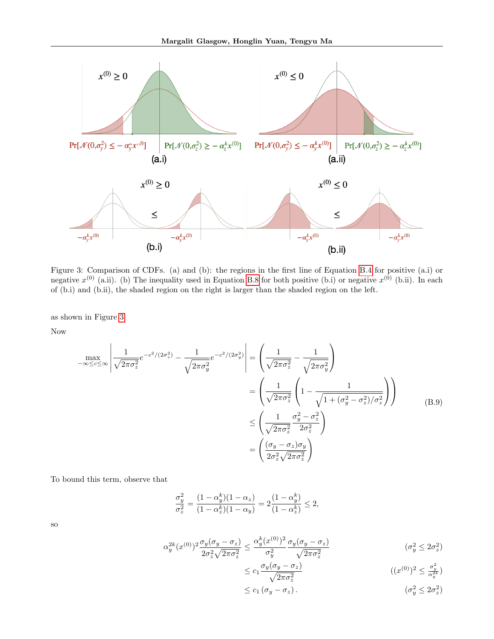<span id="page-28-0"></span>

Figure 3: Comparison of CDFs. (a) and (b): the regions in the first line of Equation [B.4](#page-26-0) for positive (a.i) or negative  $x^{(0)}$  (a.ii). (b) The inequality used in Equation [B.8](#page-27-0) for both positive (b.i) or negative  $x^{(0)}$  (b.ii). In each of (b.i) and (b.ii), the shaded region on the right is larger than the shaded region on the left.

as shown in Figure [3.](#page-28-0)

Now

<span id="page-28-1"></span>
$$
\max_{-\infty \leq c \leq \infty} \left| \frac{1}{\sqrt{2\pi\sigma_z^2}} e^{-c^2/(2\sigma_z^2)} - \frac{1}{\sqrt{2\pi\sigma_y^2}} e^{-c^2/(2\sigma_y^2)} \right| = \left( \frac{1}{\sqrt{2\pi\sigma_z^2}} - \frac{1}{\sqrt{2\pi\sigma_z^2}} \right)
$$

$$
= \left( \frac{1}{\sqrt{2\pi\sigma_z^2}} \left( 1 - \frac{1}{\sqrt{1 + (\sigma_y^2 - \sigma_z^2)/\sigma_z^2}} \right) \right)
$$

$$
\leq \left( \frac{1}{\sqrt{2\pi\sigma_z^2}} \frac{\sigma_y^2 - \sigma_z^2}{2\sigma_z^2} \right)
$$

$$
= \left( \frac{(\sigma_y - \sigma_z)\sigma_y}{2\sigma_z^2 \sqrt{2\pi\sigma_z^2}} \right)
$$
(B.9)

To bound this term, observe that

$$
\frac{\sigma_y^2}{\sigma_z^2} = \frac{(1 - \alpha_y^k)(1 - \alpha_z)}{(1 - \alpha_z^k)(1 - \alpha_y)} = 2\frac{(1 - \alpha_y^k)}{(1 - \alpha_z^k)} \le 2,
$$

so

$$
\alpha_y^{2k}(x^{(0)})^2 \frac{\sigma_y(\sigma_y - \sigma_z)}{2\sigma_z^2 \sqrt{2\pi\sigma_z^2}} \le \frac{\alpha_y^k(x^{(0)})^2}{\sigma_y^2} \frac{\sigma_y(\sigma_y - \sigma_z)}{\sqrt{2\pi\sigma_z^2}}
$$
\n
$$
(\sigma_y^2 \le 2\sigma_z^2)
$$

$$
\leq c_1 \frac{\sigma_y(\sigma_y - \sigma_z)}{\sqrt{2\pi\sigma_z^2}} \tag{12}
$$

$$
\leq c_1 \left( \sigma_y - \sigma_z \right). \tag{3.12}
$$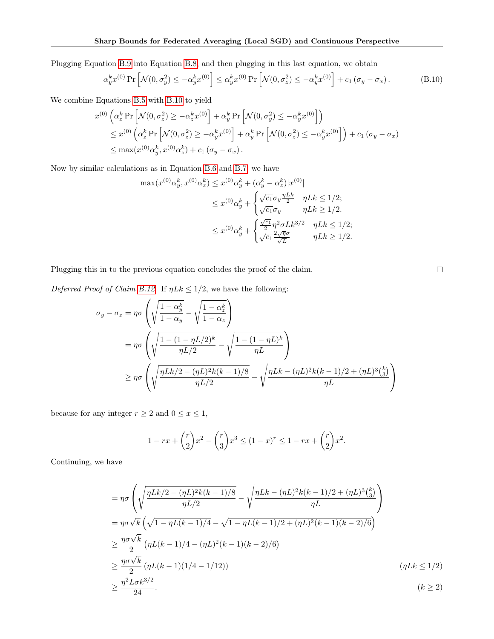Plugging Equation [B.9](#page-28-1) into Equation [B.8,](#page-27-0) and then plugging in this last equation, we obtain

<span id="page-29-0"></span>
$$
\alpha_y^k x^{(0)} \Pr \left[ \mathcal{N}(0, \sigma_y^2) \le -\alpha_y^k x^{(0)} \right] \le \alpha_y^k x^{(0)} \Pr \left[ \mathcal{N}(0, \sigma_z^2) \le -\alpha_y^k x^{(0)} \right] + c_1 \left( \sigma_y - \sigma_x \right). \tag{B.10}
$$

We combine Equations [B.5](#page-26-4) with [B.10](#page-29-0) to yield

$$
x^{(0)}\left(\alpha_{z}^{k} \Pr\left[\mathcal{N}(0, \sigma_{z}^{2}) \geq -\alpha_{z}^{k} x^{(0)}\right] + \alpha_{y}^{k} \Pr\left[\mathcal{N}(0, \sigma_{y}^{2}) \leq -\alpha_{y}^{k} x^{(0)}\right]\right)
$$
  
\n
$$
\leq x^{(0)}\left(\alpha_{z}^{k} \Pr\left[\mathcal{N}(0, \sigma_{z}^{2}) \geq -\alpha_{y}^{k} x^{(0)}\right] + \alpha_{y}^{k} \Pr\left[\mathcal{N}(0, \sigma_{z}^{2}) \leq -\alpha_{y}^{k} x^{(0)}\right]\right) + c_{1} \left(\sigma_{y} - \sigma_{x}\right)
$$
  
\n
$$
\leq \max(x^{(0)} \alpha_{y}^{k}, x^{(0)} \alpha_{z}^{k}) + c_{1} \left(\sigma_{y} - \sigma_{x}\right).
$$

Now by similar calculations as in Equation [B.6](#page-27-1) and [B.7,](#page-27-2) we have

$$
\max(x^{(0)}\alpha_y^k, x^{(0)}\alpha_z^k) \leq x^{(0)}\alpha_y^k + (\alpha_y^k - \alpha_z^k)|x^{(0)}|
$$
  

$$
\leq x^{(0)}\alpha_y^k + \begin{cases} \sqrt{c_1}\sigma_y \frac{\eta L k}{2} & \eta L k \leq 1/2; \\ \sqrt{c_1}\sigma_y & \eta L k \geq 1/2. \end{cases}
$$
  

$$
\leq x^{(0)}\alpha_y^k + \begin{cases} \frac{\sqrt{c_1}}{2}\eta^2 \sigma L k^{3/2} & \eta L k \leq 1/2; \\ \sqrt{c_1} \frac{2\sqrt{\eta} \sigma}{\sqrt{L}} & \eta L k \geq 1/2. \end{cases}
$$

Plugging this in to the previous equation concludes the proof of the claim.

Deferred Proof of Claim [B.12.](#page-26-3) If  $\eta L k \leq 1/2$ , we have the following:

$$
\sigma_y - \sigma_z = \eta \sigma \left( \sqrt{\frac{1 - \alpha_y^k}{1 - \alpha_y}} - \sqrt{\frac{1 - \alpha_z^k}{1 - \alpha_z}} \right)
$$
  
= 
$$
\eta \sigma \left( \sqrt{\frac{1 - (1 - \eta L/2)^k}{\eta L/2}} - \sqrt{\frac{1 - (1 - \eta L)^k}{\eta L}} \right)
$$
  

$$
\geq \eta \sigma \left( \sqrt{\frac{\eta L k/2 - (\eta L)^2 k (k - 1)/8}{\eta L/2}} - \sqrt{\frac{\eta L k - (\eta L)^2 k (k - 1)/2 + (\eta L)^3 \binom{k}{3}}{\eta L}} \right)
$$

because for any integer  $r\geq 2$  and  $0\leq x\leq 1,$ 

$$
1 - rx + {r \choose 2}x^2 - {r \choose 3}x^3 \le (1 - x)^r \le 1 - rx + {r \choose 2}x^2.
$$

Continuing, we have

$$
= \eta \sigma \left( \sqrt{\frac{\eta L k/2 - (\eta L)^2 k (k-1)/8}{\eta L/2}} - \sqrt{\frac{\eta L k - (\eta L)^2 k (k-1)/2 + (\eta L)^3 \binom{k}{3}}{\eta L}} \right)
$$
  
\n
$$
= \eta \sigma \sqrt{k} \left( \sqrt{1 - \eta L (k-1)/4} - \sqrt{1 - \eta L (k-1)/2 + (\eta L)^2 (k-1)(k-2)/6} \right)
$$
  
\n
$$
\geq \frac{\eta \sigma \sqrt{k}}{2} \left( \eta L (k-1)/4 - (\eta L)^2 (k-1)(k-2)/6 \right)
$$
  
\n
$$
\geq \frac{\eta \sigma \sqrt{k}}{2} (\eta L (k-1)(1/4 - 1/12)) \qquad (\eta L k \leq 1/2)
$$
  
\n
$$
\geq \frac{\eta^2 L \sigma k^{3/2}}{24}.
$$

 $\Box$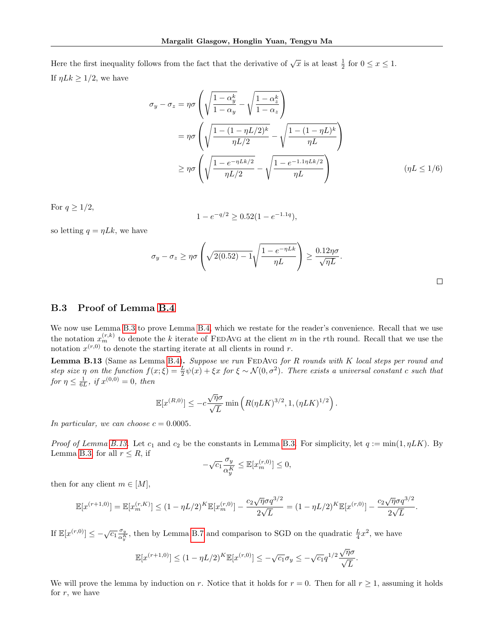Here the first inequality follows from the fact that the derivative of  $\sqrt{x}$  is at least  $\frac{1}{2}$  for  $0 \le x \le 1$ . If  $\eta L k \geq 1/2$ , we have

$$
\sigma_y - \sigma_z = \eta \sigma \left( \sqrt{\frac{1 - \alpha_y^k}{1 - \alpha_y}} - \sqrt{\frac{1 - \alpha_z^k}{1 - \alpha_z}} \right)
$$
  
= 
$$
\eta \sigma \left( \sqrt{\frac{1 - (1 - \eta L/2)^k}{\eta L/2}} - \sqrt{\frac{1 - (1 - \eta L)^k}{\eta L}} \right)
$$
  

$$
\geq \eta \sigma \left( \sqrt{\frac{1 - e^{-\eta L k/2}}{\eta L/2}} - \sqrt{\frac{1 - e^{-1.1 \eta L k/2}}{\eta L}} \right) \qquad (\eta L \leq 1/6)
$$

For  $q \geq 1/2$ ,

$$
1 - e^{-q/2} \ge 0.52(1 - e^{-1.1q}),
$$

so letting  $q = \eta Lk$ , we have

$$
\sigma_y - \sigma_z \ge \eta \sigma \left( \sqrt{2(0.52) - 1} \sqrt{\frac{1 - e^{-\eta L k}}{\eta L}} \right) \ge \frac{0.12 \eta \sigma}{\sqrt{\eta L}}.
$$

#### <span id="page-30-0"></span>B.3 Proof of Lemma [B.4](#page-21-1)

We now use Lemma [B.3](#page-21-0) to prove Lemma [B.4,](#page-21-1) which we restate for the reader's convenience. Recall that we use the notation  $x_m^{(r,k)}$  to denote the k iterate of FEDAVG at the client m in the rth round. Recall that we use the notation  $x^{(r,0)}$  to denote the starting iterate at all clients in round r.

<span id="page-30-1"></span>**Lemma B.13** (Same as Lemma [B.4\)](#page-21-1). Suppose we run FEDAvG for R rounds with K local steps per round and step size  $\eta$  on the function  $f(x;\xi) = \frac{L}{2}\psi(x) + \xi x$  for  $\xi \sim \mathcal{N}(0,\sigma^2)$ . There exists a universal constant c such that for  $\eta \le \frac{1}{6L}$ , if  $x^{(0,0)} = 0$ , then

$$
\mathbb{E}[x^{(R,0)}] \le -c\frac{\sqrt{\eta}\sigma}{\sqrt{L}}\min\left(R(\eta LK)^{3/2},1,(\eta LK)^{1/2}\right).
$$

In particular, we can choose  $c = 0.0005$ .

Proof of Lemma [B.13.](#page-30-1) Let  $c_1$  and  $c_2$  be the constants in Lemma [B.3.](#page-21-0) For simplicity, let  $q := min(1, \eta LK)$ . By Lemma [B.3,](#page-21-0) for all  $r \leq R$ , if

$$
-\sqrt{c_1} \frac{\sigma_y}{\alpha_y^K} \le \mathbb{E}[x_m^{(r,0)}] \le 0,
$$

then for any client  $m \in [M]$ ,

$$
\mathbb{E}[x^{(r+1,0)}] = \mathbb{E}[x_m^{(r,K)}] \le (1 - \eta L/2)^K \mathbb{E}[x_m^{(r,0)}] - \frac{c_2 \sqrt{\eta} \sigma q^{3/2}}{2\sqrt{L}} = (1 - \eta L/2)^K \mathbb{E}[x^{(r,0)}] - \frac{c_2 \sqrt{\eta} \sigma q^{3/2}}{2\sqrt{L}}.
$$

If  $\mathbb{E}[x^{(r,0)}] \leq -\sqrt{c_1} \frac{\sigma_y}{\alpha^K}$  $\frac{\sigma_y}{\alpha_y^K}$ , then by Lemma [B.7](#page-22-1) and comparison to SGD on the quadratic  $\frac{L}{4}x^2$ , we have

$$
\mathbb{E}[x^{(r+1,0)}] \le (1 - \eta L/2)^K \mathbb{E}[x^{(r,0)}] \le -\sqrt{c_1} \sigma_y \le -\sqrt{c_1} q^{1/2} \frac{\sqrt{\eta} \sigma}{\sqrt{L}}.
$$

We will prove the lemma by induction on r. Notice that it holds for  $r = 0$ . Then for all  $r \ge 1$ , assuming it holds for  $r$ , we have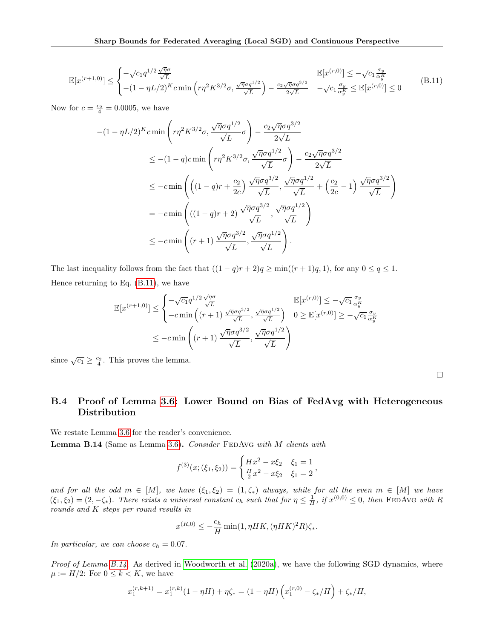<span id="page-31-1"></span>
$$
\mathbb{E}[x^{(r+1,0)}] \leq \begin{cases} -\sqrt{c_1} q^{1/2} \frac{\sqrt{\eta} \sigma}{\sqrt{L}} & \mathbb{E}[x^{(r,0)}] \leq -\sqrt{c_1} \frac{\sigma_y}{\alpha_y^K} \\ -(1 - \eta L/2)^K c \min\left(r\eta^2 K^{3/2} \sigma, \frac{\sqrt{\eta} \sigma q^{1/2}}{\sqrt{L}}\right) - \frac{c_2 \sqrt{\eta} \sigma q^{3/2}}{2\sqrt{L}} & -\sqrt{c_1} \frac{\sigma_y}{\alpha_y^K} \leq \mathbb{E}[x^{(r,0)}] \leq 0 \end{cases}
$$
(B.11)

Now for  $c = \frac{c_2}{4} = 0.0005$ , we have

$$
-(1 - \eta L/2)^K c \min\left(r\eta^2 K^{3/2}\sigma, \frac{\sqrt{\eta}\sigma q^{1/2}}{\sqrt{L}}\sigma\right) - \frac{c_2\sqrt{\eta}\sigma q^{3/2}}{2\sqrt{L}}
$$
  
\n
$$
\leq -(1 - q)c \min\left(r\eta^2 K^{3/2}\sigma, \frac{\sqrt{\eta}\sigma q^{1/2}}{\sqrt{L}}\sigma\right) - \frac{c_2\sqrt{\eta}\sigma q^{3/2}}{2\sqrt{L}}
$$
  
\n
$$
\leq -c \min\left(\left((1 - q)r + \frac{c_2}{2c}\right)\frac{\sqrt{\eta}\sigma q^{3/2}}{\sqrt{L}}, \frac{\sqrt{\eta}\sigma q^{1/2}}{\sqrt{L}} + \left(\frac{c_2}{2c} - 1\right)\frac{\sqrt{\eta}\sigma q^{3/2}}{\sqrt{L}}\right)
$$
  
\n
$$
= -c \min\left((1 - q)r + 2)\frac{\sqrt{\eta}\sigma q^{3/2}}{\sqrt{L}}, \frac{\sqrt{\eta}\sigma q^{1/2}}{\sqrt{L}}\right)
$$
  
\n
$$
\leq -c \min\left((r + 1)\frac{\sqrt{\eta}\sigma q^{3/2}}{\sqrt{L}}, \frac{\sqrt{\eta}\sigma q^{1/2}}{\sqrt{L}}\right).
$$

The last inequality follows from the fact that  $((1 - q)r + 2)q \ge \min((r + 1)q, 1)$ , for any  $0 \le q \le 1$ . Hence returning to Eq. [\(B.11\)](#page-31-1), we have

$$
\mathbb{E}[x^{(r+1,0)}] \leq \begin{cases}\n-\sqrt{c_1}q^{1/2}\frac{\sqrt{\eta}\sigma}{\sqrt{L}} & \mathbb{E}[x^{(r,0)}] \leq -\sqrt{c_1}\frac{\sigma_y}{\alpha_y^K} \\
-c\min\left((r+1)\frac{\sqrt{\eta}\sigma q^{3/2}}{\sqrt{L}}, \frac{\sqrt{\eta}\sigma q^{1/2}}{\sqrt{L}}\right) & 0 \geq \mathbb{E}[x^{(r,0)}] \geq -\sqrt{c_1}\frac{\sigma_y}{\alpha_y^K} \\
\leq -c\min\left((r+1)\frac{\sqrt{\eta}\sigma q^{3/2}}{\sqrt{L}}, \frac{\sqrt{\eta}\sigma q^{1/2}}{\sqrt{L}}\right)\n\end{cases}
$$

since  $\sqrt{c_1} \geq \frac{c_2}{4}$ . This proves the lemma.

## <span id="page-31-0"></span>B.4 Proof of Lemma [3.6:](#page-7-5) Lower Bound on Bias of FedAvg with Heterogeneous Distribution

<span id="page-31-2"></span>We restate Lemma [3.6](#page-7-5) for the reader's convenience.

Lemma B.14 (Same as Lemma [3.6\)](#page-7-5). Consider FEDAvG with M clients with

$$
f^{(3)}(x;(\xi_1,\xi_2)) = \begin{cases} Hx^2 - x\xi_2 & \xi_1 = 1 \\ \frac{H}{2}x^2 - x\xi_2 & \xi_1 = 2 \end{cases}
$$

and for all the odd  $m \in [M]$ , we have  $(\xi_1, \xi_2) = (1, \zeta_*)$  always, while for all the even  $m \in [M]$  we have  $(\xi_1, \xi_2) = (2, -\zeta_*)$ . There exists a universal constant  $c_h$  such that for  $\eta \leq \frac{1}{H}$ , if  $x^{(0,0)} \leq 0$ , then FEDAVG with R rounds and K steps per round results in

$$
x^{(R,0)} \le -\frac{c_h}{H} \min(1, \eta HK, (\eta HK)^2 R) \zeta_*.
$$

In particular, we can choose  $c_h = 0.07$ .

Proof of Lemma [B.14.](#page-31-2) As derived in [Woodworth et al.](#page-11-2) [\(2020a\)](#page-11-2), we have the following SGD dynamics, where  $\mu := H/2$ : For  $0 \leq k < K$ , we have

$$
x_1^{(r,k+1)} = x_1^{(r,k)}(1 - \eta H) + \eta \zeta_* = (1 - \eta H) \left( x_1^{(r,0)} - \zeta_* / H \right) + \zeta_* / H,
$$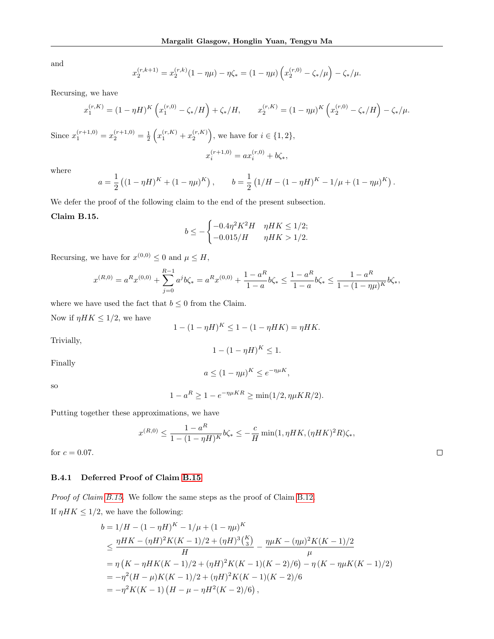and

$$
x_2^{(r,k+1)} = x_2^{(r,k)}(1 - \eta\mu) - \eta\zeta_* = (1 - \eta\mu)\left(x_2^{(r,0)} - \zeta_*/\mu\right) - \zeta_*/\mu.
$$

Recursing, we have

$$
x_1^{(r,K)} = (1 - \eta H)^K \left( x_1^{(r,0)} - \zeta_*/H \right) + \zeta_*/H, \qquad x_2^{(r,K)} = (1 - \eta \mu)^K \left( x_2^{(r,0)} - \zeta_*/H \right) - \zeta_*/\mu.
$$

Since  $x_1^{(r+1,0)} = x_2^{(r+1,0)} = \frac{1}{2} \left( x_1^{(r,K)} + x_2^{(r,K)} \right)$ , we have for  $i \in \{1,2\}$ ,

$$
x_i^{(r+1,0)} = a x_i^{(r,0)} + b\zeta_*,
$$

where

$$
a = \frac{1}{2} \left( (1 - \eta H)^K + (1 - \eta \mu)^K \right), \qquad b = \frac{1}{2} \left( 1/H - (1 - \eta H)^K - 1/\mu + (1 - \eta \mu)^K \right).
$$

We defer the proof of the following claim to the end of the present subsection.

#### <span id="page-32-1"></span>Claim B.15.

$$
b \le -\begin{cases} -0.4\eta^2 K^2 H & \eta HK \le 1/2; \\ -0.015/H & \eta HK > 1/2. \end{cases}
$$

Recursing, we have for  $x^{(0,0)} \leq 0$  and  $\mu \leq H$ ,

$$
x^{(R,0)} = a^Rx^{(0,0)} + \sum_{j=0}^{R-1} a^jb\zeta_* = a^Rx^{(0,0)} + \frac{1-a^R}{1-a}b\zeta_* \leq \frac{1-a^R}{1-a}b\zeta_* \leq \frac{1-a^R}{1-(1-\eta\mu)^K}b\zeta_*,
$$

where we have used the fact that  $b \leq 0$  from the Claim.

Now if  $\eta H K \leq 1/2$ , we have

$$
1 - (1 - \eta H)^K \le 1 - (1 - \eta H K) = \eta H K.
$$

Trivially,

$$
1 - (1 - \eta H)^K \le 1.
$$

Finally

 $a \leq (1 - \eta \mu)^K \leq e^{-\eta \mu K},$ 

so

$$
1 - a^R \ge 1 - e^{-\eta \mu KR} \ge \min(1/2, \eta \mu KR/2).
$$

Putting together these approximations, we have

$$
x^{(R,0)} \le \frac{1 - a^R}{1 - (1 - \eta H)^K} b \zeta_* \le -\frac{c}{H} \min(1, \eta H K, (\eta H K)^2 R) \zeta_*,
$$

 $\Box$ 

for  $c = 0.07$ .

#### <span id="page-32-0"></span>B.4.1 Deferred Proof of Claim [B.15](#page-32-1)

Proof of Claim [B.15.](#page-32-1) We follow the same steps as the proof of Claim [B.12.](#page-26-3) If  $\eta H K \leq 1/2$ , we have the following:

$$
b = 1/H - (1 - \eta H)^K - 1/\mu + (1 - \eta \mu)^K
$$
  
\n
$$
\leq \frac{\eta HK - (\eta H)^2 K(K - 1)/2 + (\eta H)^3 {K \choose 3}}{H} - \frac{\eta \mu K - (\eta \mu)^2 K(K - 1)/2}{\mu}
$$
  
\n
$$
= \eta (K - \eta HK(K - 1)/2 + (\eta H)^2 K(K - 1)(K - 2)/6) - \eta (K - \eta \mu K(K - 1)/2)
$$
  
\n
$$
= -\eta^2 (H - \mu)K(K - 1)/2 + (\eta H)^2 K(K - 1)(K - 2)/6
$$
  
\n
$$
= -\eta^2 K(K - 1) (H - \mu - \eta H^2(K - 2)/6),
$$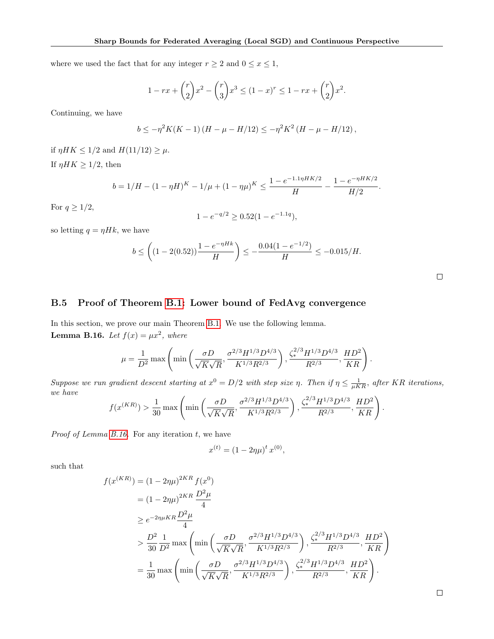where we used the fact that for any integer  $r \geq 2$  and  $0 \leq x \leq 1$ ,

$$
1 - rx + {r \choose 2}x^2 - {r \choose 3}x^3 \le (1 - x)^r \le 1 - rx + {r \choose 2}x^2.
$$

Continuing, we have

$$
b \leq -\eta^2 K(K-1) (H - \mu - H/12) \leq -\eta^2 K^2 (H - \mu - H/12),
$$

if  $\eta H K \leq 1/2$  and  $H(11/12) \geq \mu$ . If  $\eta H K \geq 1/2$ , then

$$
b = 1/H - (1 - \eta H)^K - 1/\mu + (1 - \eta \mu)^K \leq \frac{1 - e^{-1.1\eta HK/2}}{H} - \frac{1 - e^{-\eta HK/2}}{H/2}.
$$

For  $q \geq 1/2$ ,

$$
1 - e^{-q/2} \ge 0.52(1 - e^{-1.1q}),
$$

so letting  $q = \eta Hk$ , we have

$$
b \le \left( (1 - 2(0.52)) \frac{1 - e^{-\eta H k}}{H} \right) \le -\frac{0.04(1 - e^{-1/2})}{H} \le -0.015/H.
$$

.

## <span id="page-33-0"></span>B.5 Proof of Theorem [B.1:](#page-19-0) Lower bound of FedAvg convergence

<span id="page-33-1"></span>In this section, we prove our main Theorem [B.1.](#page-19-0) We use the following lemma. **Lemma B.16.** Let  $f(x) = \mu x^2$ , where

$$
\mu = \frac{1}{D^2} \max \left( \min \left( \frac{\sigma D}{\sqrt{K} \sqrt{R}}, \frac{\sigma^{2/3} H^{1/3} D^{4/3}}{K^{1/3} R^{2/3}} \right), \frac{\zeta_*^{2/3} H^{1/3} D^{4/3}}{R^{2/3}}, \frac{HD^2}{KR} \right)
$$

Suppose we run gradient descent starting at  $x^0 = D/2$  with step size  $\eta$ . Then if  $\eta \leq \frac{1}{\mu KR}$ , after KR iterations, we have

$$
f(x^{(KR)}) > \frac{1}{30} \max \left( \min \left( \frac{\sigma D}{\sqrt{K} \sqrt{R}}, \frac{\sigma^{2/3} H^{1/3} D^{4/3}}{K^{1/3} R^{2/3}} \right), \frac{\zeta_*^{2/3} H^{1/3} D^{4/3}}{R^{2/3}}, \frac{HD^2}{KR} \right).
$$

*Proof of Lemma [B.16.](#page-33-1)* For any iteration  $t$ , we have

$$
x^{(t)} = (1 - 2\eta\mu)^t x^{(0)},
$$

such that

$$
f(x^{(KR)}) = (1 - 2\eta\mu)^{2KR} f(x^0)
$$
  
\n
$$
= (1 - 2\eta\mu)^{2KR} \frac{D^2\mu}{4}
$$
  
\n
$$
\geq e^{-2\eta\mu KR} \frac{D^2\mu}{4}
$$
  
\n
$$
> \frac{D^2}{30} \frac{1}{D^2} \max \left( \min \left( \frac{\sigma D}{\sqrt{K}\sqrt{R}}, \frac{\sigma^{2/3} H^{1/3} D^{4/3}}{K^{1/3} R^{2/3}} \right), \frac{\zeta_*^{2/3} H^{1/3} D^{4/3}}{R^{2/3}}, \frac{HD^2}{KR} \right)
$$
  
\n
$$
= \frac{1}{30} \max \left( \min \left( \frac{\sigma D}{\sqrt{K}\sqrt{R}}, \frac{\sigma^{2/3} H^{1/3} D^{4/3}}{K^{1/3} R^{2/3}} \right), \frac{\zeta_*^{2/3} H^{1/3} D^{4/3}}{R^{2/3}}, \frac{HD^2}{KR} \right).
$$

 $\Box$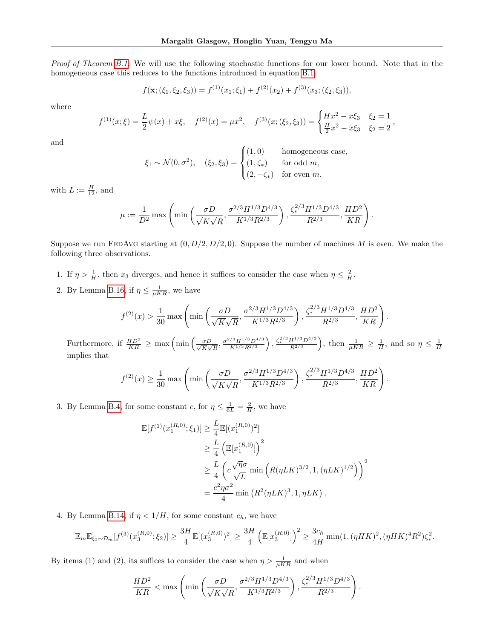Proof of Theorem [B.1.](#page-19-0) We will use the following stochastic functions for our lower bound. Note that in the homogeneous case this reduces to the functions introduced in equation [B.1.](#page-20-3)

$$
f(\mathbf{x}; (\xi_1, \xi_2, \xi_3)) = f^{(1)}(x_1; \xi_1) + f^{(2)}(x_2) + f^{(3)}(x_3; (\xi_2, \xi_3)),
$$

where

$$
f^{(1)}(x;\xi) = \frac{L}{2}\psi(x) + x\xi, \quad f^{(2)}(x) = \mu x^2, \quad f^{(3)}(x;(\xi_2,\xi_3)) = \begin{cases} Hx^2 - x\xi_3 & \xi_2 = 1 \\ \frac{H}{2}x^2 - x\xi_3 & \xi_2 = 2 \end{cases},
$$

and

$$
\xi_1 \sim \mathcal{N}(0, \sigma^2), \quad (\xi_2, \xi_3) = \begin{cases} (1, 0) & \text{homogeneous case,} \\ (1, \zeta_*) & \text{for odd } m, \\ (2, -\zeta_*) & \text{for even } m. \end{cases}
$$

with  $L := \frac{H}{12}$ , and

$$
\mu := \frac{1}{D^2} \max \left( \min \left( \frac{\sigma D}{\sqrt{K} \sqrt{R}}, \frac{\sigma^{2/3} H^{1/3} D^{4/3}}{K^{1/3} R^{2/3}} \right), \frac{\zeta_*^{2/3} H^{1/3} D^{4/3}}{R^{2/3}}, \frac{HD^2}{KR} \right).
$$

Suppose we run FEDAvG starting at  $(0, D/2, D/2, 0)$ . Suppose the number of machines M is even. We make the following three observations.

- 1. If  $\eta > \frac{1}{H}$ , then  $x_3$  diverges, and hence it suffices to consider the case when  $\eta \leq \frac{2}{H}$ .
- 2. By Lemma [B.16,](#page-33-1) if  $\eta \leq \frac{1}{\mu KR}$ , we have

$$
f^{(2)}(x) > \frac{1}{30} \max \left( \min \left( \frac{\sigma D}{\sqrt{K} \sqrt{R}}, \frac{\sigma^{2/3} H^{1/3} D^{4/3}}{K^{1/3} R^{2/3}} \right), \frac{\zeta_*^{2/3} H^{1/3} D^{4/3}}{R^{2/3}}, \frac{HD^2}{KR} \right)
$$

.

Furthermore, if  $\frac{HD^2}{KR} \geq \max\left(\min\left(\frac{\sigma D}{\sqrt{K}\sqrt{K}}\right)\right)$  $\frac{\sigma D}{\overline{K}\sqrt{R}}, \frac{\sigma^{2/3}H^{1/3}D^{4/3}}{K^{1/3}R^{2/3}}\Big), \frac{\zeta_*^{2/3}H^{1/3}D^{4/3}}{R^{2/3}}\Big), \text{ then } \frac{1}{\mu KR} \geq \frac{1}{H}, \text{ and so } \eta \leq \frac{1}{H}$ implies that

$$
f^{(2)}(x) \ge \frac{1}{30} \max \left( \min \left( \frac{\sigma D}{\sqrt{K} \sqrt{R}}, \frac{\sigma^{2/3} H^{1/3} D^{4/3}}{K^{1/3} R^{2/3}} \right), \frac{\zeta_*^{2/3} H^{1/3} D^{4/3}}{R^{2/3}}, \frac{H D^2}{K R} \right).
$$

3. By Lemma [B.4,](#page-21-1) for some constant c, for  $\eta \leq \frac{1}{6L} = \frac{2}{H}$ , we have

$$
\mathbb{E}[f^{(1)}(x_1^{(R,0)};\xi_1)] \ge \frac{L}{4} \mathbb{E}[(x_1^{(R,0)})^2]
$$
  
\n
$$
\ge \frac{L}{4} \left( \mathbb{E}[x_1^{(R,0)}] \right)^2
$$
  
\n
$$
\ge \frac{L}{4} \left( c \frac{\sqrt{\eta} \sigma}{\sqrt{L}} \min \left( R(\eta L K)^{3/2}, 1, (\eta L K)^{1/2} \right) \right)^2
$$
  
\n
$$
= \frac{c^2 \eta \sigma^2}{4} \min \left( R^2(\eta L K)^3, 1, \eta L K \right).
$$

4. By Lemma [B.14,](#page-31-2) if  $\eta < 1/H$ , for some constant  $c_h$ , we have

$$
\mathbb{E}_{m}\mathbb{E}_{\xi_{2} \sim \mathcal{D}_{m}}[f^{(3)}(x_{3}^{(R,0)};\xi_{2})] \geq \frac{3H}{4}\mathbb{E}[(x_{3}^{(R,0)})^{2}] \geq \frac{3H}{4} \left(\mathbb{E}[x_{3}^{(R,0)}]\right)^{2} \geq \frac{3c_{h}}{4H} \min(1,(\eta HK)^{2},(\eta HK)^{4}R^{2})\zeta_{*}^{2}.
$$

By items (1) and (2), its suffices to consider the case when  $\eta > \frac{1}{\mu KR}$  and when

$$
\frac{HD^2}{KR} < \max\left(\min\left(\frac{\sigma D}{\sqrt{K}\sqrt{R}}, \frac{\sigma^{2/3}H^{1/3}D^{4/3}}{K^{1/3}R^{2/3}}\right), \frac{\zeta_*^{2/3}H^{1/3}D^{4/3}}{R^{2/3}}\right).
$$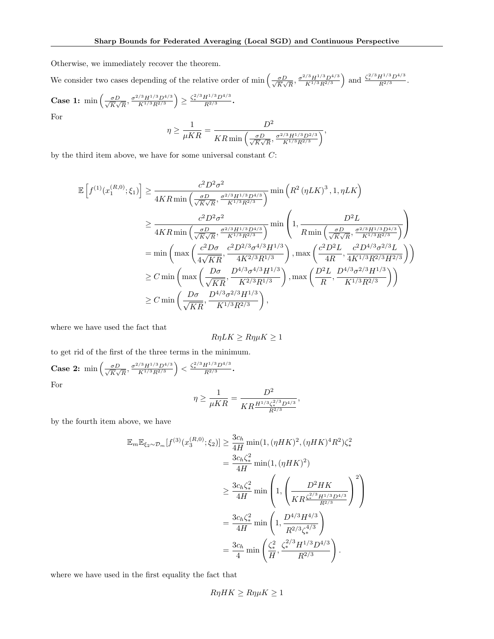Otherwise, we immediately recover the theorem.

We consider two cases depending of the relative order of min  $\left(\frac{\sigma D}{\sqrt{K}}\right)$  $\frac{\sigma D}{\overline{K}\sqrt{R}}, \frac{\sigma^{2/3}H^{1/3}D^{4/3}}{K^{1/3}R^{2/3}}$  and  $\frac{\zeta_*^{2/3}H^{1/3}D^{4/3}}{R^{2/3}}$ .

Case 1: min 
$$
\left(\frac{\sigma D}{\sqrt{K}\sqrt{R}}, \frac{\sigma^{2/3}H^{1/3}D^{4/3}}{K^{1/3}R^{2/3}}\right) \ge \frac{\zeta_*^{2/3}H^{1/3}D^{4/3}}{R^{2/3}}
$$
.  
For

$$
\eta \ge \frac{1}{\mu KR} = \frac{D^2}{KR \min\left(\frac{\sigma D}{\sqrt{K}\sqrt{R}}, \frac{\sigma^{2/3} H^{1/3} D^{2/3}}{K^{1/3} R^{2/3}}\right)},
$$

by the third item above, we have for some universal constant  $C$ :

$$
\mathbb{E}\left[f^{(1)}(x_1^{(R,0)};\xi_1)\right] \geq \frac{c^2 D^2 \sigma^2}{4KR \min\left(\frac{\sigma D}{\sqrt{K}\sqrt{R}}, \frac{\sigma^{2/3} H^{1/3} D^{4/3}}{K^{1/3} R^{2/3}}\right)} \min\left(R^2 (\eta L K)^3, 1, \eta L K\right)
$$
  
\n
$$
\geq \frac{c^2 D^2 \sigma^2}{4KR \min\left(\frac{\sigma D}{\sqrt{K}\sqrt{R}}, \frac{\sigma^{2/3} H^{1/3} D^{4/3}}{K^{1/3} R^{2/3}}\right)} \min\left(1, \frac{D^2 L}{R \min\left(\frac{\sigma D}{\sqrt{K}\sqrt{R}}, \frac{\sigma^{2/3} H^{1/3} D^{4/3}}{K^{1/3} R^{2/3}}\right)}\right)
$$
  
\n
$$
= \min\left(\max\left(\frac{c^2 D \sigma}{4\sqrt{K R}}, \frac{c^2 D^{2/3} \sigma^{4/3} H^{1/3}}{4K^{2/3} R^{1/3}}\right), \max\left(\frac{c^2 D^2 L}{4R}, \frac{c^2 D^{4/3} \sigma^{2/3} L}{4K^{1/3} R^{2/3} H^{2/3}}\right)\right)
$$
  
\n
$$
\geq C \min\left(\max\left(\frac{D \sigma}{\sqrt{K R}}, \frac{D^{4/3} \sigma^{4/3} H^{1/3}}{K^{2/3} R^{1/3}}\right), \max\left(\frac{D^2 L}{R}, \frac{D^{4/3} \sigma^{2/3} H^{1/3}}{K^{1/3} R^{2/3}}\right)\right)
$$
  
\n
$$
\geq C \min\left(\frac{D \sigma}{\sqrt{K R}}, \frac{D^{4/3} \sigma^{2/3} H^{1/3}}{K^{1/3} R^{2/3}}\right),
$$

where we have used the fact that

$$
R\eta LK \ge R\eta\mu K \ge 1
$$

,

to get rid of the first of the three terms in the minimum.

Case 2: min 
$$
\left(\frac{\sigma D}{\sqrt{K}\sqrt{R}}, \frac{\sigma^{2/3}H^{1/3}D^{4/3}}{K^{1/3}R^{2/3}}\right) < \frac{\zeta_*^{2/3}H^{1/3}D^{4/3}}{R^{2/3}}
$$
.  
For  

$$
\eta \ge \frac{1}{\mu KR} = \frac{D^2}{KR\frac{H^{1/3}\zeta_*^{2/3}D^{4/3}}{R^{2/3}}}
$$

by the fourth item above, we have

$$
\mathbb{E}_{m} \mathbb{E}_{\xi_{2} \sim \mathcal{D}_{m}}[f^{(3)}(x_{3}^{(R,0)};\xi_{2})] \geq \frac{3c_{h}}{4H} \min(1, (\eta HK)^{2}, (\eta HK)^{4}R^{2})\zeta_{*}^{2}
$$
  
\n
$$
= \frac{3c_{h}\zeta_{*}^{2}}{4H} \min(1, (\eta HK)^{2})
$$
  
\n
$$
\geq \frac{3c_{h}\zeta_{*}^{2}}{4H} \min\left(1, \left(\frac{D^{2}HK}{KR\frac{\zeta_{*}^{2/3}H^{1/3}D^{4/3}}{R^{2/3}}}\right)^{2}\right)
$$
  
\n
$$
= \frac{3c_{h}\zeta_{*}^{2}}{4H} \min\left(1, \frac{D^{4/3}H^{4/3}}{R^{2/3}\zeta_{*}^{4/3}}\right)
$$
  
\n
$$
= \frac{3c_{h}}{4} \min\left(\frac{\zeta_{*}^{2}}{H}, \frac{\zeta_{*}^{2/3}H^{1/3}D^{4/3}}{R^{2/3}}\right).
$$

where we have used in the first equality the fact that

$$
R\eta HK \ge R\eta \mu K \ge 1
$$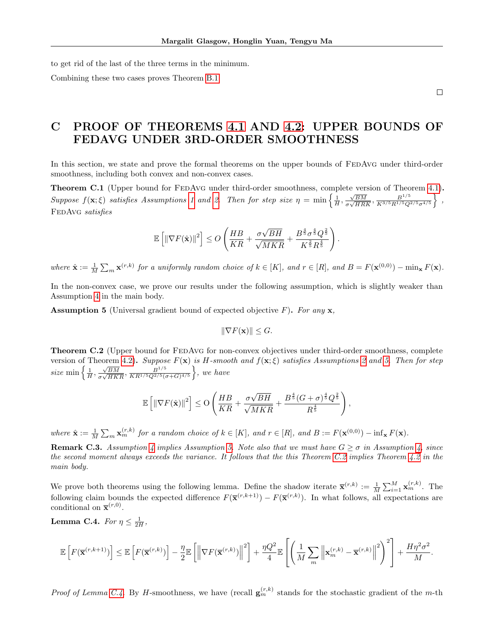to get rid of the last of the three terms in the minimum.

Combining these two cases proves Theorem [B.1.](#page-19-0)

 $\Box$ 

# <span id="page-36-2"></span>C PROOF OF THEOREMS [4.1](#page-8-0) AND [4.2:](#page-8-1) UPPER BOUNDS OF FEDAVG UNDER 3RD-ORDER SMOOTHNESS

In this section, we state and prove the formal theorems on the upper bounds of FEDAvG under third-order smoothness, including both convex and non-convex cases.

<span id="page-36-0"></span>Theorem C.1 (Upper bound for FEDAVG under third-order smoothness, complete version of Theorem [4.1\)](#page-8-0). Suppose  $f(\mathbf{x}; \xi)$  satisfies Assumptions [1](#page-4-0) and [2.](#page-4-5) Then for step size  $\eta = \min \left\{ \frac{1}{H}, \frac{\sqrt{BM}}{\sigma \sqrt{HR}} \right\}$  $\frac{\sqrt{BM}}{\sigma\sqrt{HRK}}, \frac{B^{1/5}}{K^{3/5}R^{1/5}Q^{2/5}\sigma^{4/5}}\Big\}~,$ FEDAVG satisfies

$$
\mathbb{E}\left[\left\|\nabla F(\hat{\mathbf{x}})\right\|^2\right] \leq O\left(\frac{HB}{KR} + \frac{\sigma\sqrt{BH}}{\sqrt{MKR}} + \frac{B^{\frac{4}{5}}\sigma^{\frac{4}{5}}Q^{\frac{2}{5}}}{K^{\frac{2}{5}}R^{\frac{4}{5}}}\right)
$$

.

where  $\hat{\mathbf{x}} := \frac{1}{M} \sum_{m} \mathbf{x}^{(r,k)}$  for a uniformly random choice of  $k \in [K]$ , and  $r \in [R]$ , and  $B = F(\mathbf{x}^{(0,0)}) - \min_{\mathbf{x}} F(\mathbf{x})$ .

In the non-convex case, we prove our results under the following assumption, which is slightly weaker than Assumption [4](#page-8-4) in the main body.

<span id="page-36-3"></span>**Assumption 5** (Universal gradient bound of expected objective F). For any  $\mathbf{x}$ ,

$$
\|\nabla F(\mathbf{x})\| \le G.
$$

<span id="page-36-1"></span>**Theorem C.2** (Upper bound for FEDAVG for non-convex objectives under third-order smoothness, complete version of Theorem [4.2\)](#page-8-1). Suppose  $F(\mathbf{x})$  is H-smooth and  $f(\mathbf{x}; \xi)$  satisfies Assumptions [2](#page-4-5) and [5.](#page-36-3) Then for step size min  $\left\{\frac{1}{H}, \frac{\sqrt{BM}}{\sigma\sqrt{HK}}\right\}$  $\frac{\sqrt{BM}}{\sigma\sqrt{HKR}}$ ,  $\frac{B^{1/5}}{KR^{1/5}Q^{2/5}(\sigma+G)^{4/5}}$ , we have

$$
\mathbb{E}\left[\left\|\nabla F(\hat{\mathbf{x}})\right\|^2\right] \leq \mathcal{O}\left(\frac{HB}{KR} + \frac{\sigma\sqrt{BH}}{\sqrt{MKR}} + \frac{B^{\frac{4}{5}}(G+\sigma)^{\frac{4}{5}}Q^{\frac{2}{5}}}{R^{\frac{4}{5}}}\right),
$$

where  $\hat{\mathbf{x}} := \frac{1}{M} \sum_m \mathbf{x}_m^{(r,k)}$  for a random choice of  $k \in [K]$ , and  $r \in [R]$ , and  $B := F(\mathbf{x}^{(0,0)}) - \inf_{\mathbf{x}} F(\mathbf{x})$ .

**Remark C.3.** Assumption [4](#page-8-4) implies Assumption [5.](#page-36-3) Note also that we must have  $G \geq \sigma$  in Assumption [4,](#page-8-4) since the second moment always exceeds the variance. It follows that the this Theorem [C.2](#page-36-1) implies Theorem [4.2](#page-8-1) in the main body.

We prove both theorems using the following lemma. Define the shadow iterate  $\bar{\mathbf{x}}^{(r,k)} := \frac{1}{M} \sum_{i=1}^{M} \mathbf{x}_m^{(r,k)}$ . The following claim bounds the expected difference  $F(\bar{\mathbf{x}}^{(r,k+1)}) - F(\bar{\mathbf{x}}^{(r,k)})$ . In what follows, all expectations are conditional on  $\bar{\mathbf{x}}^{(r,0)}$ .

<span id="page-36-4"></span>Lemma C.4. For  $\eta \leq \frac{1}{2H}$ ,

$$
\mathbb{E}\left[F(\overline{\mathbf{x}}^{(r,k+1)})\right] \leq \mathbb{E}\left[F(\overline{\mathbf{x}}^{(r,k)})\right] - \frac{\eta}{2}\mathbb{E}\left[\left\|\nabla F(\overline{\mathbf{x}}^{(r,k)})\right\|^2\right] + \frac{\eta Q^2}{4}\mathbb{E}\left[\left(\frac{1}{M}\sum_m \left\|\mathbf{x}_m^{(r,k)} - \overline{\mathbf{x}}^{(r,k)}\right\|^2\right)^2\right] + \frac{H\eta^2\sigma^2}{M}.
$$

*Proof of Lemma [C.4.](#page-36-4)* By H-smoothness, we have (recall  $\mathbf{g}_m^{(r,k)}$  stands for the stochastic gradient of the m-th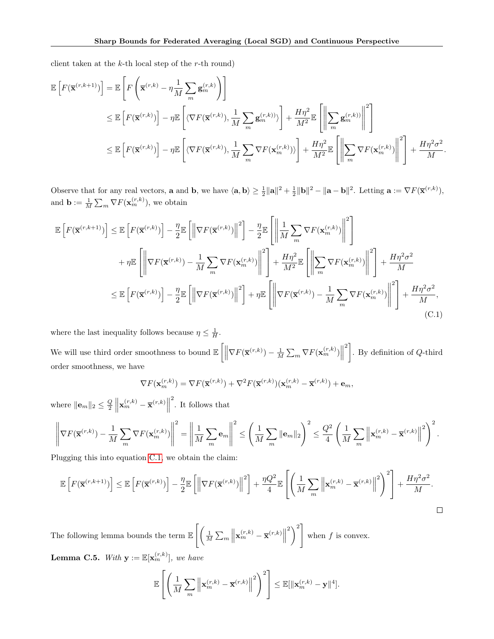client taken at the  $k$ -th local step of the  $r$ -th round)

$$
\mathbb{E}\left[F(\overline{\mathbf{x}}^{(r,k+1)})\right] = \mathbb{E}\left[F\left(\overline{\mathbf{x}}^{(r,k)} - \eta \frac{1}{M} \sum_{m} \mathbf{g}_{m}^{(r,k)}\right)\right]
$$
  
\n
$$
\leq \mathbb{E}\left[F(\overline{\mathbf{x}}^{(r,k)})\right] - \eta \mathbb{E}\left[\langle \nabla F(\overline{\mathbf{x}}^{(r,k)}), \frac{1}{M} \sum_{m} \mathbf{g}_{m}^{(r,k)} \rangle \right] + \frac{H\eta^{2}}{M^{2}} \mathbb{E}\left[\left\|\sum_{m} \mathbf{g}_{m}^{(r,k)}\right\|^{2}\right]
$$
  
\n
$$
\leq \mathbb{E}\left[F(\overline{\mathbf{x}}^{(r,k)})\right] - \eta \mathbb{E}\left[\langle \nabla F(\overline{\mathbf{x}}^{(r,k)}), \frac{1}{M} \sum_{m} \nabla F(\mathbf{x}_{m}^{(r,k)}) \rangle\right] + \frac{H\eta^{2}}{M^{2}} \mathbb{E}\left[\left\|\sum_{m} \nabla F(\mathbf{x}_{m}^{(r,k)})\right\|^{2}\right] + \frac{H\eta^{2}\sigma^{2}}{M}.
$$

Observe that for any real vectors, **a** and **b**, we have  $\langle \mathbf{a}, \mathbf{b} \rangle \ge \frac{1}{2} ||\mathbf{a}||^2 + \frac{1}{2} ||\mathbf{b}||^2 - ||\mathbf{a} - \mathbf{b}||^2$ . Letting  $\mathbf{a} := \nabla F(\overline{\mathbf{x}}^{(r,k)}),$ and  $\mathbf{b} := \frac{1}{M} \sum_{m} \nabla F(\mathbf{x}_{m}^{(r,k)})$ , we obtain

<span id="page-37-0"></span>
$$
\mathbb{E}\left[F(\overline{\mathbf{x}}^{(r,k+1)})\right] \leq \mathbb{E}\left[F(\overline{\mathbf{x}}^{(r,k)})\right] - \frac{\eta}{2}\mathbb{E}\left[\left\|\nabla F(\overline{\mathbf{x}}^{(r,k)})\right\|^2\right] - \frac{\eta}{2}\mathbb{E}\left[\left\|\frac{1}{M}\sum_{m}\nabla F(\mathbf{x}_m^{(r,k)})\right\|^2\right] + \eta \mathbb{E}\left[\left\|\nabla F(\overline{\mathbf{x}}^{(r,k)}) - \frac{1}{M}\sum_{m}\nabla F(\mathbf{x}_m^{(r,k)})\right\|^2\right] + \frac{H\eta^2}{M^2}\mathbb{E}\left[\left\|\sum_{m}\nabla F(\mathbf{x}_m^{(r,k)})\right\|^2\right] + \frac{H\eta^2\sigma^2}{M} \leq \mathbb{E}\left[F(\overline{\mathbf{x}}^{(r,k)})\right] - \frac{\eta}{2}\mathbb{E}\left[\left\|\nabla F(\overline{\mathbf{x}}^{(r,k)})\right\|^2\right] + \eta \mathbb{E}\left[\left\|\nabla F(\overline{\mathbf{x}}^{(r,k)}) - \frac{1}{M}\sum_{m}\nabla F(\mathbf{x}_m^{(r,k)})\right\|^2\right] + \frac{H\eta^2\sigma^2}{M},
$$
\n(C.1)

where the last inequality follows because  $\eta \leq \frac{1}{H}$ . We will use third order smoothness to bound  $\mathbb{E}\left[\left\|\nabla F(\overline{\mathbf{x}}^{(r,k)}) - \frac{1}{M}\sum_{m} \nabla F(\mathbf{x}_{m}^{(r,k)})\right\|$  $\begin{bmatrix} 2 \\ 1 \end{bmatrix}$ . By definition of Q-third order smoothness, we have

$$
\nabla F(\mathbf{x}_m^{(r,k)}) = \nabla F(\overline{\mathbf{x}}^{(r,k)}) + \nabla^2 F(\overline{\mathbf{x}}^{(r,k)}) (\mathbf{x}_m^{(r,k)} - \overline{\mathbf{x}}^{(r,k)}) + \mathbf{e}_m,
$$

where  $\|\mathbf{e}_m\|_2 \leq \frac{Q}{2} \left\| \mathbf{x}_m^{(r,k)} - \overline{\mathbf{x}}^{(r,k)} \right\|$  $\,$  . It follows that

$$
\left\|\nabla F(\overline{\mathbf{x}}^{(r,k)}) - \frac{1}{M}\sum_{m} \nabla F(\mathbf{x}_{m}^{(r,k)})\right\|^{2} = \left\|\frac{1}{M}\sum_{m} \mathbf{e}_{m}\right\|^{2} \leq \left(\frac{1}{M}\sum_{m} \|\mathbf{e}_{m}\|_{2}\right)^{2} \leq \frac{Q^{2}}{4} \left(\frac{1}{M}\sum_{m} \left\|\mathbf{x}_{m}^{(r,k)} - \overline{\mathbf{x}}^{(r,k)}\right\|^{2}\right)^{2}.
$$

Plugging this into equation [C.1,](#page-37-0) we obtain the claim:

$$
\mathbb{E}\left[F(\overline{\mathbf{x}}^{(r,k+1)})\right] \leq \mathbb{E}\left[F(\overline{\mathbf{x}}^{(r,k)})\right] - \frac{\eta}{2}\mathbb{E}\left[\left\|\nabla F(\overline{\mathbf{x}}^{(r,k)})\right\|^2\right] + \frac{\eta Q^2}{4}\mathbb{E}\left[\left(\frac{1}{M}\sum_m \left\|\mathbf{x}_m^{(r,k)} - \overline{\mathbf{x}}^{(r,k)}\right\|^2\right)^2\right] + \frac{H\eta^2\sigma^2}{M}.
$$

The following lemma bounds the term  $\mathbb{E}\left[\left(\frac{1}{M}\sum_{m}\left\|\mathbf{x}_{m}^{(r,k)}-\overline{\mathbf{x}}^{(r,k)}\right\|\right)\right]$  $\binom{2}{ }$ when  $f$  is convex.

<span id="page-37-1"></span>**Lemma C.5.** With  $\mathbf{y} := \mathbb{E}[\mathbf{x}_m^{(r,k)}],$  we have

$$
\mathbb{E}\left[\left(\frac{1}{M}\sum_{m}\left\|\mathbf{x}_{m}^{(r,k)}-\overline{\mathbf{x}}^{(r,k)}\right\|^{2}\right)^{2}\right]\leq \mathbb{E}[\|\mathbf{x}_{m}^{(r,k)}-\mathbf{y}\|^{4}].
$$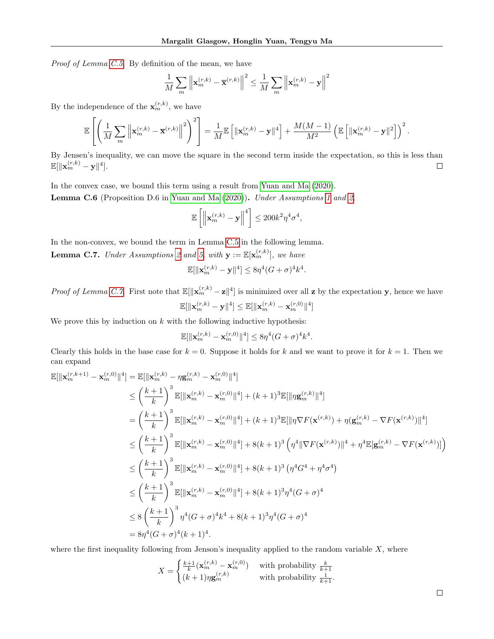Proof of Lemma [C.5.](#page-37-1) By definition of the mean, we have

$$
\frac{1}{M}\sum_{m}\left\|\mathbf{x}_{m}^{(r,k)}-\overline{\mathbf{x}}^{(r,k)}\right\|^{2} \leq \frac{1}{M}\sum_{m}\left\|\mathbf{x}_{m}^{(r,k)}-\mathbf{y}\right\|^{2}
$$

By the independence of the  $\mathbf{x}_{m}^{(r,k)}$ , we have

$$
\mathbb{E}\left[\left(\frac{1}{M}\sum_{m}\left\|\mathbf{x}_{m}^{(r,k)}-\overline{\mathbf{x}}^{(r,k)}\right\|^{2}\right)^{2}\right]=\frac{1}{M}\mathbb{E}\left[\left\|\mathbf{x}_{m}^{(r,k)}-\mathbf{y}\right\|^{4}\right]+\frac{M(M-1)}{M^{2}}\left(\mathbb{E}\left[\left\|\mathbf{x}_{m}^{(r,k)}-\mathbf{y}\right\|^{2}\right]\right)^{2}.
$$

By Jensen's inequality, we can move the square in the second term inside the expectation, so this is less than  $\mathbb{E}[\|\mathbf{x}_m^{(r,k)}-\mathbf{y}\|^4].$  $\Box$ 

<span id="page-38-1"></span>In the convex case, we bound this term using a result from [Yuan and Ma](#page-11-3) [\(2020\)](#page-11-3). **Lemma C.6** (Proposition D.6 in [Yuan and Ma](#page-11-3)  $(2020)$ ). Under Assumptions [1](#page-4-0) and [2,](#page-4-5)

$$
\mathbb{E}\left[\left\|\mathbf{x}_{m}^{(r,k)}-\mathbf{y}\right\|^{4}\right] \leq 200k^{2}\eta^{4}\sigma^{4},
$$

In the non-convex, we bound the term in Lemma [C.5](#page-37-1) in the following lemma.

<span id="page-38-0"></span>**Lemma C.7.** Under Assumptions [2](#page-4-5) and [5,](#page-36-3) with  $\mathbf{y} := \mathbb{E}[\mathbf{x}_m^{(r,k)}],$  we have

$$
\mathbb{E}[\|\mathbf{x}_m^{(r,k)}-\mathbf{y}\|^4]\leq 8\eta^4(G+\sigma)^4k^4.
$$

*Proof of Lemma [C.7.](#page-38-0)* First note that  $\mathbb{E}[\Vert \mathbf{x}_m^{(r,k)} - \mathbf{z} \Vert^4]$  is minimized over all **z** by the expectation **y**, hence we have  $\mathbb{E}[\Vert \mathbf{x}_m^{(r,k)} - \mathbf{y} \Vert^4] \leq \mathbb{E}[\Vert \mathbf{x}_m^{(r,k)} - \mathbf{x}_m^{(r,0)} \Vert^4]$ 

We prove this by induction on  $k$  with the following inductive hypothesis:

$$
\mathbb{E}[\|\mathbf{x}_{m}^{(r,k)} - \mathbf{x}_{m}^{(r,0)}\|^{4}] \leq 8\eta^{4}(G+\sigma)^{4}k^{4}.
$$

Clearly this holds in the base case for  $k = 0$ . Suppose it holds for k and we want to prove it for  $k = 1$ . Then we can expand

$$
\mathbb{E}[\|\mathbf{x}_{m}^{(r,k+1)} - \mathbf{x}_{m}^{(r,0)}\|^{4}] = \mathbb{E}[\|\mathbf{x}_{m}^{(r,k)} - \eta \mathbf{g}_{m}^{(r,k)} - \mathbf{x}_{m}^{(r,0)}\|^{4}] \n\leq \left(\frac{k+1}{k}\right)^{3} \mathbb{E}[\|\mathbf{x}_{m}^{(r,k)} - \mathbf{x}_{m}^{(r,0)}\|^{4}] + (k+1)^{3} \mathbb{E}[\|\eta \mathbf{g}_{m}^{(r,k)}\|^{4}] \n= \left(\frac{k+1}{k}\right)^{3} \mathbb{E}[\|\mathbf{x}_{m}^{(r,k)} - \mathbf{x}_{m}^{(r,0)}\|^{4}] + (k+1)^{3} \mathbb{E}[\|\eta \nabla F(\mathbf{x}^{(r,k)}) + \eta (\mathbf{g}_{m}^{(r,k)} - \nabla F(\mathbf{x}^{(r,k)})\|^{4}] \n\leq \left(\frac{k+1}{k}\right)^{3} \mathbb{E}[\|\mathbf{x}_{m}^{(r,k)} - \mathbf{x}_{m}^{(r,0)}\|^{4}] + 8(k+1)^{3} \left(\eta^{4} \|\nabla F(\mathbf{x}^{(r,k)})\|^{4} + \eta^{4} \mathbb{E}[\mathbf{g}_{m}^{(r,k)} - \nabla F(\mathbf{x}^{(r,k)})]\right) \n\leq \left(\frac{k+1}{k}\right)^{3} \mathbb{E}[\|\mathbf{x}_{m}^{(r,k)} - \mathbf{x}_{m}^{(r,0)}\|^{4}] + 8(k+1)^{3} \left(\eta^{4} G^{4} + \eta^{4} \sigma^{4}\right) \n\leq \left(\frac{k+1}{k}\right)^{3} \mathbb{E}[\|\mathbf{x}_{m}^{(r,k)} - \mathbf{x}_{m}^{(r,0)}\|^{4}] + 8(k+1)^{3} \eta^{4} (G + \sigma)^{4} \n\leq 8 \left(\frac{k+1}{k}\right)^{3} \eta^{4} (G + \sigma)^{4} k^{4} + 8(k+1)^{3} \eta^{4} (G + \sigma)^{4} \n= 8 \eta^{4} (G + \sigma)^{4} (k+1)^{4}.
$$

where the first inequality following from Jenson's inequality applied to the random variable  $X$ , where

$$
X = \begin{cases} \frac{k+1}{k} (\mathbf{x}_m^{(r,k)} - \mathbf{x}_m^{(r,0)}) & \text{with probability } \frac{k}{k+1} \\ (k+1)\eta \mathbf{g}_m^{(r,k)} & \text{with probability } \frac{1}{k+1}. \end{cases}
$$

 $\Box$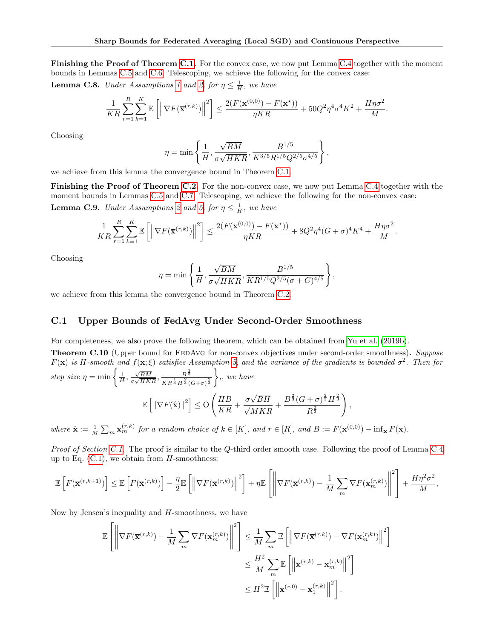Finishing the Proof of Theorem [C.1.](#page-36-0) For the convex case, we now put Lemma [C.4](#page-36-4) together with the moment bounds in Lemmas [C.5](#page-37-1) and [C.6.](#page-38-1) Telescoping, we achieve the following for the convex case:

**Lemma C.8.** Under Assumptions [1](#page-4-0) and [2,](#page-4-5) for  $\eta \leq \frac{1}{H}$ , we have

$$
\frac{1}{KR}\sum_{r=1}^R\sum_{k=1}^K \mathbb{E}\left[\left\|\nabla F(\overline{\mathbf{x}}^{(r,k)})\right\|^2\right] \le \frac{2(F(\mathbf{x}^{(0,0)}) - F(\mathbf{x}^*) )}{\eta KR} + 50Q^2\eta^4\sigma^4K^2 + \frac{H\eta\sigma^2}{M}.
$$

Choosing

$$
\eta = \min \left\{ \frac{1}{H}, \frac{\sqrt{BM}}{\sigma \sqrt{HKR}}, \frac{B^{1/5}}{K^{3/5}R^{1/5}Q^{2/5}\sigma^{4/5}} \right\},
$$

we achieve from this lemma the convergence bound in Theorem [C.1.](#page-36-0)

Finishing the Proof of Theorem [C.2.](#page-36-1) For the non-convex case, we now put Lemma [C.4](#page-36-4) together with the moment bounds in Lemmas [C.5](#page-37-1) and [C.7.](#page-38-0) Telescoping, we achieve the following for the non-convex case: **Lemma C.9.** Under Assumptions [2](#page-4-5) and [5,](#page-36-3) for  $\eta \leq \frac{1}{H}$ , we have

$$
\frac{1}{KR}\sum_{r=1}^R\sum_{k=1}^K\mathbb{E}\left[\left\|\nabla F(\overline{\mathbf{x}}^{(r,k)})\right\|^2\right]\leq \frac{2(F(\mathbf{x}^{(0,0)})-F(\mathbf{x}^\star))}{\eta KR}+8Q^2\eta^4(G+\sigma)^4K^4+\frac{H\eta\sigma^2}{M}.
$$

Choosing

$$
\eta = \min \left\{ \frac{1}{H}, \frac{\sqrt{BM}}{\sigma \sqrt{HKR}}, \frac{B^{1/5}}{KR^{1/5}Q^{2/5}(\sigma + G)^{4/5}} \right\}
$$

,

we achieve from this lemma the convergence bound in Theorem [C.2.](#page-36-1)

#### <span id="page-39-0"></span>C.1 Upper Bounds of FedAvg Under Second-Order Smoothness

For completeness, we also prove the following theorem, which can be obtained from [Yu et al.](#page-11-4) [\(2019b\)](#page-11-4).

**Theorem C.10** (Upper bound for FEDAVG for non-convex objectives under second-order smoothness). Suppose  $F(\mathbf{x})$  is H-smooth and  $f(\mathbf{x};\xi)$  satisfies Assumption [5,](#page-36-3) and the variance of the gradients is bounded  $\sigma^2$ . Then for step size  $\eta = \min \left\{ \frac{1}{H}, \frac{\sqrt{BM}}{\sigma \sqrt{HK}} \right\}$  $\frac{\sqrt{BM}}{\sigma\sqrt{HKR}}$ ,  $\frac{B^{\frac{1}{3}}}{KR^{\frac{1}{3}}H^{\frac{2}{3}}}$  $KR^{\frac{1}{3}}H^{\frac{2}{3}}(G+\sigma)^{\frac{2}{3}}$  $\},\,$  we have √

$$
\mathbb{E}\left[\left\|\nabla F(\hat{\mathbf{x}})\right\|^2\right] \leq \mathcal{O}\left(\frac{HB}{KR} + \frac{\sigma\sqrt{BH}}{\sqrt{MKR}} + \frac{B^{\frac{2}{3}}(G+\sigma)^{\frac{2}{3}}H^{\frac{2}{3}}}{R^{\frac{2}{3}}}\right),\right
$$

where  $\hat{\mathbf{x}} := \frac{1}{M} \sum_m \mathbf{x}_m^{(r,k)}$  for a random choice of  $k \in [K]$ , and  $r \in [R]$ , and  $B := F(\mathbf{x}^{(0,0)}) - \inf_{\mathbf{x}} F(\mathbf{x})$ .

Proof of Section [C.1.](#page-39-0) The proof is similar to the Q-third order smooth case. Following the proof of Lemma [C.4](#page-36-4) up to Eq.  $(C.1)$ , we obtain from H-smoothness:

$$
\mathbb{E}\left[F(\overline{\mathbf{x}}^{(r,k+1)})\right] \leq \mathbb{E}\left[F(\overline{\mathbf{x}}^{(r,k)})\right] - \frac{\eta}{2}\mathbb{E}\left[\left\|\nabla F(\overline{\mathbf{x}}^{(r,k)})\right\|^2\right] + \eta \mathbb{E}\left[\left\|\nabla F(\overline{\mathbf{x}}^{(r,k)}) - \frac{1}{M}\sum_m \nabla F(\mathbf{x}_m^{(r,k)})\right\|^2\right] + \frac{H\eta^2\sigma^2}{M},
$$

Now by Jensen's inequality and  $H$ -smoothness, we have

$$
\mathbb{E}\left[\left\|\nabla F(\overline{\mathbf{x}}^{(r,k)}) - \frac{1}{M}\sum_{m} \nabla F(\mathbf{x}_{m}^{(r,k)})\right\|^{2}\right] \leq \frac{1}{M} \sum_{m} \mathbb{E}\left[\left\|\nabla F(\overline{\mathbf{x}}^{(r,k)}) - \nabla F(\mathbf{x}_{m}^{(r,k)})\right\|^{2}\right] \leq \frac{H^{2}}{M} \sum_{m} \mathbb{E}\left[\left\|\overline{\mathbf{x}}^{(r,k)} - \mathbf{x}_{m}^{(r,k)}\right\|^{2}\right] \leq H^{2} \mathbb{E}\left[\left\|\overline{\mathbf{x}}^{(r,0)} - \mathbf{x}_{1}^{(r,k)}\right\|^{2}\right].
$$